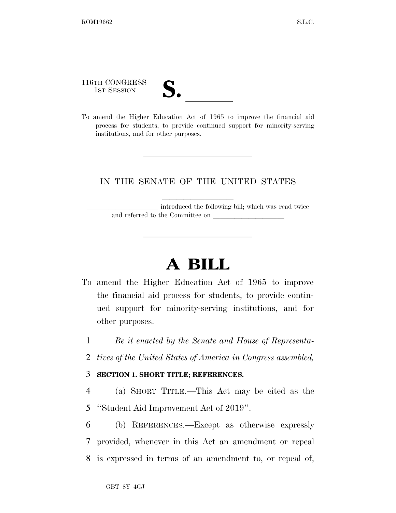116TH CONGRESS

116TH CONGRESS<br>
1ST SESSION<br>
To amend the Higher Education Act of 1965 to improve the financial aid process for students, to provide continued support for minority-serving institutions, and for other purposes.

### IN THE SENATE OF THE UNITED STATES

introduced the following bill; which was read twice and referred to the Committee on

# **A BILL**

- To amend the Higher Education Act of 1965 to improve the financial aid process for students, to provide continued support for minority-serving institutions, and for other purposes.
	- 1 *Be it enacted by the Senate and House of Representa-*
	- 2 *tives of the United States of America in Congress assembled,*

#### 3 **SECTION 1. SHORT TITLE; REFERENCES.**

4 (a) SHORT TITLE.—This Act may be cited as the 5 ''Student Aid Improvement Act of 2019''.

6 (b) REFERENCES.—Except as otherwise expressly 7 provided, whenever in this Act an amendment or repeal 8 is expressed in terms of an amendment to, or repeal of,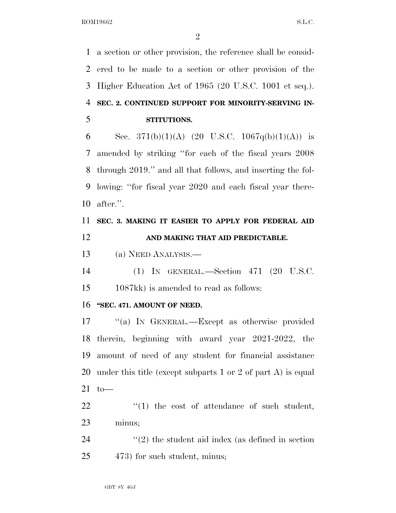a section or other provision, the reference shall be consid- ered to be made to a section or other provision of the Higher Education Act of 1965 (20 U.S.C. 1001 et seq.). **SEC. 2. CONTINUED SUPPORT FOR MINORITY-SERVING IN-STITUTIONS.** 

6 Sec. 371(b)(1)(A) (20 U.S.C. 1067q(b)(1)(A)) is amended by striking ''for each of the fiscal years 2008 through 2019.'' and all that follows, and inserting the fol- lowing: ''for fiscal year 2020 and each fiscal year there-after.''.

 **SEC. 3. MAKING IT EASIER TO APPLY FOR FEDERAL AID AND MAKING THAT AID PREDICTABLE.** 

(a) NEED ANALYSIS.—

(1) IN GENERAL.—Section 471 (20 U.S.C.

1087kk) is amended to read as follows:

#### **''SEC. 471. AMOUNT OF NEED.**

 ''(a) IN GENERAL.—Except as otherwise provided therein, beginning with award year 2021-2022, the amount of need of any student for financial assistance under this title (except subparts 1 or 2 of part A) is equal to—

  $\qquad$   $\qquad$   $\qquad$   $\qquad$   $\qquad$   $\qquad$   $\qquad$   $\qquad$   $\qquad$   $\qquad$   $\qquad$   $\qquad$   $\qquad$   $\qquad$   $\qquad$   $\qquad$   $\qquad$   $\qquad$   $\qquad$   $\qquad$   $\qquad$   $\qquad$   $\qquad$   $\qquad$   $\qquad$   $\qquad$   $\qquad$   $\qquad$   $\qquad$   $\qquad$   $\qquad$   $\qquad$   $\qquad$   $\qquad$   $\qquad$   $\qquad$  minus;

 ''(2) the student aid index (as defined in section 473) for such student, minus;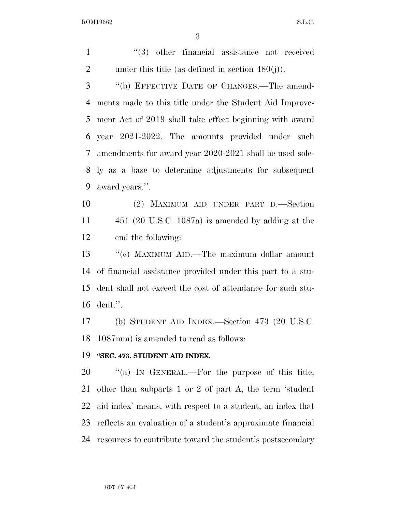1 ''(3) other financial assistance not received 2 under this title (as defined in section  $480(i)$ ).

 ''(b) EFFECTIVE DATE OF CHANGES.—The amend- ments made to this title under the Student Aid Improve- ment Act of 2019 shall take effect beginning with award year 2021-2022. The amounts provided under such amendments for award year 2020-2021 shall be used sole- ly as a base to determine adjustments for subsequent award years.''.

 (2) MAXIMUM AID UNDER PART D.—Section 451 (20 U.S.C. 1087a) is amended by adding at the end the following:

13 ''(c) MAXIMUM AID.—The maximum dollar amount of financial assistance provided under this part to a stu- dent shall not exceed the cost of attendance for such stu-dent.''.

 (b) STUDENT AID INDEX.—Section 473 (20 U.S.C. 1087mm) is amended to read as follows:

#### **''SEC. 473. STUDENT AID INDEX.**

20 "(a) IN GENERAL.—For the purpose of this title, other than subparts 1 or 2 of part A, the term 'student aid index' means, with respect to a student, an index that reflects an evaluation of a student's approximate financial resources to contribute toward the student's postsecondary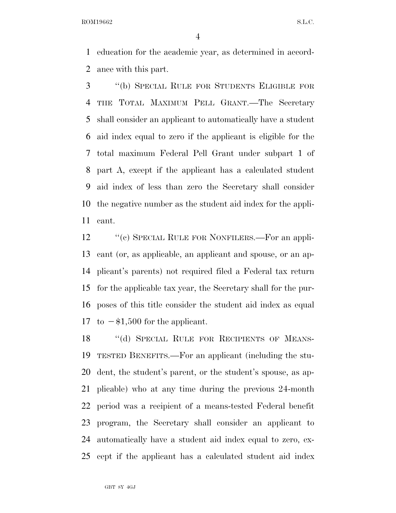education for the academic year, as determined in accord-ance with this part.

 ''(b) SPECIAL RULE FOR STUDENTS ELIGIBLE FOR THE TOTAL MAXIMUM PELL GRANT.—The Secretary shall consider an applicant to automatically have a student aid index equal to zero if the applicant is eligible for the total maximum Federal Pell Grant under subpart 1 of part A, except if the applicant has a calculated student aid index of less than zero the Secretary shall consider the negative number as the student aid index for the appli-cant.

12 "(c) SPECIAL RULE FOR NONFILERS.—For an appli- cant (or, as applicable, an applicant and spouse, or an ap- plicant's parents) not required filed a Federal tax return for the applicable tax year, the Secretary shall for the pur- poses of this title consider the student aid index as equal 17 to  $-\$1,500$  for the applicant.

18 "(d) SPECIAL RULE FOR RECIPIENTS OF MEANS- TESTED BENEFITS.—For an applicant (including the stu- dent, the student's parent, or the student's spouse, as ap- plicable) who at any time during the previous 24-month period was a recipient of a means-tested Federal benefit program, the Secretary shall consider an applicant to automatically have a student aid index equal to zero, ex-cept if the applicant has a calculated student aid index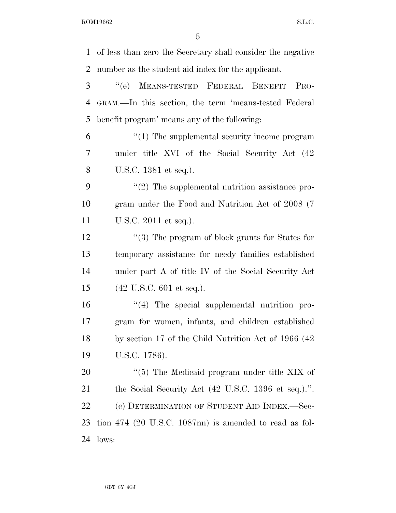of less than zero the Secretary shall consider the negative number as the student aid index for the applicant. ''(e) MEANS-TESTED FEDERAL BENEFIT PRO- GRAM.—In this section, the term 'means-tested Federal benefit program' means any of the following: ''(1) The supplemental security income program under title XVI of the Social Security Act (42 U.S.C. 1381 et seq.).  $\frac{1}{2}$  The supplemental nutrition assistance pro- gram under the Food and Nutrition Act of 2008 (7 U.S.C. 2011 et seq.). 12 ''(3) The program of block grants for States for temporary assistance for needy families established under part A of title IV of the Social Security Act (42 U.S.C. 601 et seq.). ''(4) The special supplemental nutrition pro- gram for women, infants, and children established by section 17 of the Child Nutrition Act of 1966 (42 U.S.C. 1786).  $\frac{1}{20}$  The Medicaid program under title XIX of the Social Security Act (42 U.S.C. 1396 et seq.).''. 22 (c) DETERMINATION OF STUDENT AID INDEX.—Sec- tion 474 (20 U.S.C. 1087nn) is amended to read as fol-lows: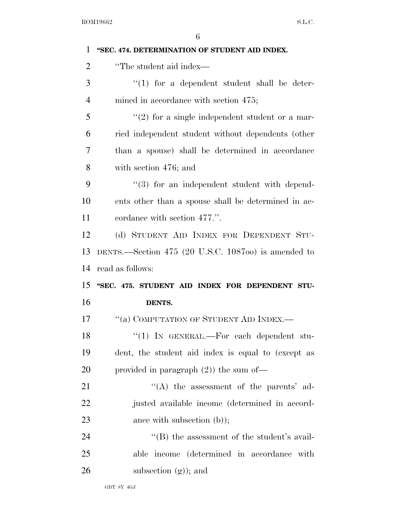| 1              | "SEC. 474. DETERMINATION OF STUDENT AID INDEX.      |
|----------------|-----------------------------------------------------|
| $\overline{2}$ | "The student aid index—                             |
| 3              | $\lq(1)$ for a dependent student shall be deter-    |
| $\overline{4}$ | mined in accordance with section 475;               |
| 5              | $\lq(2)$ for a single independent student or a mar- |
| 6              | ried independent student without dependents (other  |
| 7              | than a spouse) shall be determined in accordance    |
| 8              | with section 476; and                               |
| 9              | "(3) for an independent student with depend-        |
| 10             | ents other than a spouse shall be determined in ac- |
| 11             | cordance with section 477.".                        |
| 12             | (d) STUDENT AID INDEX FOR DEPENDENT STU-            |
| 13             | DENTS.—Section 475 (20 U.S.C. 108700) is amended to |
|                |                                                     |
| 14             | read as follows:                                    |
| 15             | "SEC. 475. STUDENT AID INDEX FOR DEPENDENT STU-     |
| 16             | DENTS.                                              |
| 17             | "(a) COMPUTATION OF STUDENT AID INDEX.—             |
| 18             | " $(1)$ In GENERAL.—For each dependent stu-         |
| 19             | dent, the student aid index is equal to (except as  |
| 20             | provided in paragraph $(2)$ ) the sum of-           |
| 21             | $\lq\lq$ the assessment of the parents' ad-         |
| 22             | justed available income (determined in accord-      |
| 23             | ance with subsection $(b)$ ;                        |
| 24             | $\lq\lq$ the assessment of the student's avail-     |
| 25             | able income (determined in accordance with          |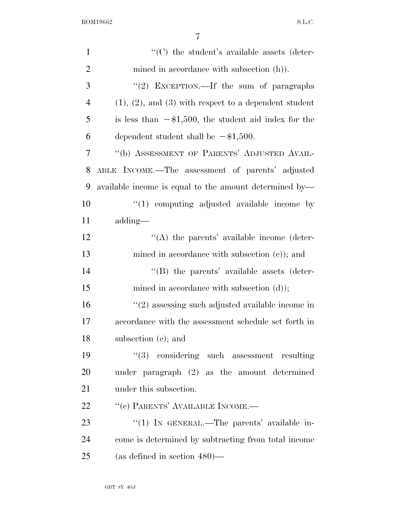| $\mathbf{1}$   | $\cdot$ (C) the student's available assets (deter-            |
|----------------|---------------------------------------------------------------|
| $\overline{2}$ | mined in accordance with subsection (h)).                     |
| 3              | "(2) EXCEPTION.—If the sum of paragraphs                      |
| $\overline{4}$ | $(1), (2),$ and $(3)$ with respect to a dependent student     |
| 5              | is less than $-\frac{1}{500}$ , the student aid index for the |
| 6              | dependent student shall be $-\$1,500$ .                       |
| 7              | "(b) ASSESSMENT OF PARENTS' ADJUSTED AVAIL-                   |
| 8              | ABLE INCOME.—The assessment of parents' adjusted              |
| 9              | available income is equal to the amount determined by—        |
| 10             | $\lq(1)$ computing adjusted available income by               |
| 11             | adding—                                                       |
| 12             | $\lq\lq$ the parents' available income (deter-                |
| 13             | mined in accordance with subsection $(c)$ ; and               |
| 14             | "(B) the parents' available assets (deter-                    |
| 15             | mined in accordance with subsection $(d)$ ;                   |
| 16             | $\lq(2)$ assessing such adjusted available income in          |
| 17             | accordance with the assessment schedule set forth in          |
| 18             | subsection (e); and                                           |
| 19             | $(3)$ considering such assessment resulting                   |
| 20             | under paragraph (2) as the amount determined                  |
| 21             | under this subsection.                                        |
| 22             | "(c) PARENTS' AVAILABLE INCOME.-                              |
| 23             | "(1) IN GENERAL.—The parents' available in-                   |
| 24             | come is determined by subtracting from total income           |
| 25             | (as defined in section $480$ )—                               |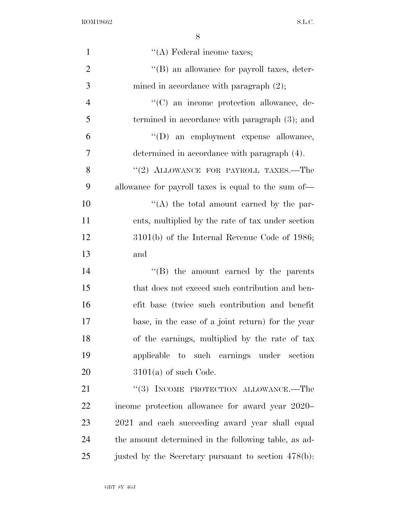| $\mathbf{1}$   | $\lq\lq$ Federal income taxes;                       |
|----------------|------------------------------------------------------|
| $\overline{2}$ | "(B) an allowance for payroll taxes, deter-          |
| 3              | mined in accordance with paragraph $(2)$ ;           |
| $\overline{4}$ | "(C) an income protection allowance, de-             |
| 5              | termined in accordance with paragraph (3); and       |
| 6              | "(D) an employment expense allowance,                |
| 7              | determined in accordance with paragraph (4).         |
| 8              | "(2) ALLOWANCE FOR PAYROLL TAXES.—The                |
| 9              | allowance for payroll taxes is equal to the sum of—  |
| 10             | $\lq\lq$ the total amount earned by the par-         |
| 11             | ents, multiplied by the rate of tax under section    |
| 12             | $3101(b)$ of the Internal Revenue Code of 1986;      |
| 13             | and                                                  |
| 14             | "(B) the amount earned by the parents                |
| 15             | that does not exceed such contribution and ben-      |
| 16             | efit base (twice such contribution and benefit       |
| 17             | base, in the case of a joint return) for the year    |
| 18             | of the earnings, multiplied by the rate of tax       |
| 19             | applicable to such earnings under section            |
| 20             | $3101(a)$ of such Code.                              |
| 21             | $``(3)$ INCOME PROTECTION ALLOWANCE.—The             |
| 22             | income protection allowance for award year 2020–     |
| 23             | 2021 and each succeeding award year shall equal      |
| 24             | the amount determined in the following table, as ad- |
| 25             | justed by the Secretary pursuant to section 478(b):  |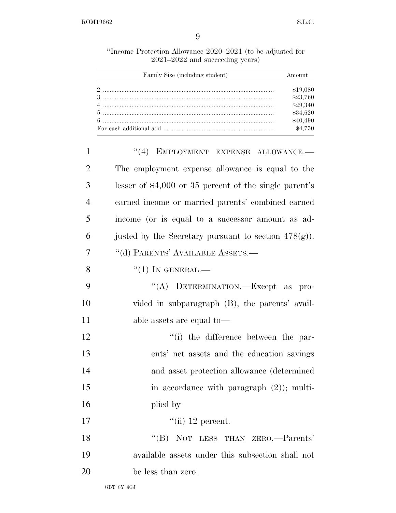''Income Protection Allowance 2020–2021 (to be adjusted for 2021–2022 and succeeding years)

| Family Size (including student) | Amount   |
|---------------------------------|----------|
|                                 | \$19,080 |
|                                 | \$23,760 |
|                                 | \$29,340 |
|                                 | \$34,620 |
|                                 | \$40,490 |
|                                 | \$4,750  |

| "(4) EMPLOYMENT EXPENSE ALLOWANCE.-                     |
|---------------------------------------------------------|
| The employment expense allowance is equal to the        |
| lesser of $$4,000$ or 35 percent of the single parent's |
| earned income or married parents' combined earned       |
| income (or is equal to a successor amount as ad-        |
| justed by the Secretary pursuant to section $478(g)$ ). |
| "(d) PARENTS' AVAILABLE ASSETS.—                        |
| $``(1)$ IN GENERAL.—                                    |
| "(A) DETERMINATION.—Except as<br>pro-                   |
| vided in subparagraph (B), the parents' avail-          |
| able assets are equal to—                               |
| "(i) the difference between the par-                    |
| ents' net assets and the education savings              |
| and asset protection allowance (determined              |
| in accordance with paragraph $(2)$ ; multi-             |
| plied by                                                |
| "(ii) 12 percent.                                       |
| "(B) NOT LESS THAN ZERO.—Parents'                       |
| available assets under this subsection shall not        |
| be less than zero.                                      |
|                                                         |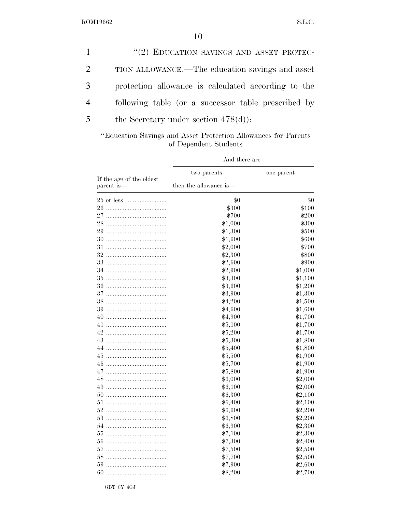|                | "(2) EDUCATION SAVINGS AND ASSET PROTEC-            |
|----------------|-----------------------------------------------------|
| 2              | TION ALLOWANCE.—The education savings and asset     |
| 3              | protection allowance is calculated according to the |
| $\overline{4}$ | following table (or a successor table prescribed by |
| 5              | the Secretary under section $478(d)$ :              |

''Education Savings and Asset Protection Allowances for Parents of Dependent Students

| And there are                          |                        |            |
|----------------------------------------|------------------------|------------|
|                                        | two parents            | one parent |
| If the age of the oldest<br>parent is— | then the allowance is— |            |
|                                        | \$0                    | \$0        |
|                                        | \$300                  | \$100      |
| 27                                     | \$700                  | \$200      |
| 28                                     | \$1,000                | \$300      |
| 29                                     | \$1,300                | \$500      |
| 30                                     | \$1,600                | \$600      |
| 31                                     | \$2,000                | \$700      |
| 32                                     | \$2,300                | \$800      |
| 33                                     | \$2,600                | \$900      |
| 34                                     | \$2,900                | \$1,000    |
| 35                                     | \$3,300                | \$1,100    |
|                                        | \$3,600                | \$1,200    |
| 37                                     | \$3,900                | \$1,300    |
| 38                                     | \$4,200                | \$1,500    |
| 39                                     | \$4,600                | \$1,600    |
| 40                                     | \$4,900                | \$1,700    |
|                                        | \$5,100                | \$1,700    |
| 42                                     | \$5,200                | \$1,700    |
| 43                                     | \$5,300                | \$1,800    |
| 44                                     | \$5,400                | \$1,800    |
| 45                                     | \$5,500                | \$1,900    |
|                                        | \$5,700                | \$1,900    |
| 47                                     | \$5,800                | \$1,900    |
| 48                                     | \$6,000                | \$2,000    |
| 49                                     | \$6,100                | \$2,000    |
| 50                                     | \$6,300                | \$2,100    |
| 51                                     | \$6,400                | \$2,100    |
| 52                                     | \$6,600                | \$2,200    |
| 53                                     | \$6,800                | \$2,200    |
| 54                                     | \$6,900                | \$2,300    |
| 55                                     | \$7,100                | \$2,300    |
| 56                                     | \$7,300                | \$2,400    |
| 57                                     | \$7,500                | \$2,500    |
| 58                                     | \$7,700                | \$2,500    |
| 59                                     | \$7,900                | \$2,600    |
| 60                                     | \$8,200                | \$2,700    |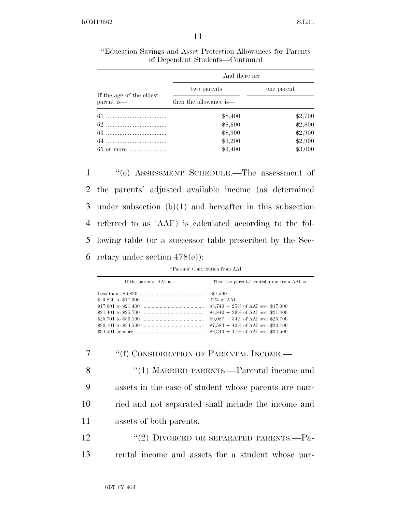|                                                                           | And there are          |            |
|---------------------------------------------------------------------------|------------------------|------------|
|                                                                           | two parents            | one parent |
| If the age of the oldest $% \left\vert \cdot \right\rangle$<br>parent is— | then the allowance is— |            |
|                                                                           | \$8,400                | \$2,700    |
|                                                                           | \$8,600                | \$2,800    |
|                                                                           | \$8,900                | \$2,900    |
|                                                                           | \$9,200                | \$2,900    |
| 65 or more                                                                | \$9,400                | \$3,000    |

''Education Savings and Asset Protection Allowances for Parents of Dependent Students—Continued

 ''(e) ASSESSMENT SCHEDULE.—The assessment of the parents' adjusted available income (as determined under subsection (b)(1) and hereafter in this subsection referred to as 'AAI') is calculated according to the fol- lowing table (or a successor table prescribed by the Sec-6 retary under section  $478(e)$ :

| If the parents' AAI is— | Then the parents' contribution from AAI is— |
|-------------------------|---------------------------------------------|
|                         | $-\$1,500$                                  |
|                         | $22\%$ of AAI                               |
|                         | $$3,740 + 25\%$ of AAI over \$17,000        |
|                         | $$4,840 + 29\%$ of AAI over \$21,400        |
|                         | $$6,087 + 34\%$ of AAI over \$25,700        |
|                         | $$7,583 + 40\%$ of AAI over \$30,100        |
|                         | $$9,343 + 47\%$ of AAI over \$34,500        |

7 ""(f) CONSIDERATION OF PARENTAL INCOME.—

8 "(1) MARRIED PARENTS.—Parental income and assets in the case of student whose parents are mar- ried and not separated shall include the income and assets of both parents.

12 "(2) DIVORCED OR SEPARATED PARENTS.—Pa-13 rental income and assets for a student whose par-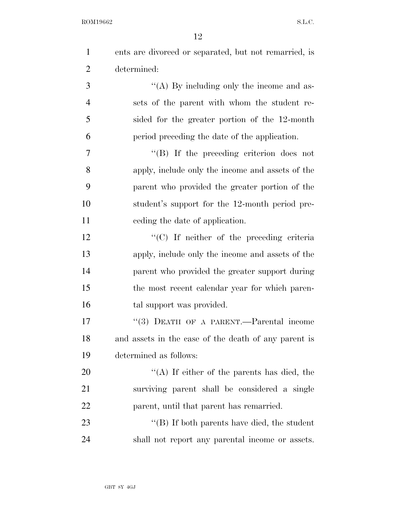| $\mathbf{1}$   | ents are divorced or separated, but not remarried, is |
|----------------|-------------------------------------------------------|
| $\overline{2}$ | determined:                                           |
| 3              | "(A) By including only the income and as-             |
| $\overline{4}$ | sets of the parent with whom the student re-          |
| 5              | sided for the greater portion of the 12-month         |
| 6              | period preceding the date of the application.         |
| 7              | $\lq\lq (B)$ If the preceding criterion does not      |
| 8              | apply, include only the income and assets of the      |
| 9              | parent who provided the greater portion of the        |
| 10             | student's support for the 12-month period pre-        |
| 11             | ceding the date of application.                       |
| 12             | $\cdot$ (C) If neither of the preceding criteria      |
| 13             | apply, include only the income and assets of the      |
| 14             | parent who provided the greater support during        |
| 15             | the most recent calendar year for which paren-        |
| 16             | tal support was provided.                             |
| 17             | "(3) DEATH OF A PARENT.—Parental income               |
| 18             | and assets in the case of the death of any parent is  |
| 19             | determined as follows:                                |
| 20             | "(A) If either of the parents has died, the           |
| 21             | surviving parent shall be considered a single         |
| 22             | parent, until that parent has remarried.              |
| 23             | $\lq\lq$ (B) If both parents have died, the student   |
| 24             | shall not report any parental income or assets.       |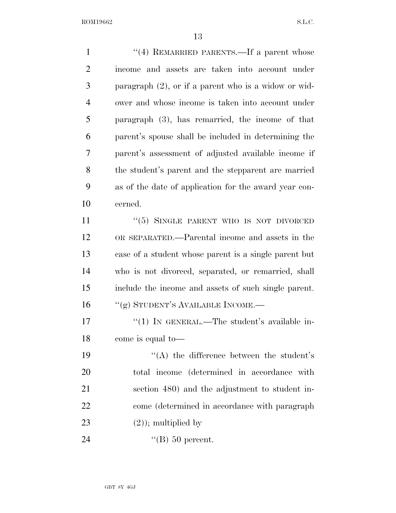1 ''(4) REMARRIED PARENTS.—If a parent whose income and assets are taken into account under paragraph (2), or if a parent who is a widow or wid- ower and whose income is taken into account under paragraph (3), has remarried, the income of that parent's spouse shall be included in determining the parent's assessment of adjusted available income if the student's parent and the stepparent are married as of the date of application for the award year con- cerned. 11 ''(5) SINGLE PARENT WHO IS NOT DIVORCED OR SEPARATED.—Parental income and assets in the case of a student whose parent is a single parent but who is not divorced, separated, or remarried, shall include the income and assets of such single parent. 16 "(g) STUDENT'S AVAILABLE INCOME.— 17 <sup>"</sup>(1) IN GENERAL.—The student's available in- come is equal to— 19 ''(A) the difference between the student's total income (determined in accordance with section 480) and the adjustment to student in- come (determined in accordance with paragraph  $(2)$ ; multiplied by

24 '(B) 50 percent.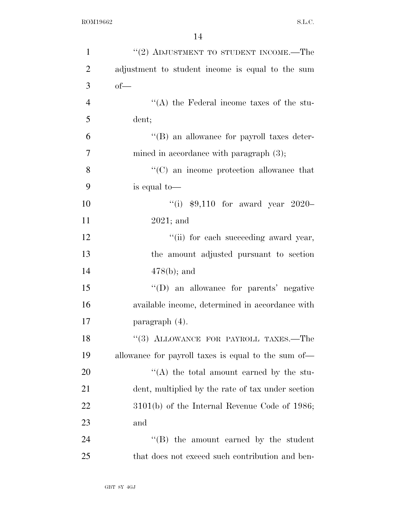| $\mathbf{1}$   | "(2) ADJUSTMENT TO STUDENT INCOME.—The              |
|----------------|-----------------------------------------------------|
| $\overline{2}$ | adjustment to student income is equal to the sum    |
| 3              | $of$ —                                              |
| $\overline{4}$ | "(A) the Federal income taxes of the stu-           |
| 5              | dent;                                               |
| 6              | "(B) an allowance for payroll taxes deter-          |
| $\overline{7}$ | mined in accordance with paragraph $(3)$ ;          |
| 8              | "(C) an income protection allowance that            |
| 9              | is equal to—                                        |
| 10             | "(i) $$9,110$ for award year 2020-                  |
| 11             | $2021$ ; and                                        |
| 12             | "(ii) for each succeeding award year,               |
| 13             | the amount adjusted pursuant to section             |
| 14             | $478(b)$ ; and                                      |
| 15             | $\lq\lq$ (D) an allowance for parents' negative     |
| 16             | available income, determined in accordance with     |
| 17             | paragraph (4).                                      |
| 18             | $``(3)$ ALLOWANCE FOR PAYROLL TAXES.—The            |
| 19             | allowance for payroll taxes is equal to the sum of— |
| 20             | "(A) the total amount earned by the stu-            |
| 21             | dent, multiplied by the rate of tax under section   |
| 22             | $3101(b)$ of the Internal Revenue Code of 1986;     |
| 23             | and                                                 |
| 24             | "(B) the amount earned by the student               |
| 25             | that does not exceed such contribution and ben-     |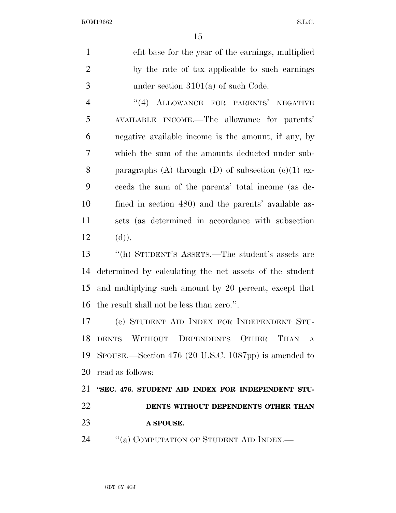| $\mathbf{1}$   | efit base for the year of the earnings, multiplied      |
|----------------|---------------------------------------------------------|
| $\overline{2}$ | by the rate of tax applicable to such earnings          |
| 3              | under section $3101(a)$ of such Code.                   |
| $\overline{4}$ | "(4) ALLOWANCE FOR PARENTS' NEGATIVE                    |
| 5              | AVAILABLE INCOME.—The allowance for parents'            |
| 6              | negative available income is the amount, if any, by     |
| 7              | which the sum of the amounts deducted under sub-        |
| 8              | paragraphs (A) through (D) of subsection $(c)(1)$ ex-   |
| 9              | ceeds the sum of the parents' total income (as de-      |
| 10             | fined in section 480) and the parents' available as-    |
| 11             | sets (as determined in accordance with subsection       |
| 12             | (d)).                                                   |
| 13             | "(h) STUDENT'S ASSETS.—The student's assets are         |
| 14             | determined by calculating the net assets of the student |
| 15             | and multiplying such amount by 20 percent, except that  |
| 16             | the result shall not be less than zero.".               |
| 17             | (e) STUDENT AID INDEX FOR INDEPENDENT STU-              |
|                | 18 DENTS WITHOUT DEPENDENTS OTHER THAN A                |
|                | 19 SPOUSE.—Section 476 (20 U.S.C. 1087pp) is amended to |
| 20             | read as follows:                                        |
| 21             | "SEC. 476. STUDENT AID INDEX FOR INDEPENDENT STU-       |
| 22             | DENTS WITHOUT DEPENDENTS OTHER THAN                     |
| 23             | A SPOUSE.                                               |
| 24             | "(a) COMPUTATION OF STUDENT AID INDEX.-                 |
|                |                                                         |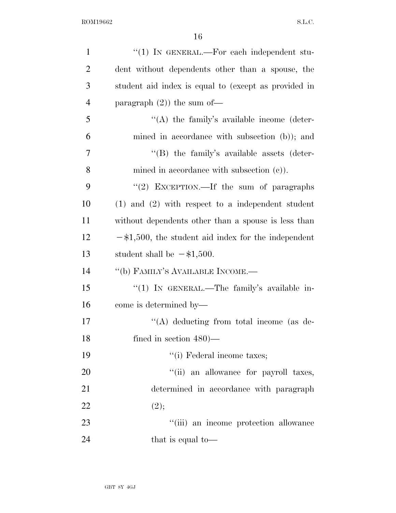| $\mathbf{1}$   | "(1) IN GENERAL.—For each independent stu-             |
|----------------|--------------------------------------------------------|
| $\overline{2}$ | dent without dependents other than a spouse, the       |
| 3              | student aid index is equal to (except as provided in   |
| $\overline{4}$ | paragraph $(2)$ ) the sum of-                          |
| 5              | $\lq\lq$ the family's available income (deter-         |
| 6              | mined in accordance with subsection (b)); and          |
| 7              | $\lq\lq$ the family's available assets (deter-         |
| 8              | mined in accordance with subsection $(c)$ ).           |
| 9              | "(2) EXCEPTION.—If the sum of paragraphs               |
| 10             | $(1)$ and $(2)$ with respect to a independent student  |
| 11             | without dependents other than a spouse is less than    |
| 12             | $-\$1,500$ , the student aid index for the independent |
| 13             | student shall be $-\$1,500$ .                          |
| 14             | "(b) FAMILY'S AVAILABLE INCOME.—                       |
| 15             | "(1) IN GENERAL.—The family's available in-            |
| 16             | come is determined by—                                 |
| 17             | $\lq\lq$ deducting from total income (as de-           |
| 18             | fined in section $480$ )—                              |
| 19             | "(i) Federal income taxes;                             |
| 20             | "(ii) an allowance for payroll taxes,                  |
|                |                                                        |
| 21             | determined in accordance with paragraph                |
| 22             | (2);                                                   |
| 23             | "(iii) an income protection allowance                  |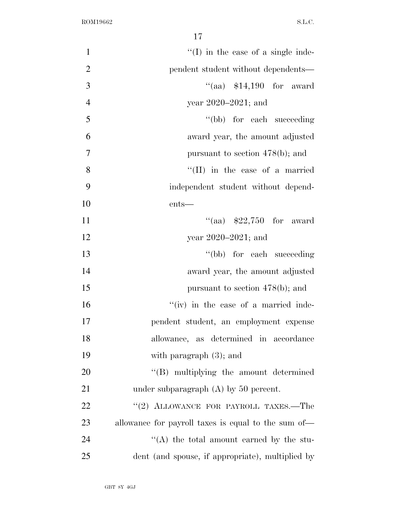| $\mathbf{1}$   | $\lq\lq$ (I) in the case of a single inde-          |
|----------------|-----------------------------------------------------|
| $\overline{2}$ | pendent student without dependents—                 |
| 3              | "(aa) $$14,190$ for award                           |
| $\overline{4}$ | year $2020 - 2021$ ; and                            |
| 5              | "(bb) for each succeeding                           |
| 6              | award year, the amount adjusted                     |
| $\overline{7}$ | pursuant to section $478(b)$ ; and                  |
| 8              | $\lq\lq$ (II) in the case of a married              |
| 9              | independent student without depend-                 |
| 10             | $ents$ —                                            |
| 11             | "(aa) $$22,750$ for award                           |
| 12             | year $2020 - 2021$ ; and                            |
| 13             | "(bb) for each succeeding                           |
| 14             | award year, the amount adjusted                     |
| 15             | pursuant to section $478(b)$ ; and                  |
| 16             | "(iv) in the case of a married inde-                |
| 17             | pendent student, an employment expense              |
| 18             | allowance, as determined in accordance              |
| 19             | with paragraph $(3)$ ; and                          |
| 20             | "(B) multiplying the amount determined              |
| 21             | under subparagraph $(A)$ by 50 percent.             |
| 22             | "(2) ALLOWANCE FOR PAYROLL TAXES.-The               |
| 23             | allowance for payroll taxes is equal to the sum of— |
| 24             | "(A) the total amount earned by the stu-            |
| 25             | dent (and spouse, if appropriate), multiplied by    |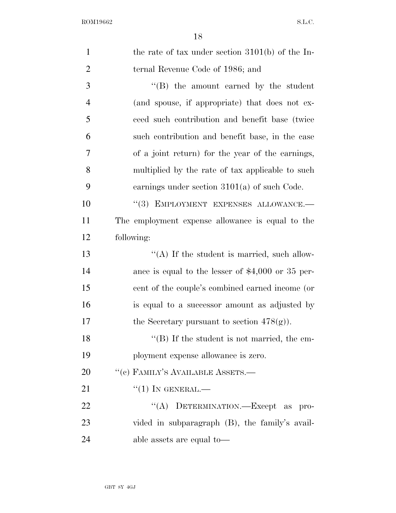| $\mathbf{1}$   | the rate of tax under section $3101(b)$ of the In-  |
|----------------|-----------------------------------------------------|
| $\overline{2}$ | ternal Revenue Code of 1986; and                    |
| 3              | $\lq\lq$ the amount earned by the student           |
| $\overline{4}$ | (and spouse, if appropriate) that does not ex-      |
| 5              | ceed such contribution and benefit base (twice)     |
| 6              | such contribution and benefit base, in the case     |
| 7              | of a joint return) for the year of the earnings,    |
| 8              | multiplied by the rate of tax applicable to such    |
| 9              | earnings under section $3101(a)$ of such Code.      |
| 10             | "(3) EMPLOYMENT EXPENSES ALLOWANCE.-                |
| 11             | The employment expense allowance is equal to the    |
| 12             | following:                                          |
| 13             | "(A) If the student is married, such allow-         |
| 14             | ance is equal to the lesser of $$4,000$ or 35 per-  |
| 15             | cent of the couple's combined earned income (or     |
| 16             | is equal to a successor amount as adjusted by       |
| 17             | the Secretary pursuant to section $478(g)$ ).       |
| 18             | $\lq\lq (B)$ If the student is not married, the em- |
| 19             | ployment expense allowance is zero.                 |
| 20             | $``(e)$ FAMILY'S AVAILABLE ASSETS.—                 |
| 21             | $``(1)$ In GENERAL.—                                |
| 22             | $\lq\lq (A)$<br>DETERMINATION.—Except as pro-       |
| 23             | vided in subparagraph (B), the family's avail-      |
| 24             | able assets are equal to—                           |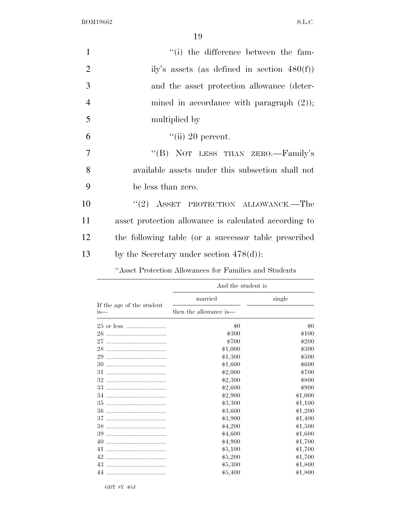19

| $\mathbf{1}$   | "(i) the difference between the fam-                  |
|----------------|-------------------------------------------------------|
| $\overline{2}$ | ily's assets (as defined in section $480(f)$ )        |
| 3              | and the asset protection allowance (deter-            |
| $\overline{4}$ | mined in accordance with paragraph $(2)$ );           |
| 5              | multiplied by                                         |
| 6              | $\lq$ <sup>"</sup> (ii) 20 percent.                   |
| $\overline{7}$ | "(B) NOT LESS THAN ZERO.—Family's                     |
| 8              | available assets under this subsection shall not      |
| 9              | be less than zero.                                    |
| 10             | "(2) ASSET PROTECTION ALLOWANCE.—The                  |
| 11             | asset protection allowance is calculated according to |
| 12             | the following table (or a successor table prescribed) |
| 13             | by the Secretary under section $478(d)$ :             |

''Asset Protection Allowances for Families and Students

|                                  | And the student is     |         |  |
|----------------------------------|------------------------|---------|--|
|                                  | married                | single  |  |
| If the age of the student<br>is— | then the allowance is— |         |  |
|                                  | \$0                    | \$0     |  |
| 26                               | \$300                  | \$100   |  |
| 27                               | \$700                  | \$200   |  |
| 28                               | \$1,000                | \$300   |  |
| 29                               | \$1,300                | \$500   |  |
| 30                               | \$1,600                | \$600   |  |
| 31                               | \$2,000                | \$700   |  |
| 32                               | \$2,300                | \$800   |  |
| 33                               | \$2,600                | \$900   |  |
| 34                               | \$2,900                | \$1,000 |  |
| 35                               | \$3,300                | \$1,100 |  |
| 36                               | \$3,600                | \$1,200 |  |
| 37                               | \$3,900                | \$1,400 |  |
| 38                               | \$4,200                | \$1,500 |  |
| 39                               | \$4,600                | \$1,600 |  |
| 40                               | \$4,900                | \$1,700 |  |
| 41                               | \$5,100                | \$1,700 |  |
| 42                               | \$5,200                | \$1,700 |  |
| 43                               | \$5,300                | \$1,800 |  |
| 44                               | \$5,400                | \$1,800 |  |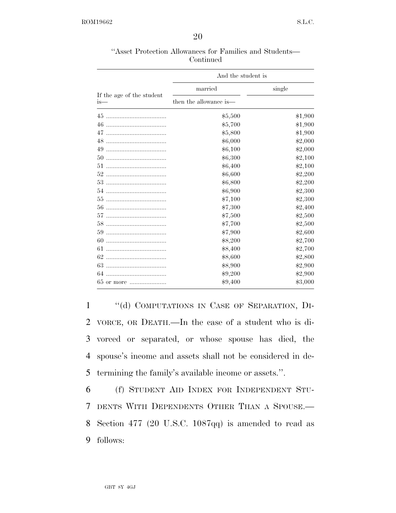| "Asset Protection Allowances for Families and Students— |  |  |  |  |  |  |
|---------------------------------------------------------|--|--|--|--|--|--|
| Continued                                               |  |  |  |  |  |  |

|                                    | And the student is     |         |  |
|------------------------------------|------------------------|---------|--|
|                                    | married                | single  |  |
| If the age of the student<br>$is-$ | then the allowance is— |         |  |
| 45                                 | \$5,500                | \$1,900 |  |
| 46                                 | \$5,700                | \$1,900 |  |
| 47                                 | \$5,800                | \$1,900 |  |
| 48                                 | \$6,000                | \$2,000 |  |
| 49                                 | \$6,100                | \$2,000 |  |
| 50                                 | \$6,300                | \$2,100 |  |
| 51                                 | \$6,400                | \$2,100 |  |
|                                    | \$6,600                | \$2,200 |  |
|                                    | \$6,800                | \$2,200 |  |
|                                    | \$6,900                | \$2,300 |  |
| 55                                 | \$7,100                | \$2,300 |  |
| 56                                 | \$7,300                | \$2,400 |  |
| 57                                 | \$7,500                | \$2,500 |  |
|                                    | \$7,700                | \$2,500 |  |
| 59                                 | \$7,900                | \$2,600 |  |
| 60                                 | \$8,200                | \$2,700 |  |
| 61                                 | \$8,400                | \$2,700 |  |
| 62                                 |                        |         |  |
| 63                                 | \$8,600                | \$2,800 |  |
|                                    | \$8,900                | \$2,900 |  |
| 64                                 | \$9,200                | \$2,900 |  |
| 65 or more                         | \$9,400                | \$3,000 |  |

 ''(d) COMPUTATIONS IN CASE OF SEPARATION, DI- VORCE, OR DEATH.—In the case of a student who is di- vorced or separated, or whose spouse has died, the spouse's income and assets shall not be considered in de-termining the family's available income or assets.''.

 (f) STUDENT AID INDEX FOR INDEPENDENT STU- DENTS WITH DEPENDENTS OTHER THAN A SPOUSE.— Section 477 (20 U.S.C. 1087qq) is amended to read as 9 follows: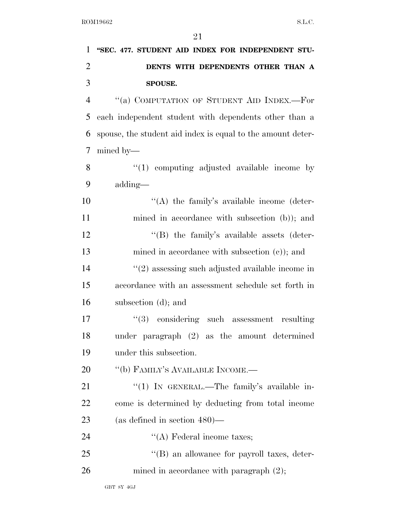| $\mathbf{1}$   | "SEC. 477. STUDENT AID INDEX FOR INDEPENDENT STU-           |
|----------------|-------------------------------------------------------------|
| $\overline{2}$ | DENTS WITH DEPENDENTS OTHER THAN A                          |
| 3              | SPOUSE.                                                     |
| $\overline{4}$ | "(a) COMPUTATION OF STUDENT AID INDEX.-For                  |
| 5              | each independent student with dependents other than a       |
| 6              | spouse, the student aid index is equal to the amount deter- |
| $\tau$         | $mined$ by—                                                 |
| 8              | $\lq(1)$ computing adjusted available income by             |
| 9              | adding—                                                     |
| 10             | $\lq\lq$ the family's available income (deter-              |
| 11             | mined in accordance with subsection (b)); and               |
| 12             | $\lq\lq$ the family's available assets (deter-              |
| 13             | mined in accordance with subsection $(c)$ ; and             |
| 14             | $\lq(2)$ assessing such adjusted available income in        |
| 15             | accordance with an assessment schedule set forth in         |
| 16             | subsection (d); and                                         |
| 17             | $(3)$ considering such assessment<br>resulting              |
| 18             | under paragraph (2) as the amount determined                |
| 19             | under this subsection.                                      |
| 20             | "(b) FAMILY'S AVAILABLE INCOME.-                            |
| 21             | "(1) IN GENERAL.—The family's available in-                 |
| 22             | come is determined by deducting from total income           |
| 23             | (as defined in section $480$ )—                             |
| 24             | $\lq\lq$ Federal income taxes;                              |
| 25             | "(B) an allowance for payroll taxes, deter-                 |
| 26             | mined in accordance with paragraph $(2)$ ;                  |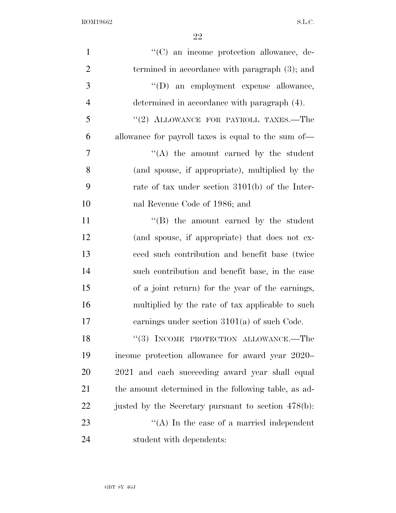| $\mathbf{1}$   | "(C) an income protection allowance, de-             |
|----------------|------------------------------------------------------|
| $\mathbf{2}$   | termined in accordance with paragraph (3); and       |
| 3              | "(D) an employment expense allowance,                |
| $\overline{4}$ | determined in accordance with paragraph (4).         |
| $\mathfrak{S}$ | "(2) ALLOWANCE FOR PAYROLL TAXES.-The                |
| 6              | allowance for payroll taxes is equal to the sum of—  |
| $\tau$         | $\lq\lq$ the amount earned by the student            |
| 8              | (and spouse, if appropriate), multiplied by the      |
| 9              | rate of tax under section $3101(b)$ of the Inter-    |
| 10             | nal Revenue Code of 1986; and                        |
| 11             | $\lq\lq$ the amount earned by the student            |
| 12             | (and spouse, if appropriate) that does not ex-       |
| 13             | ceed such contribution and benefit base (twice       |
| 14             | such contribution and benefit base, in the case      |
| 15             | of a joint return) for the year of the earnings,     |
| 16             | multiplied by the rate of tax applicable to such     |
| 17             | earnings under section $3101(a)$ of such Code.       |
| 18             | $``(3)$ INCOME PROTECTION ALLOWANCE.—The             |
| 19             | income protection allowance for award year 2020–     |
| 20             | 2021 and each succeeding award year shall equal      |
| 21             | the amount determined in the following table, as ad- |
| 22             | justed by the Secretary pursuant to section 478(b):  |
| 23             | "(A) In the case of a married independent            |
| 24             | student with dependents:                             |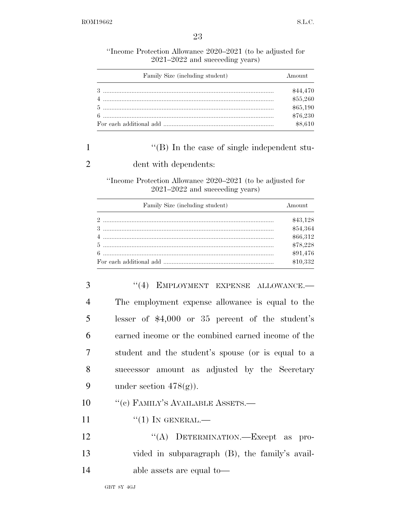''Income Protection Allowance 2020–2021 (to be adjusted for 2021–2022 and succeeding years)

| Family Size (including student) | Amount   |
|---------------------------------|----------|
|                                 | \$44,470 |
|                                 | \$55,260 |
|                                 | \$65,190 |
|                                 | \$76,230 |
|                                 | \$8,610  |

# 1 ''(B) In the case of single independent stu-

## 2 dent with dependents:

''Income Protection Allowance 2020–2021 (to be adjusted for 2021–2022 and succeeding years)

| Family Size (including student) | Amount   |
|---------------------------------|----------|
|                                 | \$43,128 |
|                                 | \$54,364 |
|                                 | \$66,312 |
|                                 | \$78,228 |
|                                 | \$91,476 |
|                                 | \$10,332 |

3 "(4) EMPLOYMENT EXPENSE ALLOWANCE.— The employment expense allowance is equal to the lesser of \$4,000 or 35 percent of the student's earned income or the combined earned income of the student and the student's spouse (or is equal to a successor amount as adjusted by the Secretary 9 under section  $478(g)$ ). 10 "(c) FAMILY'S AVAILABLE ASSETS.—

- 11  $\frac{((1) \text{IN} \text{GENERAL}}{((1) \text{IN} \text{QENERAL})}$
- 12 "(A) DETERMINATION.—Except as pro-13 vided in subparagraph (B), the family's avail-14 able assets are equal to—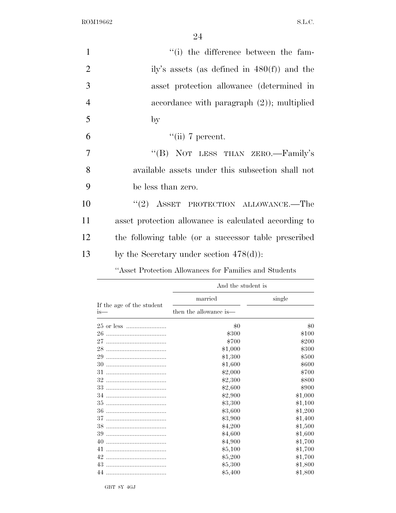24

| "(i) the difference between the fam-                  |
|-------------------------------------------------------|
| ily's assets (as defined in $480(f)$ ) and the        |
| asset protection allowance (determined in             |
| accordance with paragraph $(2)$ ; multiplied          |
| $_{\rm by}$                                           |
| $\lq\lq$ (ii) 7 percent.                              |
| "(B) NOT LESS THAN ZERO.—Family's                     |
| available assets under this subsection shall not      |
| be less than zero.                                    |
| "(2) ASSET PROTECTION ALLOWANCE.—The                  |
| asset protection allowance is calculated according to |
| the following table (or a successor table prescribed  |
| by the Secretary under section $478(d)$ :             |
|                                                       |

''Asset Protection Allowances for Families and Students

|                                     | And the student is     |         |  |
|-------------------------------------|------------------------|---------|--|
|                                     | married                | single  |  |
| If the age of the student<br>$1S$ — | then the allowance is— |         |  |
| 25 or less                          | $\$0$                  | \$0     |  |
| 26                                  | \$300                  | \$100   |  |
| 27                                  | \$700                  | \$200   |  |
| 28                                  | \$1,000                | \$300   |  |
| 29                                  | \$1,300                | \$500   |  |
| 30                                  | \$1,600                | \$600   |  |
| 31                                  | \$2,000                | \$700   |  |
| 32                                  | \$2,300                | \$800   |  |
| 33                                  | \$2,600                | \$900   |  |
| 34                                  | \$2,900                | \$1,000 |  |
| 35                                  | \$3,300                | \$1,100 |  |
| 36                                  | \$3,600                | \$1,200 |  |
| 37                                  | \$3,900                | \$1,400 |  |
| 38                                  | \$4,200                | \$1,500 |  |
| 39                                  | \$4,600                | \$1,600 |  |
| 40                                  | \$4,900                | \$1,700 |  |
| 41                                  | \$5,100                | \$1,700 |  |
| 42                                  | \$5,200                | \$1,700 |  |
| 43                                  | \$5,300                | \$1,800 |  |
| 44                                  | \$5,400                | \$1,800 |  |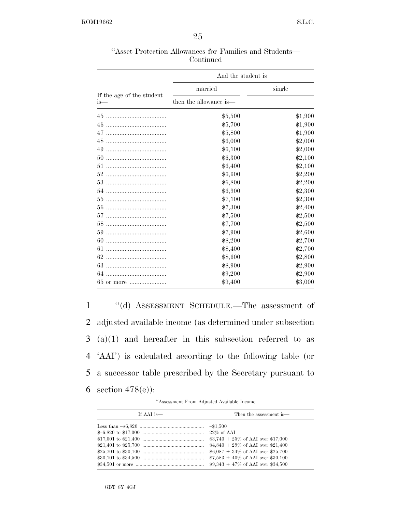| "Asset Protection Allowances for Families and Students— |           |  |  |
|---------------------------------------------------------|-----------|--|--|
|                                                         | Continued |  |  |

|                                  | And the student is     |         |
|----------------------------------|------------------------|---------|
|                                  | married                | single  |
| If the age of the student<br>is— | then the allowance is— |         |
|                                  | \$5,500                | \$1,900 |
| 46                               | \$5,700                | \$1,900 |
| 47                               | \$5,800                | \$1,900 |
| 48                               | \$6,000                | \$2,000 |
| 49                               | \$6,100                | \$2,000 |
| 50                               | \$6,300                | \$2,100 |
| 51                               | \$6,400                | \$2,100 |
| 52                               | \$6,600                | \$2,200 |
|                                  | \$6,800                | \$2,200 |
|                                  | \$6,900                | \$2,300 |
| 55                               | \$7,100                | \$2,300 |
| 56                               | \$7,300                | \$2,400 |
| 57                               | \$7,500                | \$2,500 |
|                                  | \$7,700                | \$2,500 |
| 59                               | \$7,900                | \$2,600 |
| 60                               | \$8,200                | \$2,700 |
| 61                               | \$8,400                | \$2,700 |
| 62                               | \$8,600                | \$2,800 |
| 63                               | \$8,900                | \$2,900 |
| 64                               |                        |         |
|                                  | \$9,200                | \$2,900 |
|                                  | \$9,400                | \$3,000 |

 ''(d) ASSESSMENT SCHEDULE.—The assessment of adjusted available income (as determined under subsection (a)(1) and hereafter in this subsection referred to as 'AAI') is calculated according to the following table (or a successor table prescribed by the Secretary pursuant to section 478(e)):

''Assessment From Adjusted Available Income

| If AAI is— | Then the assessment is—               |
|------------|---------------------------------------|
|            |                                       |
|            |                                       |
|            | $\$3,740 + 25\%$ of AAI over \$17,000 |
|            | $$4,840 + 29\%$ of AAI over \$21,400  |
|            | $$6,087 + 34\%$ of AAI over \$25,700  |
|            | $$7,583 + 40\%$ of AAI over \$30,100  |
|            | $$9,343 + 47\%$ of AAI over \$34,500  |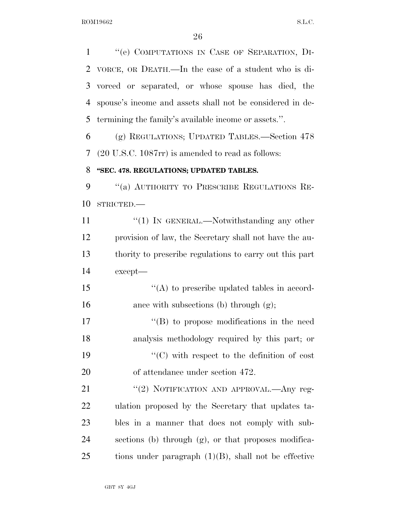''(e) COMPUTATIONS IN CASE OF SEPARATION, DI- VORCE, OR DEATH.—In the case of a student who is di- vorced or separated, or whose spouse has died, the spouse's income and assets shall not be considered in de- termining the family's available income or assets.''. (g) REGULATIONS; UPDATED TABLES.—Section 478 (20 U.S.C. 1087rr) is amended to read as follows: **''SEC. 478. REGULATIONS; UPDATED TABLES.**  9 "(a) AUTHORITY TO PRESCRIBE REGULATIONS RE- STRICTED.— 11 "'(1) IN GENERAL.—Notwithstanding any other provision of law, the Secretary shall not have the au- thority to prescribe regulations to carry out this part except— 15 "(A) to prescribe updated tables in accord-16 ance with subsections (b) through (g);  $\langle G \rangle$  to propose modifications in the need analysis methodology required by this part; or  $\cdot$  (C) with respect to the definition of cost of attendance under section 472. 21 "(2) NOTIFICATION AND APPROVAL.—Any reg- ulation proposed by the Secretary that updates ta- bles in a manner that does not comply with sub-sections (b) through (g), or that proposes modifica-

tions under paragraph  $(1)(B)$ , shall not be effective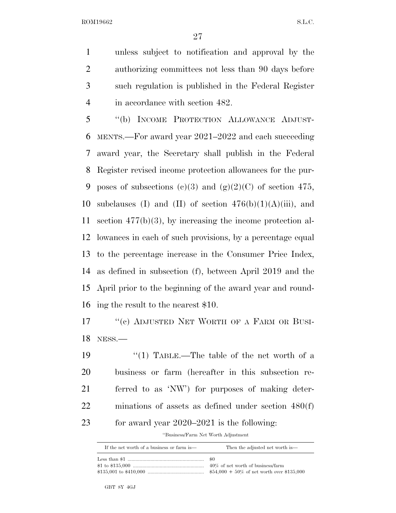unless subject to notification and approval by the authorizing committees not less than 90 days before such regulation is published in the Federal Register 4 in accordance with section 482.

 ''(b) INCOME PROTECTION ALLOWANCE ADJUST- MENTS.—For award year 2021–2022 and each succeeding award year, the Secretary shall publish in the Federal Register revised income protection allowances for the pur-9 poses of subsections (c)(3) and (g)(2)(C) of section 475, 10 subclauses (I) and (II) of section  $476(b)(1)(A)(iii)$ , and section 477(b)(3), by increasing the income protection al- lowances in each of such provisions, by a percentage equal to the percentage increase in the Consumer Price Index, as defined in subsection (f), between April 2019 and the April prior to the beginning of the award year and round-ing the result to the nearest \$10.

17 "(c) ADJUSTED NET WORTH OF A FARM OR BUSI-NESS.—

19 ''(1) TABLE.—The table of the net worth of a business or farm (hereafter in this subsection re- ferred to as 'NW') for purposes of making deter- minations of assets as defined under section 480(f) for award year 2020–2021 is the following:

''Business/Farm Net Worth Adjustment

| If the net worth of a business or farm is— | Then the adjusted net worth is—    |
|--------------------------------------------|------------------------------------|
|                                            |                                    |
|                                            | 40\% of net worth of business farm |
|                                            |                                    |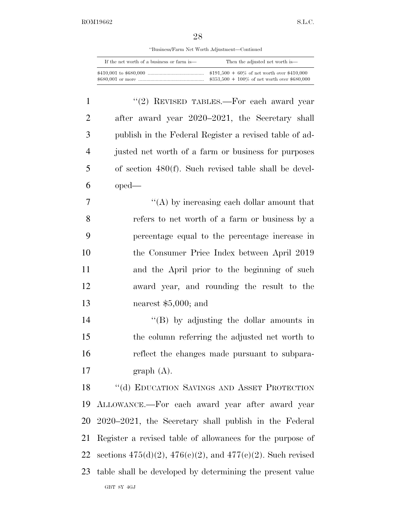''Business/Farm Net Worth Adjustment—Continued

| If the net worth of a business or farm is— | Then the adjusted net worth is—                |
|--------------------------------------------|------------------------------------------------|
|                                            | $$191,500 + 60\%$ of net worth over \$410,000  |
|                                            | $$353,500 + 100\%$ of net worth over \$680,000 |

1 "(2) REVISED TABLES.—For each award year after award year 2020–2021, the Secretary shall publish in the Federal Register a revised table of ad- justed net worth of a farm or business for purposes of section 480(f). Such revised table shall be devel-oped—

 $\langle (A) \rangle$  by increasing each dollar amount that refers to net worth of a farm or business by a percentage equal to the percentage increase in the Consumer Price Index between April 2019 and the April prior to the beginning of such award year, and rounding the result to the nearest \$5,000; and

 ''(B) by adjusting the dollar amounts in the column referring the adjusted net worth to reflect the changes made pursuant to subpara-graph (A).

GBT 8Y 4GJ 18 "(d) EDUCATION SAVINGS AND ASSET PROTECTION ALLOWANCE.—For each award year after award year 2020–2021, the Secretary shall publish in the Federal Register a revised table of allowances for the purpose of 22 sections  $475(d)(2)$ ,  $476(e)(2)$ , and  $477(e)(2)$ . Such revised table shall be developed by determining the present value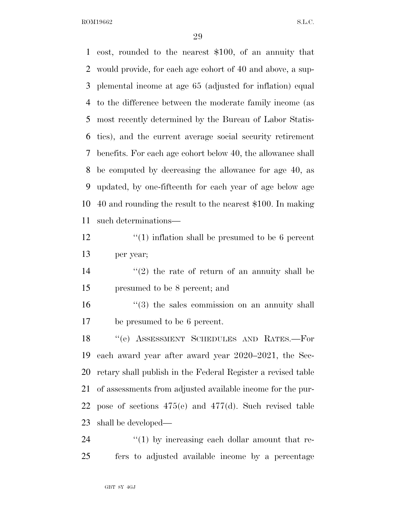cost, rounded to the nearest \$100, of an annuity that would provide, for each age cohort of 40 and above, a sup- plemental income at age 65 (adjusted for inflation) equal to the difference between the moderate family income (as most recently determined by the Bureau of Labor Statis- tics), and the current average social security retirement benefits. For each age cohort below 40, the allowance shall be computed by decreasing the allowance for age 40, as updated, by one-fifteenth for each year of age below age 40 and rounding the result to the nearest \$100. In making such determinations—

12 ''(1) inflation shall be presumed to be 6 percent per year;

14  $(2)$  the rate of return of an annuity shall be presumed to be 8 percent; and

16 ''(3) the sales commission on an annuity shall be presumed to be 6 percent.

 ''(e) ASSESSMENT SCHEDULES AND RATES.—For each award year after award year 2020–2021, the Sec- retary shall publish in the Federal Register a revised table of assessments from adjusted available income for the pur- pose of sections 475(e) and 477(d). Such revised table shall be developed—

24  $\frac{1}{2}$  (1) by increasing each dollar amount that re-fers to adjusted available income by a percentage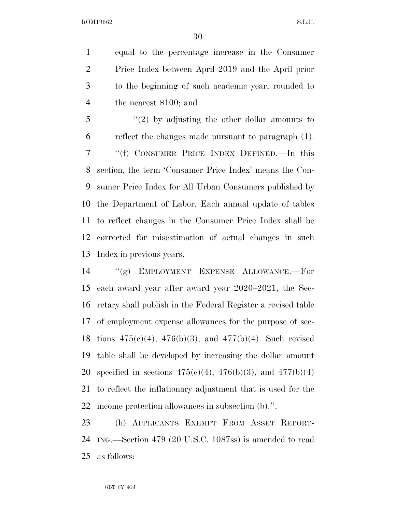equal to the percentage increase in the Consumer Price Index between April 2019 and the April prior to the beginning of such academic year, rounded to the nearest \$100; and

 ''(2) by adjusting the other dollar amounts to reflect the changes made pursuant to paragraph (1). ''(f) CONSUMER PRICE INDEX DEFINED.—In this section, the term 'Consumer Price Index' means the Con- sumer Price Index for All Urban Consumers published by the Department of Labor. Each annual update of tables to reflect changes in the Consumer Price Index shall be corrected for misestimation of actual changes in such Index in previous years.

 ''(g) EMPLOYMENT EXPENSE ALLOWANCE.—For each award year after award year 2020–2021, the Sec- retary shall publish in the Federal Register a revised table of employment expense allowances for the purpose of sec-18 tions  $475(c)(4)$ ,  $476(b)(3)$ , and  $477(b)(4)$ . Such revised table shall be developed by increasing the dollar amount 20 specified in sections  $475(c)(4)$ ,  $476(b)(3)$ , and  $477(b)(4)$  to reflect the inflationary adjustment that is used for the income protection allowances in subsection (b).''.

 (h) APPLICANTS EXEMPT FROM ASSET REPORT- ING.—Section 479 (20 U.S.C. 1087ss) is amended to read as follows: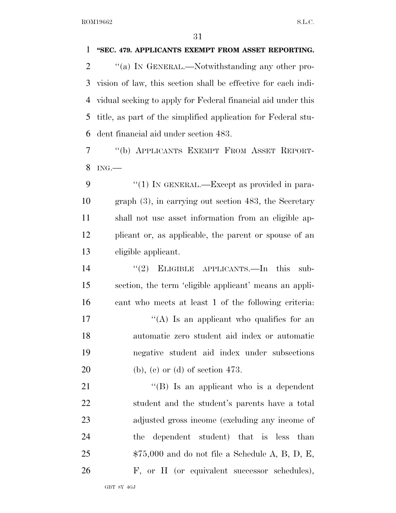**''SEC. 479. APPLICANTS EXEMPT FROM ASSET REPORTING.**   $\gamma$  (a) In GENERAL.—Notwithstanding any other pro- vision of law, this section shall be effective for each indi- vidual seeking to apply for Federal financial aid under this title, as part of the simplified application for Federal stu- dent financial aid under section 483. ''(b) APPLICANTS EXEMPT FROM ASSET REPORT- ING.— 9 "(1) IN GENERAL.—Except as provided in para- graph (3), in carrying out section 483, the Secretary shall not use asset information from an eligible ap- plicant or, as applicable, the parent or spouse of an eligible applicant. 14 "(2) ELIGIBLE APPLICANTS.—In this sub- section, the term 'eligible applicant' means an appli- cant who meets at least 1 of the following criteria:  $\langle (A)$  Is an applicant who qualifies for an automatic zero student aid index or automatic negative student aid index under subsections (b), (c) or (d) of section 473. 21 ''(B) Is an applicant who is a dependent student and the student's parents have a total adjusted gross income (excluding any income of the dependent student) that is less than \$75,000 and do not file a Schedule A, B, D, E, F, or H (or equivalent successor schedules),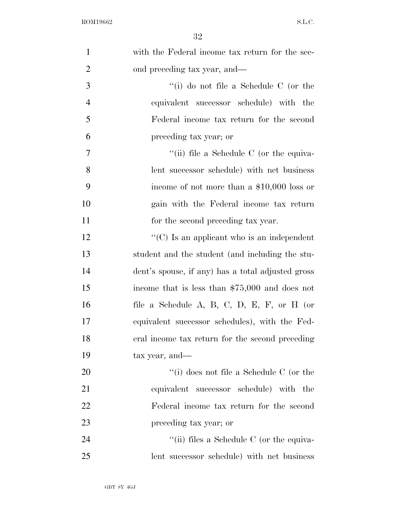| $\mathbf{1}$   | with the Federal income tax return for the sec-   |
|----------------|---------------------------------------------------|
| $\overline{2}$ | ond preceding tax year, and—                      |
| 3              | "(i) do not file a Schedule $C$ (or the           |
| $\overline{4}$ | equivalent successor schedule) with the           |
| 5              | Federal income tax return for the second          |
| 6              | preceding tax year; or                            |
| 7              | "(ii) file a Schedule C (or the equiva-           |
| 8              | lent successor schedule) with net business        |
| 9              | income of not more than a $$10,000$ loss or       |
| 10             | gain with the Federal income tax return           |
| 11             | for the second preceding tax year.                |
| 12             | " $(C)$ Is an applicant who is an independent     |
| 13             | student and the student (and including the stu-   |
| 14             | dent's spouse, if any) has a total adjusted gross |
| 15             | income that is less than $$75,000$ and does not   |
| 16             | file a Schedule A, B, C, D, E, F, or H (or        |
| 17             | equivalent successor schedules), with the Fed-    |
| 18             | eral income tax return for the second preceding   |
| 19             | tax year, and—                                    |
| 20             | "(i) does not file a Schedule C (or the           |
| 21             | equivalent successor schedule) with the           |
| 22             | Federal income tax return for the second          |
| 23             | preceding tax year; or                            |
| 24             | "(ii) files a Schedule C (or the equiva-          |
| 25             | lent successor schedule) with net business        |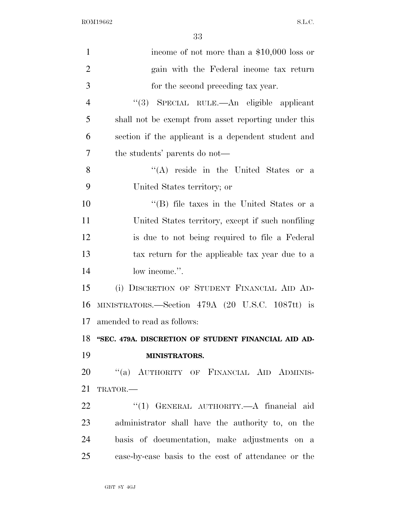| $\mathbf{1}$   | income of not more than a $$10,000$ loss or         |
|----------------|-----------------------------------------------------|
| $\overline{2}$ | gain with the Federal income tax return             |
| 3              | for the second preceding tax year.                  |
| $\overline{4}$ | "(3) SPECIAL RULE.—An eligible applicant            |
| 5              | shall not be exempt from asset reporting under this |
| 6              | section if the applicant is a dependent student and |
| 7              | the students' parents do not—                       |
| 8              | "(A) reside in the United States or a               |
| 9              | United States territory; or                         |
| 10             | "(B) file taxes in the United States or a           |
| 11             | United States territory, except if such nonfiling   |
| 12             | is due to not being required to file a Federal      |
| 13             | tax return for the applicable tax year due to a     |
| 14             | low income.".                                       |
| 15             | (i) DISCRETION OF STUDENT FINANCIAL AID AD-         |
| 16             | MINISTRATORS.—Section 479A (20 U.S.C. 1087tt) is    |
| 17             | amended to read as follows:                         |
| 18             | "SEC. 479A. DISCRETION OF STUDENT FINANCIAL AID AD- |
| 19             | MINISTRATORS.                                       |
| 20             | "(a) AUTHORITY OF FINANCIAL AID ADMINIS-            |
| 21             | TRATOR.-                                            |
| 22             | "(1) GENERAL AUTHORITY.—A financial aid             |
| 23             | administrator shall have the authority to, on the   |
| 24             | basis of documentation, make adjustments on a       |
| 25             | case-by-case basis to the cost of attendance or the |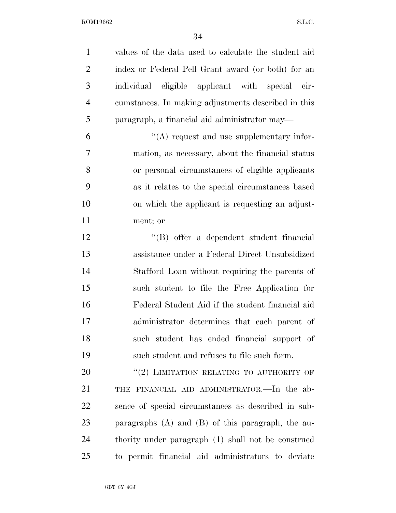| $\mathbf{1}$   | values of the data used to calculate the student aid  |
|----------------|-------------------------------------------------------|
| $\overline{2}$ | index or Federal Pell Grant award (or both) for an    |
| 3              | individual eligible applicant with special cir-       |
| $\overline{4}$ | cumstances. In making adjustments described in this   |
| 5              | paragraph, a financial aid administrator may-         |
| 6              | $\lq\lq$ request and use supplementary infor-         |
| $\overline{7}$ | mation, as necessary, about the financial status      |
| 8              | or personal circumstances of eligible applicants      |
| 9              | as it relates to the special circumstances based      |
| 10             | on which the applicant is requesting an adjust-       |
| 11             | ment; or                                              |
| 12             | "(B) offer a dependent student financial              |
| 13             | assistance under a Federal Direct Unsubsidized        |
| 14             | Stafford Loan without requiring the parents of        |
| 15             | such student to file the Free Application for         |
| 16             | Federal Student Aid if the student financial aid      |
| 17             | administrator determines that each parent of          |
| 18             | such student has ended financial support of           |
| 19             | such student and refuses to file such form.           |
| 20             | "(2) LIMITATION RELATING TO AUTHORITY OF              |
| 21             | THE FINANCIAL AID ADMINISTRATOR.—In the ab-           |
| 22             | sence of special circumstances as described in sub-   |
| 23             | paragraphs $(A)$ and $(B)$ of this paragraph, the au- |
| 24             | thority under paragraph (1) shall not be construed    |
| 25             | to permit financial aid administrators to deviate     |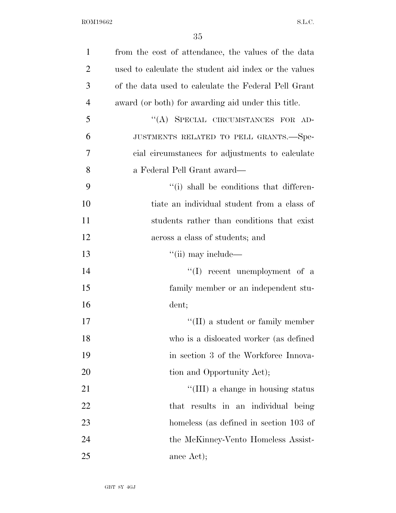| $\mathbf{1}$   | from the cost of attendance, the values of the data   |
|----------------|-------------------------------------------------------|
| $\overline{2}$ | used to calculate the student aid index or the values |
| 3              | of the data used to calculate the Federal Pell Grant  |
| $\overline{4}$ | award (or both) for awarding aid under this title.    |
| 5              | "(A) SPECIAL CIRCUMSTANCES FOR AD-                    |
| 6              | JUSTMENTS RELATED TO PELL GRANTS.-Spe-                |
| 7              | cial circumstances for adjustments to calculate       |
| 8              | a Federal Pell Grant award—                           |
| 9              | "(i) shall be conditions that differen-               |
| 10             | tiate an individual student from a class of           |
| 11             | students rather than conditions that exist            |
| 12             | across a class of students; and                       |
| 13             | $\lq\lq$ (ii) may include—                            |
| 14             | $\lq\lq$ recent unemployment of a                     |
| 15             | family member or an independent stu-                  |
| 16             | dent;                                                 |
| 17             | $\lq\lq$ (II) a student or family member              |
| 18             | who is a dislocated worker (as defined                |
| 19             | in section 3 of the Workforce Innova-                 |
| 20             | tion and Opportunity Act);                            |
| 21             | "(III) a change in housing status                     |
| 22             | that results in an individual being                   |
| 23             | homeless (as defined in section 103 of                |
| 24             | the McKinney-Vento Homeless Assist-                   |
| 25             | ance Act);                                            |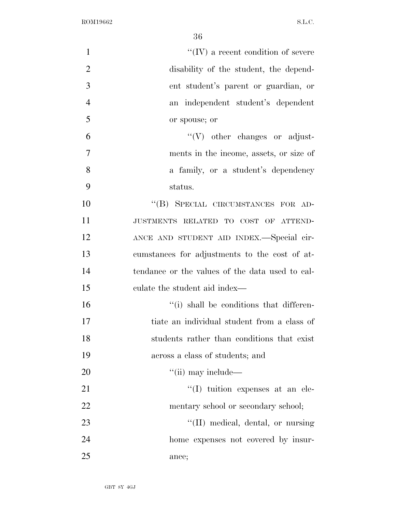| $\mathbf{1}$   | $\lq\lq$ (IV) a recent condition of severe      |
|----------------|-------------------------------------------------|
| $\overline{2}$ | disability of the student, the depend-          |
| 3              | ent student's parent or guardian, or            |
| $\overline{4}$ | an independent student's dependent              |
| 5              | or spouse; or                                   |
| 6              | $\lq\lq(V)$ other changes or adjust-            |
| 7              | ments in the income, assets, or size of         |
| 8              | a family, or a student's dependency             |
| 9              | status.                                         |
| 10             | "(B) SPECIAL CIRCUMSTANCES FOR AD-              |
| 11             | JUSTMENTS RELATED TO COST OF ATTEND-            |
| 12             | ANCE AND STUDENT AID INDEX.-Special cir-        |
| 13             | cumstances for adjustments to the cost of at-   |
| 14             | tendance or the values of the data used to cal- |
| 15             | culate the student aid index—                   |
| 16             | "(i) shall be conditions that differen-         |
| 17             | tiate an individual student from a class of     |
| 18             | students rather than conditions that exist      |
| 19             | across a class of students; and                 |
| 20             | $\lq\lq$ (ii) may include—                      |
| 21             | $\lq(1)$ tuition expenses at an ele-            |
| 22             | mentary school or secondary school;             |
| 23             | "(II) medical, dental, or nursing               |
| 24             | home expenses not covered by insur-             |
| 25             | ance;                                           |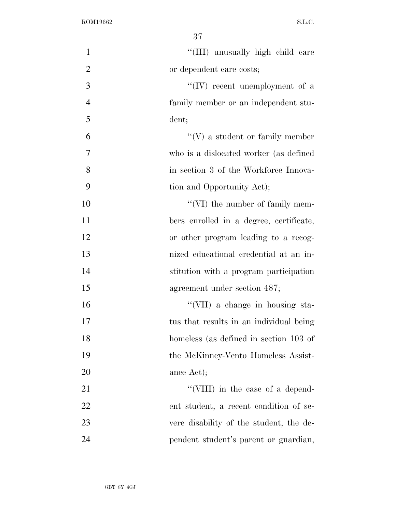| $\mathbf{1}$   | "(III) unusually high child care        |
|----------------|-----------------------------------------|
| $\overline{2}$ | or dependent care costs;                |
| 3              | $\lq\lq (IV)$ recent unemployment of a  |
| $\overline{4}$ | family member or an independent stu-    |
| 5              | dent;                                   |
| 6              | $``(V)$ a student or family member      |
| $\overline{7}$ | who is a dislocated worker (as defined  |
| 8              | in section 3 of the Workforce Innova-   |
| 9              | tion and Opportunity Act);              |
| 10             | $\lq\lq$ (VI) the number of family mem- |
| 11             | bers enrolled in a degree, certificate, |
| 12             | or other program leading to a recog-    |
| 13             | nized educational credential at an in-  |
| 14             | stitution with a program participation  |
| 15             | agreement under section 487;            |
| 16             | "(VII) a change in housing sta-         |
| 17             | tus that results in an individual being |
| 18             | homeless (as defined in section 103 of  |
| 19             | the McKinney-Vento Homeless Assist-     |
| 20             | ance Act);                              |
| 21             | "(VIII) in the case of a depend-        |
| 22             | ent student, a recent condition of se-  |
| 23             | vere disability of the student, the de- |
| 24             | pendent student's parent or guardian,   |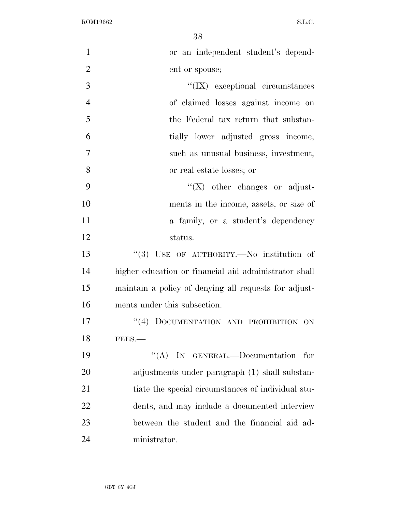| $\mathbf{1}$   | or an independent student's depend-                   |
|----------------|-------------------------------------------------------|
| $\overline{2}$ | ent or spouse;                                        |
| 3              | $\lq\lq$ (IX) exceptional circumstances               |
| $\overline{4}$ | of claimed losses against income on                   |
| 5              | the Federal tax return that substan-                  |
| 6              | tially lower adjusted gross income,                   |
| $\overline{7}$ | such as unusual business, investment,                 |
| 8              | or real estate losses; or                             |
| 9              | $\lq\lq (X)$ other changes or adjust-                 |
| 10             | ments in the income, assets, or size of               |
| 11             | a family, or a student's dependency                   |
| 12             | status.                                               |
| 13             | "(3) USE OF AUTHORITY.-No institution of              |
| 14             | higher education or financial aid administrator shall |
| 15             | maintain a policy of denying all requests for adjust- |
| 16             | ments under this subsection.                          |
| 17             | "(4) DOCUMENTATION AND PROHIBITION ON                 |
| 18             | FEES.                                                 |
| 19             | "(A) IN GENERAL.—Documentation for                    |
| 20             | adjustments under paragraph (1) shall substan-        |
| 21             | tiate the special circumstances of individual stu-    |
| 22             | dents, and may include a documented interview         |
| 23             | between the student and the financial aid ad-         |
| 24             | ministrator.                                          |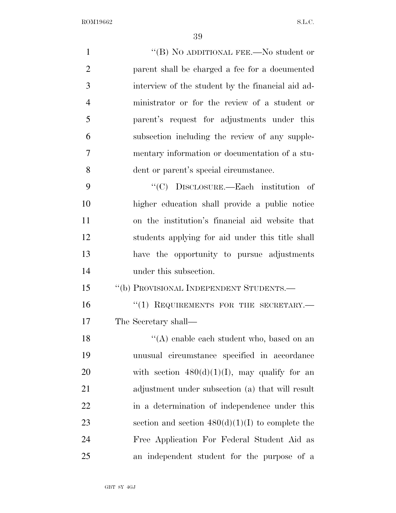| $\mathbf{1}$   | "(B) NO ADDITIONAL FEE.—No student or              |
|----------------|----------------------------------------------------|
| $\overline{2}$ | parent shall be charged a fee for a documented     |
| 3              | interview of the student by the financial aid ad-  |
| $\overline{4}$ | ministrator or for the review of a student or      |
| 5              | parent's request for adjustments under this        |
| 6              | subsection including the review of any supple-     |
| 7              | mentary information or documentation of a stu-     |
| 8              | dent or parent's special circumstance.             |
| 9              | "(C) DISCLOSURE.—Each institution of               |
| 10             | higher education shall provide a public notice     |
| 11             | on the institution's financial aid website that    |
| 12             | students applying for aid under this title shall   |
| 13             | have the opportunity to pursue adjustments         |
| 14             | under this subsection.                             |
| 15             | "(b) PROVISIONAL INDEPENDENT STUDENTS.-            |
| 16             | "(1) REQUIREMENTS FOR THE SECRETARY.-              |
| 17             | The Secretary shall—                               |
| 18             | "(A) enable each student who, based on an          |
| 19             | unusual circumstance specified in accordance       |
| 20             | with section $480(d)(1)(I)$ , may qualify for an   |
| 21             | adjustment under subsection (a) that will result   |
| 22             | in a determination of independence under this      |
| 23             | section and section $480(d)(1)(I)$ to complete the |
| 24             | Free Application For Federal Student Aid as        |
| 25             | an independent student for the purpose of a        |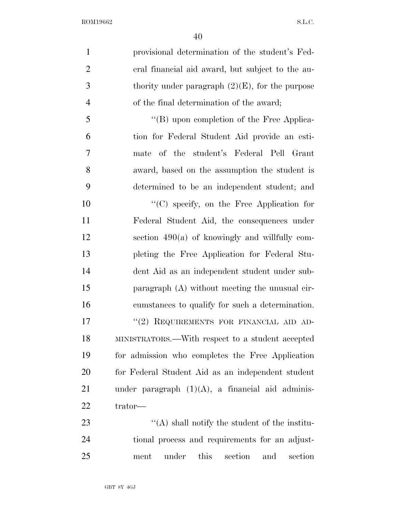| provisional determination of the student's Fed-     |
|-----------------------------------------------------|
| eral financial aid award, but subject to the au-    |
| thority under paragraph $(2)(E)$ , for the purpose  |
| of the final determination of the award;            |
| "(B) upon completion of the Free Applica-           |
| tion for Federal Student Aid provide an esti-       |
| mate of the student's Federal Pell Grant            |
| award, based on the assumption the student is       |
| determined to be an independent student; and        |
| $\lq\lq$ specify, on the Free Application for       |
| Federal Student Aid, the consequences under         |
| section $490(a)$ of knowingly and willfully com-    |
| pleting the Free Application for Federal Stu-       |
| dent Aid as an independent student under sub-       |
| paragraph (A) without meeting the unusual cir-      |
| cumstances to qualify for such a determination.     |
| "(2) REQUIREMENTS FOR FINANCIAL AID AD-             |
| MINISTRATORS.—With respect to a student accepted    |
| for admission who completes the Free Application    |
| for Federal Student Aid as an independent student   |
| under paragraph $(1)(A)$ , a financial aid adminis- |
| trator—                                             |
| $\lq\lq$ shall notify the student of the institu-   |
|                                                     |

 tional process and requirements for an adjust-ment under this section and section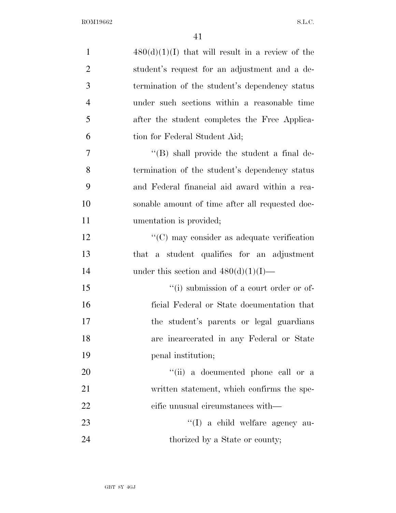| $\mathbf{1}$   | $480(d)(1)(I)$ that will result in a review of the |
|----------------|----------------------------------------------------|
| $\overline{2}$ | student's request for an adjustment and a de-      |
| 3              | termination of the student's dependency status     |
| $\overline{4}$ | under such sections within a reasonable time       |
| 5              | after the student completes the Free Applica-      |
| 6              | tion for Federal Student Aid;                      |
| 7              | $\lq\lq (B)$ shall provide the student a final de- |
| 8              | termination of the student's dependency status     |
| 9              | and Federal financial aid award within a rea-      |
| 10             | sonable amount of time after all requested doc-    |
| 11             | umentation is provided;                            |
| 12             | $\lq\lq$ (C) may consider as adequate verification |
| 13             | a student qualifies for an adjustment<br>that      |
| 14             | under this section and $480(d)(1)(I)$ —            |
| 15             | "(i) submission of a court order or of-            |
| 16             | ficial Federal or State documentation that         |
| 17             | the student's parents or legal guardians           |
| 18             | are incarcerated in any Federal or State           |
| 19             | penal institution;                                 |
| 20             | "(ii) a documented phone call or a                 |
| 21             | written statement, which confirms the spe-         |
| 22             | eific unusual circumstances with—                  |
| 23             | "(I) a child welfare agency au-                    |
| 24             | thorized by a State or county;                     |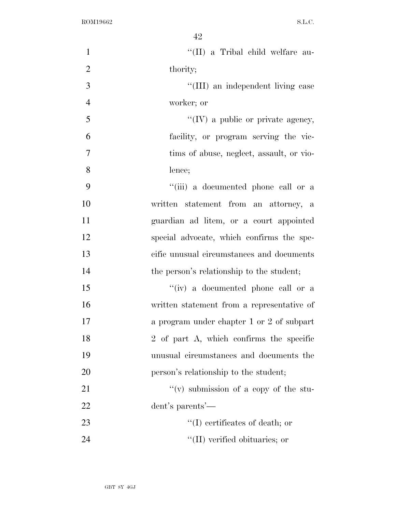| $\mathbf{1}$   | "(II) a Tribal child welfare au-           |
|----------------|--------------------------------------------|
| $\overline{2}$ | thority;                                   |
| 3              | "(III) an independent living case          |
| $\overline{4}$ | worker; or                                 |
| 5              | $\lq\lq$ (IV) a public or private agency,  |
| 6              | facility, or program serving the vic-      |
| $\tau$         | tims of abuse, neglect, assault, or vio-   |
| 8              | lence;                                     |
| 9              | "(iii) a documented phone call or a        |
| 10             | written statement from an attorney, a      |
| 11             | guardian ad litem, or a court appointed    |
| 12             | special advocate, which confirms the spe-  |
| 13             | cific unusual circumstances and documents  |
| 14             | the person's relationship to the student;  |
| 15             | "(iv) a documented phone call or a         |
| 16             | written statement from a representative of |
| 17             | a program under chapter 1 or 2 of subpart  |
| 18             | 2 of part A, which confirms the specific   |
| 19             | unusual circumstances and documents the    |
| 20             | person's relationship to the student;      |
| 21             | "(v) submission of a copy of the stu-      |
| 22             | dent's parents'—                           |
| 23             | $\lq\lq$ certificates of death; or         |
| 24             | $\lq$ (II) verified obituaries; or         |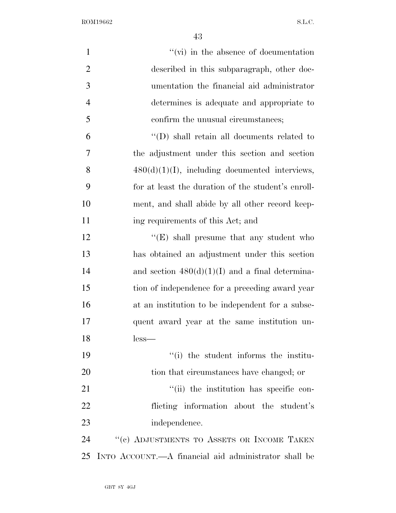| $\mathbf{1}$   | $\lq\lq$ (vi) in the absence of documentation        |
|----------------|------------------------------------------------------|
| $\overline{2}$ | described in this subparagraph, other doc-           |
| 3              | umentation the financial aid administrator           |
| $\overline{4}$ | determines is adequate and appropriate to            |
| 5              | confirm the unusual circumstances;                   |
| 6              | $\lq\lq$ (D) shall retain all documents related to   |
| 7              | the adjustment under this section and section        |
| 8              | $480(d)(1)(I)$ , including documented interviews,    |
| 9              | for at least the duration of the student's enroll-   |
| 10             | ment, and shall abide by all other record keep-      |
| 11             | ing requirements of this Act; and                    |
| 12             | $\lq\lq(E)$ shall presume that any student who       |
| 13             | has obtained an adjustment under this section        |
| 14             | and section $480(d)(1)(I)$ and a final determina-    |
| 15             | tion of independence for a preceding award year      |
| 16             | at an institution to be independent for a subse-     |
| 17             | quent award year at the same institution un-         |
| 18             | less—                                                |
| 19             | "(i) the student informs the institu-                |
| 20             | tion that circumstances have changed; or             |
| 21             | "(ii) the institution has specific con-              |
| 22             | flicting information about the student's             |
| 23             | independence.                                        |
| 24             | "(c) ADJUSTMENTS TO ASSETS OR INCOME TAKEN           |
| 25             | INTO ACCOUNT.—A financial aid administrator shall be |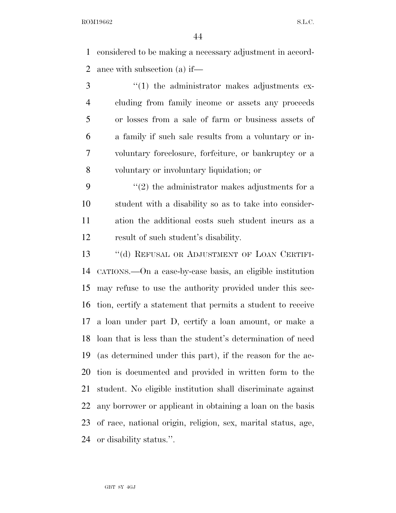considered to be making a necessary adjustment in accord-ance with subsection (a) if—

 ''(1) the administrator makes adjustments ex- cluding from family income or assets any proceeds or losses from a sale of farm or business assets of a family if such sale results from a voluntary or in- voluntary foreclosure, forfeiture, or bankruptcy or a voluntary or involuntary liquidation; or

 $(2)$  the administrator makes adjustments for a student with a disability so as to take into consider- ation the additional costs such student incurs as a result of such student's disability.

13 "(d) REFUSAL OR ADJUSTMENT OF LOAN CERTIFI- CATIONS.—On a case-by-case basis, an eligible institution may refuse to use the authority provided under this sec- tion, certify a statement that permits a student to receive a loan under part D, certify a loan amount, or make a loan that is less than the student's determination of need (as determined under this part), if the reason for the ac- tion is documented and provided in written form to the student. No eligible institution shall discriminate against any borrower or applicant in obtaining a loan on the basis of race, national origin, religion, sex, marital status, age, or disability status.''.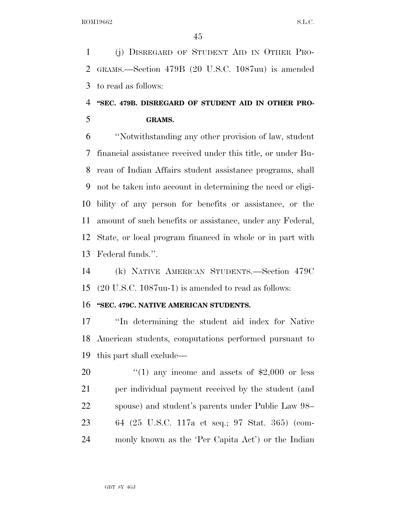(j) DISREGARD OF STUDENT AID IN OTHER PRO- GRAMS.—Section 479B (20 U.S.C. 1087uu) is amended to read as follows:

## **''SEC. 479B. DISREGARD OF STUDENT AID IN OTHER PRO-GRAMS.**

 ''Notwithstanding any other provision of law, student financial assistance received under this title, or under Bu- reau of Indian Affairs student assistance programs, shall not be taken into account in determining the need or eligi- bility of any person for benefits or assistance, or the amount of such benefits or assistance, under any Federal, State, or local program financed in whole or in part with Federal funds.''.

 (k) NATIVE AMERICAN STUDENTS.—Section 479C (20 U.S.C. 1087uu-1) is amended to read as follows:

## **''SEC. 479C. NATIVE AMERICAN STUDENTS.**

 ''In determining the student aid index for Native American students, computations performed pursuant to this part shall exclude—

 $\frac{1}{20}$  (1) any income and assets of \$2,000 or less 21 per individual payment received by the student (and spouse) and student's parents under Public Law 98– 64 (25 U.S.C. 117a et seq.; 97 Stat. 365) (com-monly known as the 'Per Capita Act') or the Indian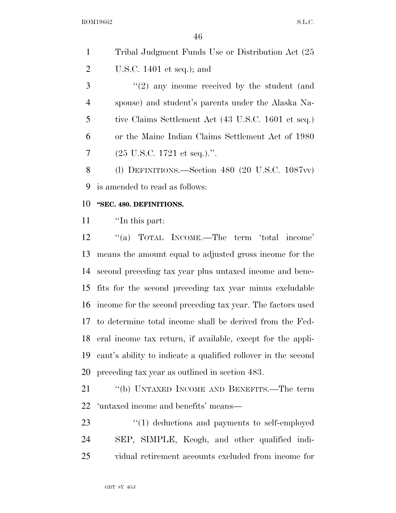|   | Tribal Judgment Funds Use or Distribution Act (25) |
|---|----------------------------------------------------|
| 2 | U.S.C. 1401 et seq.); and                          |

 ''(2) any income received by the student (and spouse) and student's parents under the Alaska Na- tive Claims Settlement Act (43 U.S.C. 1601 et seq.) or the Maine Indian Claims Settlement Act of 1980  $(25 \text{ U.S.C. } 1721 \text{ et seq.})$ .''.

 (l) DEFINITIONS.—Section 480 (20 U.S.C. 1087vv) is amended to read as follows:

## **''SEC. 480. DEFINITIONS.**

''In this part:

 ''(a) TOTAL INCOME.—The term 'total income' means the amount equal to adjusted gross income for the second preceding tax year plus untaxed income and bene- fits for the second preceding tax year minus excludable income for the second preceding tax year. The factors used to determine total income shall be derived from the Fed- eral income tax return, if available, except for the appli- cant's ability to indicate a qualified rollover in the second preceding tax year as outlined in section 483.

 ''(b) UNTAXED INCOME AND BENEFITS.—The term 'untaxed income and benefits' means—

23  $\frac{1}{2}$  (1) deductions and payments to self-employed SEP, SIMPLE, Keogh, and other qualified indi-vidual retirement accounts excluded from income for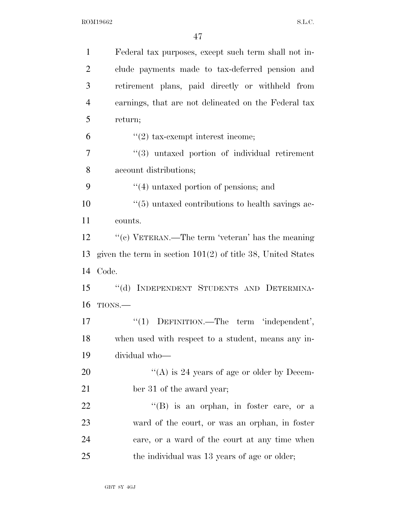| $\mathbf{1}$   | Federal tax purposes, except such term shall not in-          |
|----------------|---------------------------------------------------------------|
| $\overline{2}$ | clude payments made to tax-deferred pension and               |
| 3              | retirement plans, paid directly or withheld from              |
| $\overline{4}$ | earnings, that are not delineated on the Federal tax          |
| 5              | return;                                                       |
| 6              | $f'(2)$ tax-exempt interest income;                           |
| $\overline{7}$ | $(3)$ untaxed portion of individual retirement                |
| 8              | account distributions;                                        |
| 9              | $\cdot$ (4) untaxed portion of pensions; and                  |
| 10             | $\cdot\cdot$ (5) untaxed contributions to health savings ac-  |
| 11             | counts.                                                       |
| 12             | "(c) VETERAN.—The term 'veteran' has the meaning              |
| 13             | given the term in section $101(2)$ of title 38, United States |
| 14             | Code.                                                         |
| 15             | "(d) INDEPENDENT STUDENTS AND DETERMINA-                      |
| 16             | TIONS.                                                        |
| 17             | "(1) DEFINITION.—The term 'independent',                      |
| 18             | when used with respect to a student, means any in-            |
| 19             | dividual who-                                                 |
| 20             | "(A) is 24 years of age or older by Decem-                    |
| 21             | ber 31 of the award year;                                     |
| 22             | $\lq\lq$ (B) is an orphan, in foster care, or a               |
| 23             | ward of the court, or was an orphan, in foster                |
| 24             | care, or a ward of the court at any time when                 |
| 25             | the individual was 13 years of age or older;                  |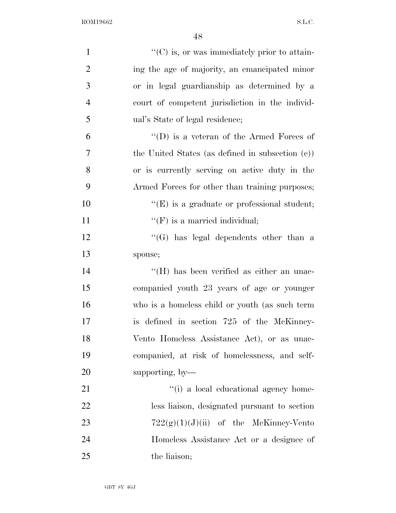| $\mathbf{1}$   | $\lq\lq$ (C) is, or was immediately prior to attain- |
|----------------|------------------------------------------------------|
| $\overline{2}$ | ing the age of majority, an emancipated minor        |
| 3              | or in legal guardianship as determined by a          |
| $\overline{4}$ | court of competent jurisdiction in the individ-      |
| 5              | ual's State of legal residence;                      |
| 6              | "(D) is a veteran of the Armed Forces of             |
| $\overline{7}$ | the United States (as defined in subsection $(c)$ )  |
| 8              | or is currently serving on active duty in the        |
| 9              | Armed Forces for other than training purposes;       |
| 10             | $\lq\lq(E)$ is a graduate or professional student;   |
| 11             | $\lq\lq(F)$ is a married individual;                 |
| 12             | "(G) has legal dependents other than a               |
| 13             | spouse;                                              |
| 14             | $\rm{``(H)}$ has been verified as either an unac-    |
| 15             | companied youth 23 years of age or younger           |
| 16             | who is a homeless child or youth (as such term       |
| 17             | is defined in section 725 of the McKinney-           |
| 18             | Vento Homeless Assistance Act), or as unac-          |
| 19             | companied, at risk of homelessness, and self-        |
| 20             | supporting, by-                                      |
| 21             | "(i) a local educational agency home-                |
| 22             | less liaison, designated pursuant to section         |
| 23             | $722(g)(1)(J)(ii)$ of the McKinney-Vento             |
| 24             | Homeless Assistance Act or a designee of             |
| 25             | the liaison;                                         |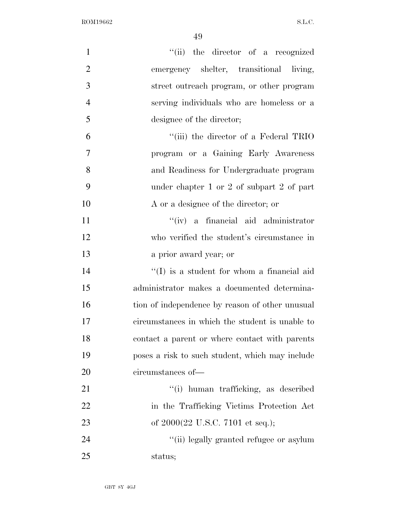| $\mathbf{1}$   | "(ii) the director of a recognized                  |
|----------------|-----------------------------------------------------|
| $\overline{2}$ | emergency shelter, transitional living,             |
| 3              | street outreach program, or other program           |
| $\overline{4}$ | serving individuals who are homeless or a           |
| 5              | designee of the director;                           |
| 6              | "(iii) the director of a Federal TRIO               |
| $\tau$         | program or a Gaining Early Awareness                |
| 8              | and Readiness for Undergraduate program             |
| 9              | under chapter 1 or 2 of subpart 2 of part           |
| 10             | A or a designee of the director; or                 |
| 11             | "(iv) a financial aid administrator                 |
| 12             | who verified the student's circumstance in          |
| 13             | a prior award year; or                              |
| 14             | $\lq\lq$ is a student for whom a financial aid      |
| 15             | administrator makes a documented determina-         |
| 16             | tion of independence by reason of other unusual     |
| 17             | circumstances in which the student is unable to     |
| 18             | contact a parent or where contact with parents      |
| 19             | poses a risk to such student, which may include     |
| 20             | circumstances of-                                   |
| 21             | "(i) human trafficking, as described                |
| 22             | in the Trafficking Victims Protection Act           |
| 23             | of $2000(22 \text{ U.S.C. } 7101 \text{ et seq.});$ |
| 24             | "(ii) legally granted refugee or asylum             |
| 25             | status;                                             |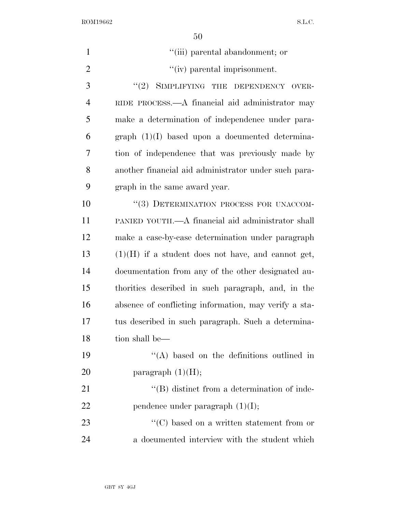| $\mathbf{1}$   | "(iii) parental abandonment; or                                |
|----------------|----------------------------------------------------------------|
| $\overline{2}$ | "(iv) parental imprisonment.                                   |
| 3              | "(2) SIMPLIFYING THE DEPENDENCY OVER-                          |
| $\overline{4}$ | RIDE PROCESS.—A financial aid administrator may                |
| 5              | make a determination of independence under para-               |
| 6              | $graph (1)(I)$ based upon a documented determina-              |
| 7              | tion of independence that was previously made by               |
| 8              | another financial aid administrator under such para-           |
| 9              | graph in the same award year.                                  |
| 10             | "(3) DETERMINATION PROCESS FOR UNACCOM-                        |
| 11             | PANIED YOUTH.—A financial aid administrator shall              |
| 12             | make a case-by-case determination under paragraph              |
| 13             | $(1)(H)$ if a student does not have, and cannot get,           |
| 14             | documentation from any of the other designated au-             |
| 15             | thorities described in such paragraph, and, in the             |
| 16             | absence of conflicting information, may verify a sta-          |
| 17             | tus described in such paragraph. Such a determina-             |
| 18             | tion shall be—                                                 |
| 19             | $\lq\lq$ based on the definitions outlined in                  |
| 20             | paragraph $(1)(H);$                                            |
| 21             | "(B) distinct from a determination of inde-                    |
| 22             | pendence under paragraph $(1)(I);$                             |
| 23             | $\lq\lq$ <sup>c</sup> (C) based on a written statement from or |
| 24             | a documented interview with the student which                  |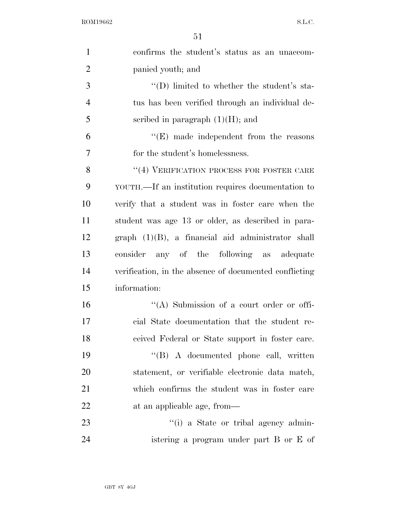| $\mathbf{1}$   | confirms the student's status as an unaccom-           |
|----------------|--------------------------------------------------------|
| $\overline{2}$ | panied youth; and                                      |
| 3              | $\lq\lq$ (D) limited to whether the student's sta-     |
| $\overline{4}$ | tus has been verified through an individual de-        |
| 5              | scribed in paragraph $(1)(H)$ ; and                    |
| 6              | $\lq\lq(E)$ made independent from the reasons          |
| $\overline{7}$ | for the student's homelessness.                        |
| 8              | $``(4)$ VERIFICATION PROCESS FOR FOSTER CARE           |
| 9              | YOUTH.—If an institution requires documentation to     |
| 10             | verify that a student was in foster care when the      |
| 11             | student was age 13 or older, as described in para-     |
| 12             | $graph (1)(B)$ , a financial aid administrator shall   |
| 13             | consider any of the following as adequate              |
| 14             | verification, in the absence of documented conflicting |
| 15             | information:                                           |
| 16             | $\lq\lq$ . Submission of a court order or offi-        |
| 17             | cial State documentation that the student re-          |
| 18             | ceived Federal or State support in foster care.        |
| 19             | "(B) A documented phone call, written                  |
| 20             | statement, or verifiable electronic data match,        |
| 21             | which confirms the student was in foster care          |
| <u>22</u>      | at an applicable age, from-                            |
| 23             | "(i) a State or tribal agency admin-                   |
| 24             | istering a program under part B or E of                |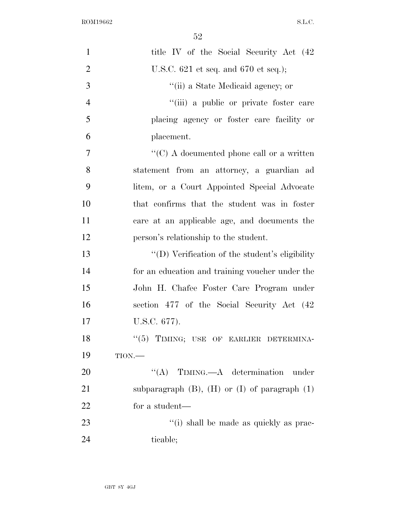| $\mathbf{1}$   | title IV of the Social Security Act (42)               |
|----------------|--------------------------------------------------------|
| $\overline{2}$ | U.S.C. $621$ et seq. and $670$ et seq.);               |
| 3              | "(ii) a State Medicaid agency; or                      |
| $\overline{4}$ | "(iii) a public or private foster care                 |
| 5              | placing agency or foster care facility or              |
| 6              | placement.                                             |
| $\tau$         | " $(C)$ A documented phone call or a written           |
| 8              | statement from an attorney, a guardian ad              |
| 9              | litem, or a Court Appointed Special Advocate           |
| 10             | that confirms that the student was in foster           |
| 11             | care at an applicable age, and documents the           |
| 12             | person's relationship to the student.                  |
| 13             | "(D) Verification of the student's eligibility         |
| 14             | for an education and training voucher under the        |
| 15             | John H. Chafee Foster Care Program under               |
| 16             | section 477 of the Social Security Act (42)            |
| 17             | U.S.C. 677).                                           |
| 18             | "(5) TIMING; USE OF EARLIER DETERMINA-                 |
| 19             | TION.                                                  |
| 20             | "(A) TIMING.—A determination<br>under                  |
| 21             | subparagraph $(B)$ , $(H)$ or $(I)$ of paragraph $(1)$ |
| 22             | for a student—                                         |
| 23             | "(i) shall be made as quickly as prac-                 |
| 24             | ticable;                                               |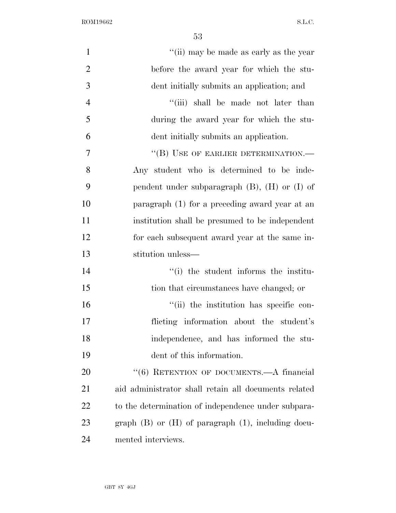| $\mathbf{1}$   | "(ii) may be made as early as the year                    |
|----------------|-----------------------------------------------------------|
| $\overline{2}$ | before the award year for which the stu-                  |
| 3              | dent initially submits an application; and                |
| $\overline{4}$ | "(iii) shall be made not later than                       |
| 5              | during the award year for which the stu-                  |
| 6              | dent initially submits an application.                    |
| 7              | "(B) USE OF EARLIER DETERMINATION.—                       |
| 8              | Any student who is determined to be inde-                 |
| 9              | pendent under subparagraph $(B)$ , $(H)$ or $(I)$ of      |
| 10             | paragraph (1) for a preceding award year at an            |
| 11             | institution shall be presumed to be independent           |
| 12             | for each subsequent award year at the same in-            |
| 13             | stitution unless—                                         |
| 14             | "(i) the student informs the institu-                     |
| 15             | tion that circumstances have changed; or                  |
| 16             | "(ii) the institution has specific con-                   |
| 17             | flicting information about the student's                  |
| 18             | independence, and has informed the stu-                   |
| 19             | dent of this information.                                 |
| 20             | "(6) RETENTION OF DOCUMENTS.—A financial                  |
| 21             | aid administrator shall retain all documents related      |
| 22             | to the determination of independence under subpara-       |
| 23             | graph $(B)$ or $(H)$ of paragraph $(1)$ , including docu- |
| 24             | mented interviews.                                        |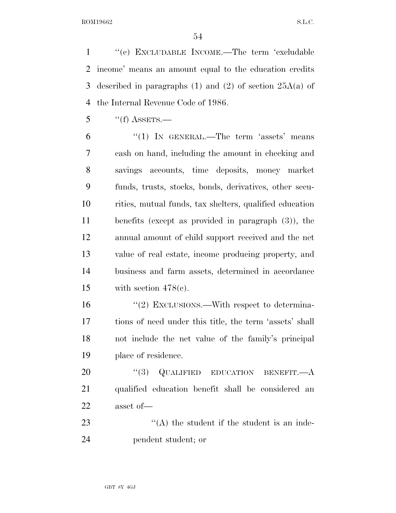''(e) EXCLUDABLE INCOME.—The term 'excludable income' means an amount equal to the education credits described in paragraphs (1) and (2) of section 25A(a) of the Internal Revenue Code of 1986.

''(f) ASSETS.—

 "(1) IN GENERAL.—The term 'assets' means cash on hand, including the amount in checking and savings accounts, time deposits, money market funds, trusts, stocks, bonds, derivatives, other secu- rities, mutual funds, tax shelters, qualified education benefits (except as provided in paragraph (3)), the annual amount of child support received and the net value of real estate, income producing property, and business and farm assets, determined in accordance 15 with section  $478(c)$ .

16 "(2) EXCLUSIONS.—With respect to determina- tions of need under this title, the term 'assets' shall not include the net value of the family's principal place of residence.

20 "(3) QUALIFIED EDUCATION BENEFIT.—A qualified education benefit shall be considered an asset of—

23  $\langle (A)$  the student if the student is an inde-pendent student; or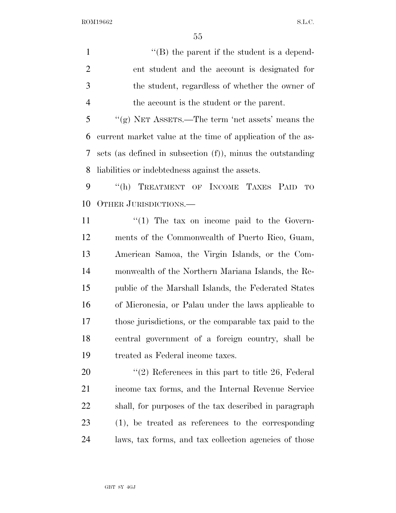$"$ (B) the parent if the student is a depend- ent student and the account is designated for the student, regardless of whether the owner of the account is the student or the parent.

 ''(g) NET ASSETS.—The term 'net assets' means the current market value at the time of application of the as- sets (as defined in subsection (f)), minus the outstanding liabilities or indebtedness against the assets.

 ''(h) TREATMENT OF INCOME TAXES PAID TO OTHER JURISDICTIONS.—

 $\frac{1}{1}$  The tax on income paid to the Govern- ments of the Commonwealth of Puerto Rico, Guam, American Samoa, the Virgin Islands, or the Com- monwealth of the Northern Mariana Islands, the Re- public of the Marshall Islands, the Federated States of Micronesia, or Palau under the laws applicable to those jurisdictions, or the comparable tax paid to the central government of a foreign country, shall be treated as Federal income taxes.

 $\frac{1}{2}$  References in this part to title 26, Federal income tax forms, and the Internal Revenue Service shall, for purposes of the tax described in paragraph (1), be treated as references to the corresponding laws, tax forms, and tax collection agencies of those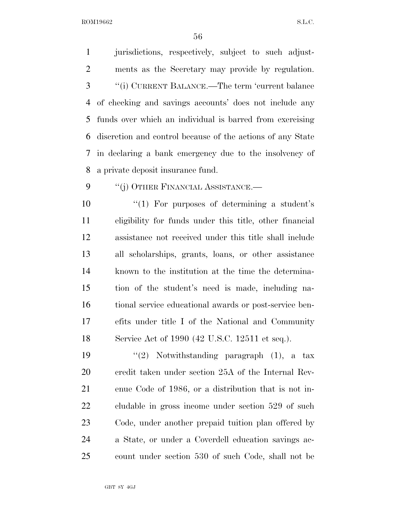jurisdictions, respectively, subject to such adjust- ments as the Secretary may provide by regulation. ''(i) CURRENT BALANCE.—The term 'current balance of checking and savings accounts' does not include any funds over which an individual is barred from exercising discretion and control because of the actions of any State in declaring a bank emergency due to the insolvency of a private deposit insurance fund.

9 "(j) OTHER FINANCIAL ASSISTANCE.—

10 ''(1) For purposes of determining a student's eligibility for funds under this title, other financial assistance not received under this title shall include all scholarships, grants, loans, or other assistance known to the institution at the time the determina- tion of the student's need is made, including na- tional service educational awards or post-service ben- efits under title I of the National and Community Service Act of 1990 (42 U.S.C. 12511 et seq.).

 $\frac{1}{2}$  Notwithstanding paragraph (1), a tax credit taken under section 25A of the Internal Rev- enue Code of 1986, or a distribution that is not in- cludable in gross income under section 529 of such Code, under another prepaid tuition plan offered by a State, or under a Coverdell education savings ac-count under section 530 of such Code, shall not be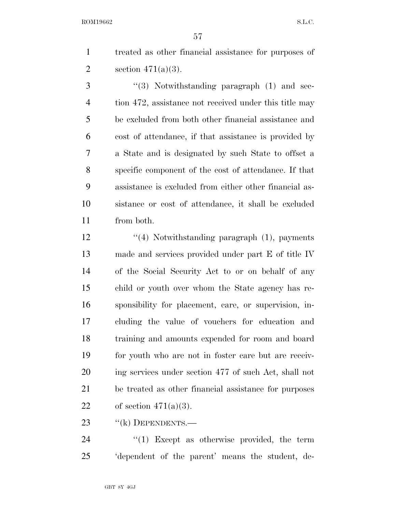treated as other financial assistance for purposes of 2 section  $471(a)(3)$ .

 ''(3) Notwithstanding paragraph (1) and sec-4 tion 472, assistance not received under this title may be excluded from both other financial assistance and cost of attendance, if that assistance is provided by a State and is designated by such State to offset a specific component of the cost of attendance. If that assistance is excluded from either other financial as- sistance or cost of attendance, it shall be excluded from both.

12 ''(4) Notwithstanding paragraph (1), payments made and services provided under part E of title IV of the Social Security Act to or on behalf of any child or youth over whom the State agency has re- sponsibility for placement, care, or supervision, in- cluding the value of vouchers for education and training and amounts expended for room and board for youth who are not in foster care but are receiv- ing services under section 477 of such Act, shall not be treated as other financial assistance for purposes 22 of section  $471(a)(3)$ .

23 "(k) DEPENDENTS.—

24  $\frac{1}{2}$  Except as otherwise provided, the term 'dependent of the parent' means the student, de-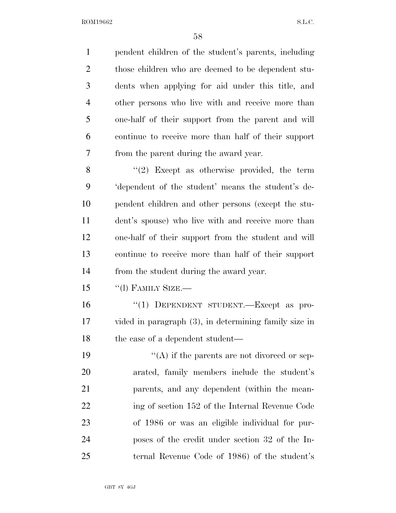pendent children of the student's parents, including those children who are deemed to be dependent stu- dents when applying for aid under this title, and other persons who live with and receive more than one-half of their support from the parent and will continue to receive more than half of their support from the parent during the award year. 8 "(2) Except as otherwise provided, the term 'dependent of the student' means the student's de- pendent children and other persons (except the stu- dent's spouse) who live with and receive more than one-half of their support from the student and will continue to receive more than half of their support from the student during the award year.

15 "(1) FAMILY SIZE.—

16 "(1) DEPENDENT STUDENT.—Except as pro- vided in paragraph (3), in determining family size in 18 the case of a dependent student—

 $((A)$  if the parents are not divorced or sep- arated, family members include the student's parents, and any dependent (within the mean-22 ing of section 152 of the Internal Revenue Code of 1986 or was an eligible individual for pur- poses of the credit under section 32 of the In-ternal Revenue Code of 1986) of the student's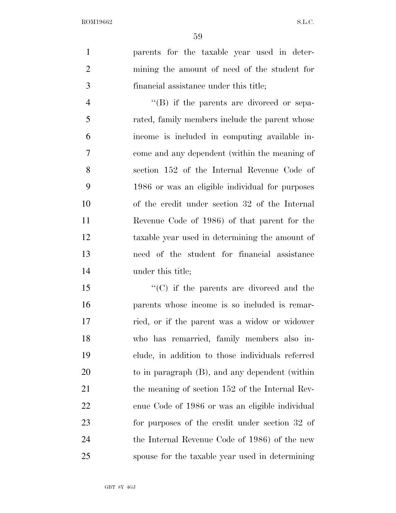parents for the taxable year used in deter- mining the amount of need of the student for financial assistance under this title;

4 ''(B) if the parents are divorced or sepa- rated, family members include the parent whose income is included in computing available in- come and any dependent (within the meaning of section 152 of the Internal Revenue Code of 1986 or was an eligible individual for purposes of the credit under section 32 of the Internal Revenue Code of 1986) of that parent for the taxable year used in determining the amount of need of the student for financial assistance under this title;

15 "'(C) if the parents are divorced and the parents whose income is so included is remar- ried, or if the parent was a widow or widower who has remarried, family members also in- clude, in addition to those individuals referred to in paragraph (B), and any dependent (within 21 the meaning of section 152 of the Internal Rev- enue Code of 1986 or was an eligible individual for purposes of the credit under section 32 of the Internal Revenue Code of 1986) of the new spouse for the taxable year used in determining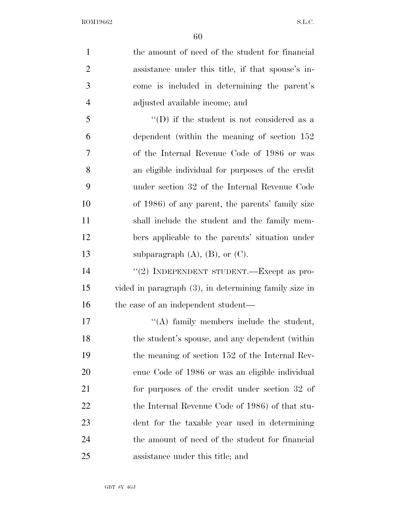| $\mathbf{1}$   | the amount of need of the student for financial          |
|----------------|----------------------------------------------------------|
| $\overline{2}$ | assistance under this title, if that spouse's in-        |
| 3              | come is included in determining the parent's             |
| $\overline{4}$ | adjusted available income; and                           |
| 5              | $\lq\lq$ (D) if the student is not considered as a       |
| 6              | dependent (within the meaning of section 152)            |
| 7              | of the Internal Revenue Code of 1986 or was              |
| 8              | an eligible individual for purposes of the credit        |
| 9              | under section 32 of the Internal Revenue Code            |
| 10             | of 1986) of any parent, the parents' family size         |
| 11             | shall include the student and the family mem-            |
| 12             | bers applicable to the parents' situation under          |
| 13             | subparagraph $(A)$ , $(B)$ , or $(C)$ .                  |
| 14             | "(2) INDEPENDENT STUDENT.—Except as pro-                 |
| 15             | vided in paragraph $(3)$ , in determining family size in |
| 16             | the case of an independent student—                      |
| 17             | $\lq\lq$ family members include the student,             |
| 18             | the student's spouse, and any dependent (within          |
| 19             | the meaning of section 152 of the Internal Rev-          |
| 20             | enue Code of 1986 or was an eligible individual          |
| 21             | for purposes of the credit under section 32 of           |
| 22             | the Internal Revenue Code of 1986) of that stu-          |
| 23             | dent for the taxable year used in determining            |
| 24             | the amount of need of the student for financial          |
| 25             | assistance under this title; and                         |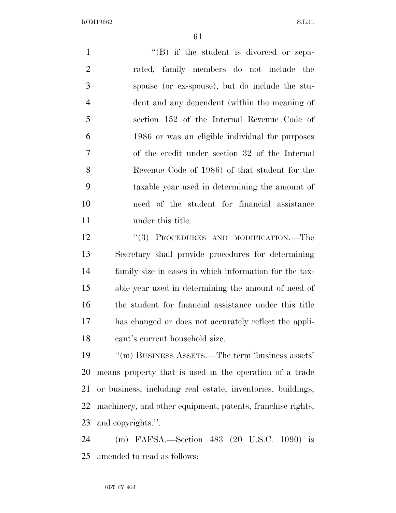1 ''(B) if the student is divorced or sepa- rated, family members do not include the spouse (or ex-spouse), but do include the stu- dent and any dependent (within the meaning of section 152 of the Internal Revenue Code of 1986 or was an eligible individual for purposes of the credit under section 32 of the Internal Revenue Code of 1986) of that student for the taxable year used in determining the amount of need of the student for financial assistance under this title. 12 "(3) PROCEDURES AND MODIFICATION.—The Secretary shall provide procedures for determining family size in cases in which information for the tax- able year used in determining the amount of need of the student for financial assistance under this title has changed or does not accurately reflect the appli- cant's current household size. ''(m) BUSINESS ASSETS.—The term 'business assets' means property that is used in the operation of a trade or business, including real estate, inventories, buildings, machinery, and other equipment, patents, franchise rights, and copyrights.''. (m) FAFSA.—Section 483 (20 U.S.C. 1090) is

amended to read as follows: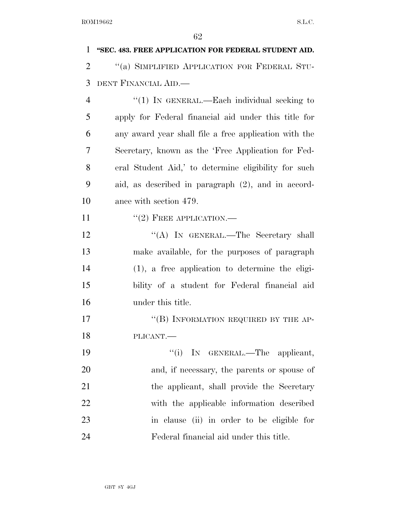| $\mathbf{1}$   | "SEC. 483. FREE APPLICATION FOR FEDERAL STUDENT AID.  |
|----------------|-------------------------------------------------------|
| $\overline{2}$ | "(a) SIMPLIFIED APPLICATION FOR FEDERAL STU-          |
| 3              | DENT FINANCIAL AID.                                   |
| 4              | "(1) IN GENERAL.—Each individual seeking to           |
| 5              | apply for Federal financial aid under this title for  |
| 6              | any award year shall file a free application with the |
| 7              | Secretary, known as the 'Free Application for Fed-    |
| 8              | eral Student Aid,' to determine eligibility for such  |
| 9              | aid, as described in paragraph (2), and in accord-    |
| 10             | ance with section 479.                                |
| <sup>11</sup>  | $"(2)$ FREE APPLICATION.—                             |
| 12             | "(A) IN GENERAL.—The Secretary shall                  |
| 13             | make available, for the purposes of paragraph         |
| 14             | $(1)$ , a free application to determine the eligi-    |
| 15             | bility of a student for Federal financial aid         |
| 16             | under this title.                                     |
| 17             | "(B) INFORMATION REQUIRED BY THE AP-                  |
| 18             | PLICANT.                                              |
| 19             | ``(i)<br>IN GENERAL.—The applicant,                   |
| 20             | and, if necessary, the parents or spouse of           |
| 21             | the applicant, shall provide the Secretary            |
| 22             | with the applicable information described             |
| 23             | in clause (ii) in order to be eligible for            |
| 24             | Federal financial aid under this title.               |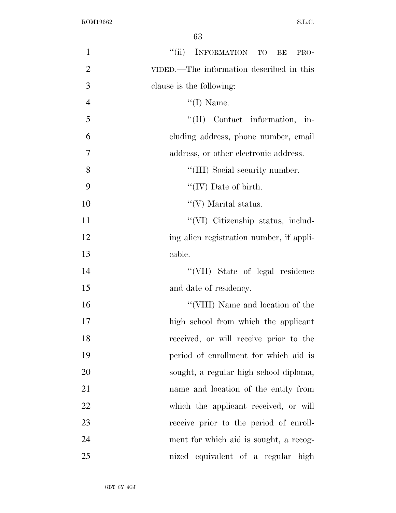| $\mathbf{1}$   | $\lq(\mathrm{ii})$<br>INFORMATION TO<br>BE<br>PRO- |
|----------------|----------------------------------------------------|
| $\overline{2}$ | VIDED.—The information described in this           |
| 3              | clause is the following:                           |
| $\overline{4}$ | $\lq\lq$ (I) Name.                                 |
| 5              | "(II) Contact information, in-                     |
| 6              | cluding address, phone number, email               |
| 7              | address, or other electronic address.              |
| 8              | "(III) Social security number.                     |
| 9              | $``(IV)$ Date of birth.                            |
| 10             | $\lq\lq$ (V) Marital status.                       |
| 11             | "(VI) Citizenship status, includ-                  |
| 12             | ing alien registration number, if appli-           |
| 13             | cable.                                             |
| 14             | "(VII) State of legal residence                    |
| 15             | and date of residency.                             |
| 16             | "(VIII) Name and location of the                   |
| 17             | high school from which the applicant               |
| 18             | received, or will receive prior to the             |
| 19             | period of enrollment for which aid is              |
| 20             | sought, a regular high school diploma,             |
| 21             | name and location of the entity from               |
| 22             | which the applicant received, or will              |
| 23             | receive prior to the period of enroll-             |
| 24             | ment for which aid is sought, a recog-             |
| 25             | nized equivalent of a regular high                 |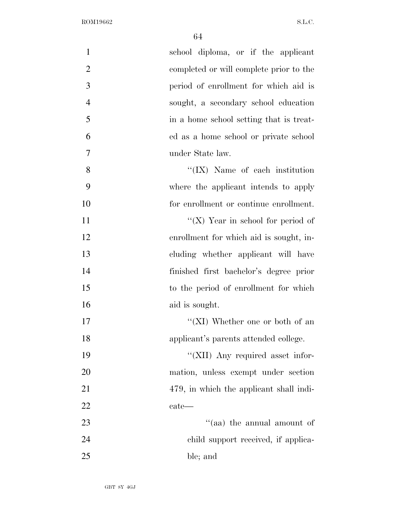| $\mathbf{1}$   | school diploma, or if the applicant     |
|----------------|-----------------------------------------|
| $\mathbf{2}$   | completed or will complete prior to the |
| $\mathfrak{Z}$ | period of enrollment for which aid is   |
| $\overline{4}$ | sought, a secondary school education    |
| 5              | in a home school setting that is treat- |
| 6              | ed as a home school or private school   |
| $\overline{7}$ | under State law.                        |
| 8              | $\lq\lq$ (IX) Name of each institution  |
| 9              | where the applicant intends to apply    |
| 10             | for enrollment or continue enrollment.  |
| 11             | "( $X$ ) Year in school for period of   |
| 12             | enrollment for which aid is sought, in- |
| 13             | cluding whether applicant will have     |
| 14             | finished first bachelor's degree prior  |
| 15             | to the period of enrollment for which   |
| 16             | aid is sought.                          |
| 17             | "(XI) Whether one or both of an         |
| 18             | applicant's parents attended college.   |
| 19             | "(XII) Any required asset infor-        |
| 20             | mation, unless exempt under section     |
| 21             | 479, in which the applicant shall indi- |
| 22             | $\text{cate}$ —                         |
| 23             | "(aa) the annual amount of              |
| 24             | child support received, if applica-     |
| 25             | ble; and                                |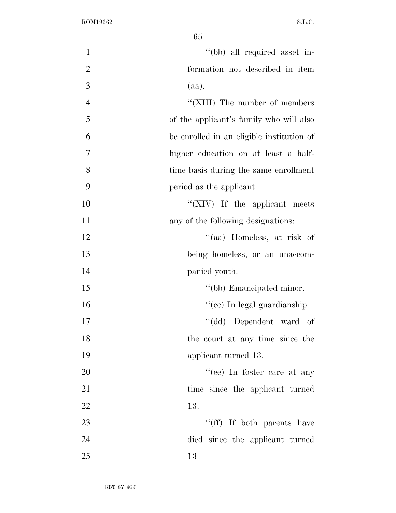| $\mathbf{1}$   | "(bb) all required asset in-                |
|----------------|---------------------------------------------|
| $\overline{2}$ | formation not described in item             |
| 3              | (aa).                                       |
| $\overline{4}$ | "(XIII) The number of members               |
| 5              | of the applicant's family who will also     |
| 6              | be enrolled in an eligible institution of   |
| 7              | higher education on at least a half-        |
| 8              | time basis during the same enrollment       |
| 9              | period as the applicant.                    |
| 10             | $\lq\lq ({\rm XIV})$ If the applicant meets |
| 11             | any of the following designations:          |
| 12             | "(aa) Homeless, at risk of                  |
| 13             | being homeless, or an unaccom-              |
| 14             | panied youth.                               |
| 15             | "(bb) Emancipated minor.                    |
| 16             | "(ee) In legal guardianship.                |
| 17             | "(dd) Dependent ward of                     |
| 18             | the court at any time since the             |
| 19             | applicant turned 13.                        |
| 20             | "(ee) In foster care at any                 |
| 21             | time since the applicant turned             |
| 22             | 13.                                         |
| 23             | "(ff) If both parents have                  |
| 24             | died since the applicant turned             |
| 25             | 13                                          |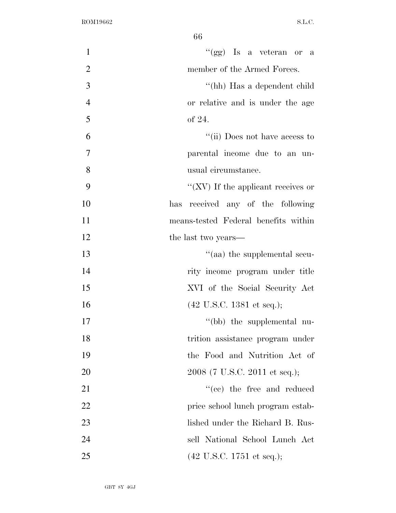| $\mathbf{1}$   | "(gg) Is a veteran or a                      |
|----------------|----------------------------------------------|
| $\overline{2}$ | member of the Armed Forces.                  |
| 3              | "(hh) Has a dependent child                  |
| $\overline{4}$ | or relative and is under the age             |
| 5              | of 24.                                       |
| 6              | "(ii) Does not have access to                |
| 7              | parental income due to an un-                |
| 8              | usual circumstance.                          |
| 9              | "(XV) If the applicant receives or           |
| 10             | has received any of the following            |
| 11             | means-tested Federal benefits within         |
| 12             | the last two years—                          |
| 13             | "(aa) the supplemental secu-                 |
| 14             | rity income program under title              |
| 15             | XVI of the Social Security Act               |
| 16             | $(42 \text{ U.S.C. } 1381 \text{ et seq.});$ |
| 17             | "(bb) the supplemental nu-                   |
| 18             | trition assistance program under             |
| 19             | the Food and Nutrition Act of                |
| 20             | 2008 (7 U.S.C. 2011 et seq.);                |
| 21             | "(cc) the free and reduced                   |
| <u>22</u>      | price school lunch program estab-            |
| 23             | lished under the Richard B. Rus-             |
| 24             | sell National School Lunch Act               |
| 25             | $(42 \text{ U.S.C. } 1751 \text{ et seq.});$ |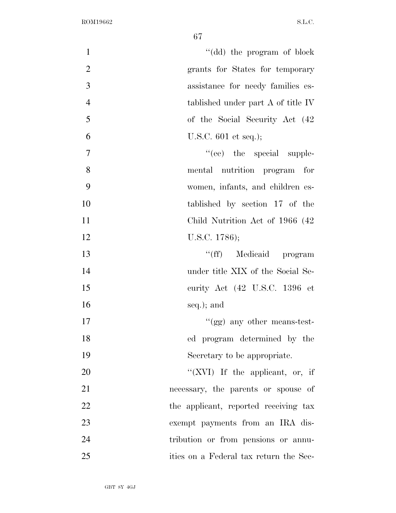| "(dd) the program of block<br>$\mathbf{1}$           |
|------------------------------------------------------|
| $\overline{2}$<br>grants for States for temporary    |
| 3<br>assistance for needy families es-               |
| $\overline{4}$<br>tablished under part A of title IV |
| 5<br>of the Social Security Act (42)                 |
| 6<br>U.S.C. $601$ et seq.);                          |
| $\tau$<br>"(ee) the special supple-                  |
| 8<br>mental nutrition program for                    |
| 9<br>women, infants, and children es-                |
| 10<br>tablished by section 17 of the                 |
| 11<br>Child Nutrition Act of 1966 (42)               |
| 12<br>U.S.C. 1786);                                  |
| "(ff) Medicaid program<br>13                         |
| 14<br>under title XIX of the Social Se-              |
| 15<br>curity Act (42 U.S.C. 1396 et                  |
| 16<br>seq.); and                                     |
| 17<br>"(gg) any other means-test-                    |
| 18<br>ed program determined by the                   |
| 19<br>Secretary to be appropriate.                   |
| 20<br>"(XVI) If the applicant, or, if                |
| 21<br>necessary, the parents or spouse of            |
| 22<br>the applicant, reported receiving tax          |
| 23<br>exempt payments from an IRA dis-               |
| 24<br>tribution or from pensions or annu-            |
| 25<br>ities on a Federal tax return the Sec-         |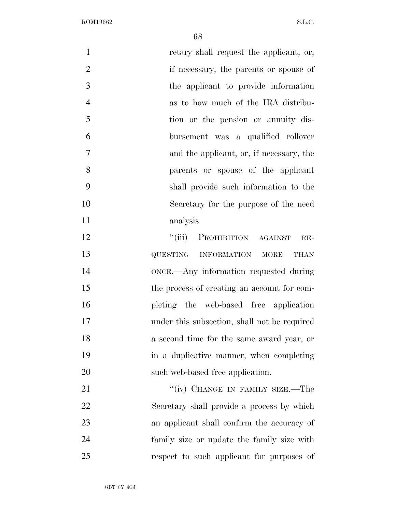| $\mathbf{1}$   | retary shall request the applicant, or,            |
|----------------|----------------------------------------------------|
| $\overline{2}$ | if necessary, the parents or spouse of             |
| 3              | the applicant to provide information               |
| $\overline{4}$ | as to how much of the IRA distribu-                |
| 5              | tion or the pension or annuity dis-                |
| 6              | bursement was a qualified rollover                 |
| 7              | and the applicant, or, if necessary, the           |
| 8              | parents or spouse of the applicant                 |
| 9              | shall provide such information to the              |
| 10             | Secretary for the purpose of the need              |
| 11             | analysis.                                          |
| 12             | ``(iii)<br>PROHIBITION AGAINST<br>$RE-$            |
| 13             | <b>QUESTING</b><br>INFORMATION MORE<br><b>THAN</b> |
| 14             | ONCE.—Any information requested during             |
| 15             | the process of creating an account for com-        |
| 16             | pleting the web-based free application             |
| 17             | under this subsection, shall not be required       |
| 18             | a second time for the same award year, or          |
| 19             | in a duplicative manner, when completing           |
| 20             | such web-based free application.                   |
| 21             | "(iv) CHANGE IN FAMILY SIZE.—The                   |
| 22             | Secretary shall provide a process by which         |
| 23             | an applicant shall confirm the accuracy of         |
| 24             | family size or update the family size with         |
| 25             | respect to such applicant for purposes of          |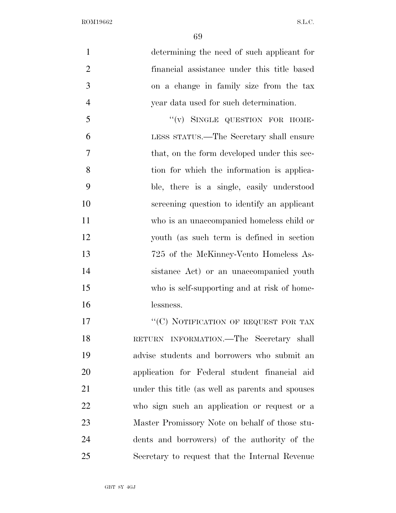| $\mathbf{1}$   | determining the need of such applicant for       |
|----------------|--------------------------------------------------|
| $\overline{2}$ | financial assistance under this title based      |
| 3              | on a change in family size from the tax          |
| $\overline{4}$ | year data used for such determination.           |
| 5              | "(v) SINGLE QUESTION FOR HOME-                   |
| 6              | LESS STATUS.—The Secretary shall ensure          |
| $\overline{7}$ | that, on the form developed under this sec-      |
| 8              | tion for which the information is applica-       |
| 9              | ble, there is a single, easily understood        |
| 10             | screening question to identify an applicant      |
| 11             | who is an unaccompanied homeless child or        |
| 12             | youth (as such term is defined in section        |
| 13             | 725 of the McKinney-Vento Homeless As-           |
| 14             | sistance Act) or an unaccompanied youth          |
| 15             | who is self-supporting and at risk of home-      |
| 16             | lessness.                                        |
| 17             | "(C) NOTIFICATION OF REQUEST FOR TAX             |
| 18             | RETURN INFORMATION.—The Secretary shall          |
| 19             | advise students and borrowers who submit an      |
| 20             | application for Federal student financial aid    |
| 21             | under this title (as well as parents and spouses |

who sign such an application or request or a

Master Promissory Note on behalf of those stu-

dents and borrowers) of the authority of the

GBT 8Y 4GJ Secretary to request that the Internal Revenue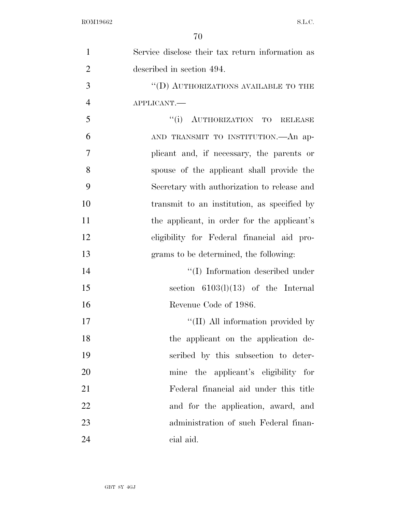| $\mathbf{1}$   | Service disclose their tax return information as |
|----------------|--------------------------------------------------|
| $\overline{2}$ | described in section 494.                        |
| 3              | "(D) AUTHORIZATIONS AVAILABLE TO THE             |
| $\overline{4}$ | APPLICANT.                                       |
| 5              | "(i) AUTHORIZATION TO RELEASE                    |
| 6              | AND TRANSMIT TO INSTITUTION.—An ap-              |
| 7              | plicant and, if necessary, the parents or        |
| 8              | spouse of the applicant shall provide the        |
| 9              | Secretary with authorization to release and      |
| 10             | transmit to an institution, as specified by      |
| 11             | the applicant, in order for the applicant's      |
| 12             | eligibility for Federal financial aid pro-       |
| 13             | grams to be determined, the following:           |
| 14             | $``(I)$ Information described under              |
| 15             | section $6103(l)(13)$ of the Internal            |
| 16             | Revenue Code of 1986.                            |
| 17             | "(II) All information provided by                |
| 18             | the applicant on the application de-             |
| 19             | scribed by this subsection to deter-             |
| 20             | mine the applicant's eligibility for             |
| 21             | Federal financial aid under this title           |
| 22             | and for the application, award, and              |
| 23             | administration of such Federal finan-            |
| 24             | cial aid.                                        |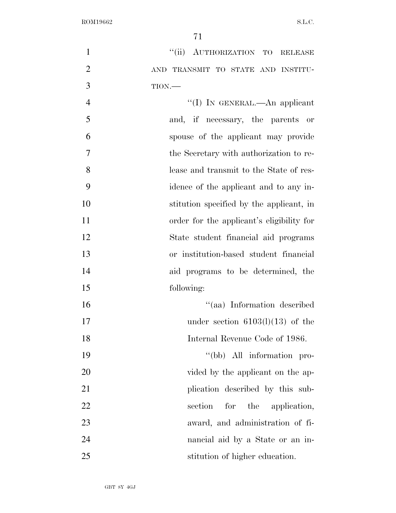1 "(ii) AUTHORIZATION TO RELEASE AND TRANSMIT TO STATE AND INSTITU- TION.— 4 ''(I) In GENERAL.—An applicant and, if necessary, the parents or spouse of the applicant may provide the Secretary with authorization to re-

- lease and transmit to the State of res- idence of the applicant and to any in- stitution specified by the applicant, in order for the applicant's eligibility for State student financial aid programs or institution-based student financial
- aid programs to be determined, the following:
- ''(aa) Information described 17 under section  $6103(l)(13)$  of the Internal Revenue Code of 1986.
- 19  $''(bb)$  All information pro-20 vided by the applicant on the ap-21 plication described by this sub-22 section for the application, award, and administration of fi- nancial aid by a State or an in-stitution of higher education.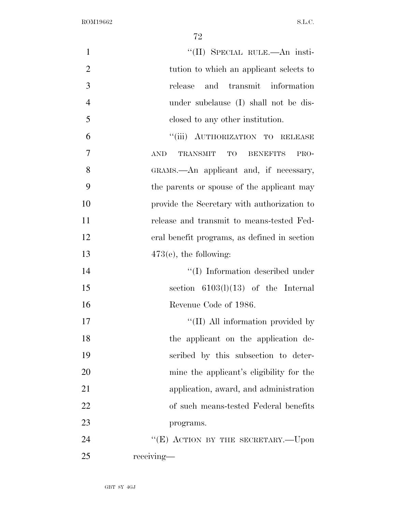| $\mathbf{1}$   | "(II) SPECIAL RULE.—An insti-                                  |
|----------------|----------------------------------------------------------------|
| $\overline{2}$ | tution to which an applicant selects to                        |
| 3              | and transmit information<br>release                            |
| $\overline{4}$ | under subclause (I) shall not be dis-                          |
| 5              | closed to any other institution.                               |
| 6              | "(iii) AUTHORIZATION TO RELEASE                                |
| $\overline{7}$ | <b>AND</b><br><b>TRANSMIT</b><br>TO<br><b>BENEFITS</b><br>PRO- |
| 8              | GRAMS.—An applicant and, if necessary,                         |
| 9              | the parents or spouse of the applicant may                     |
| 10             | provide the Secretary with authorization to                    |
| 11             | release and transmit to means-tested Fed-                      |
| 12             | eral benefit programs, as defined in section                   |
| 13             | $473(e)$ , the following:                                      |
| 14             | "(I) Information described under                               |
| 15             | section $6103(l)(13)$ of the Internal                          |
| 16             | Revenue Code of 1986.                                          |
| 17             | "(II) All information provided by                              |
| 18             | the applicant on the application de-                           |
| 19             | scribed by this subsection to deter-                           |
| 20             | mine the applicant's eligibility for the                       |
| 21             | application, award, and administration                         |
| 22             | of such means-tested Federal benefits                          |
| 23             | programs.                                                      |
| 24             | "(E) ACTION BY THE SECRETARY.—Upon                             |
| 25             | receiving-                                                     |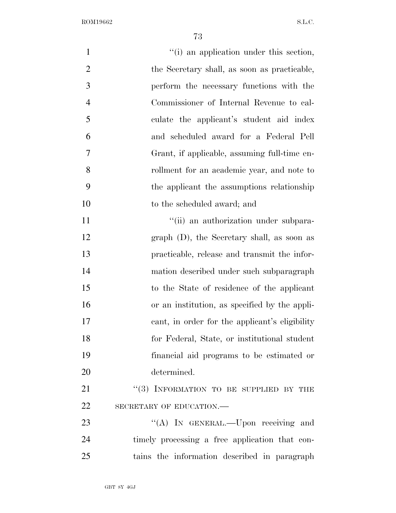| $\mathbf{1}$   | "(i) an application under this section,        |
|----------------|------------------------------------------------|
| $\overline{2}$ | the Secretary shall, as soon as practicable,   |
| 3              | perform the necessary functions with the       |
| $\overline{4}$ | Commissioner of Internal Revenue to cal-       |
| 5              | culate the applicant's student aid index       |
| 6              | and scheduled award for a Federal Pell         |
| 7              | Grant, if applicable, assuming full-time en-   |
| 8              | rollment for an academic year, and note to     |
| 9              | the applicant the assumptions relationship     |
| 10             | to the scheduled award; and                    |
| 11             | "(ii) an authorization under subpara-          |
| 12             | graph $(D)$ , the Secretary shall, as soon as  |
| 13             | practicable, release and transmit the infor-   |
| 14             | mation described under such subparagraph       |
| 15             | to the State of residence of the applicant     |
| 16             | or an institution, as specified by the appli-  |
| 17             | cant, in order for the applicant's eligibility |
| 18             | for Federal, State, or institutional student   |
| 19             | financial aid programs to be estimated or      |
| 20             | determined.                                    |
| 21             | $``(3)$ INFORMATION TO BE SUPPLIED BY THE      |
| 22             | SECRETARY OF EDUCATION.-                       |
| 23             | "(A) IN GENERAL.—Upon receiving and            |
| 24             | timely processing a free application that con- |
| 25             | tains the information described in paragraph   |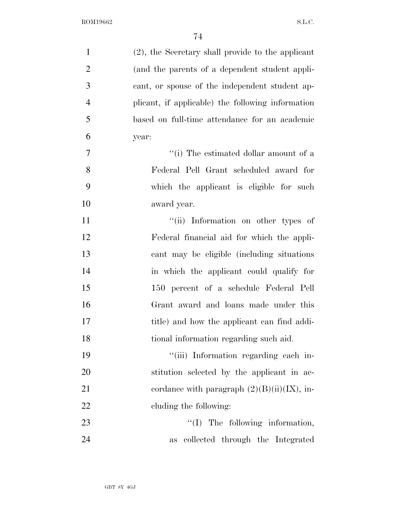| $\mathbf{1}$   | (2), the Secretary shall provide to the applicant |
|----------------|---------------------------------------------------|
| $\overline{2}$ | (and the parents of a dependent student appli-    |
| 3              | cant, or spouse of the independent student ap-    |
| $\overline{4}$ | plicant, if applicable) the following information |
| 5              | based on full-time attendance for an academic     |
| 6              | year:                                             |
| 7              | "(i) The estimated dollar amount of a             |
| 8              | Federal Pell Grant scheduled award for            |
| 9              | which the applicant is eligible for such          |
| 10             | award year.                                       |
| 11             | "(ii) Information on other types of               |
| 12             | Federal financial aid for which the appli-        |
| 13             | cant may be eligible (including situations)       |
| 14             | in which the applicant could qualify for          |
| 15             | 150 percent of a schedule Federal Pell            |
| 16             | Grant award and loans made under this             |
| 17             | title) and how the applicant can find addi-       |
| 18             | tional information regarding such aid.            |
| 19             | "(iii) Information regarding each in-             |
| 20             | stitution selected by the applicant in ac-        |
| 21             | cordance with paragraph $(2)(B)(ii)(IX)$ , in-    |
| 22             | cluding the following:                            |
| 23             | $\lq\lq$ (I) The following information,           |
| 24             | collected through the Integrated<br><b>as</b>     |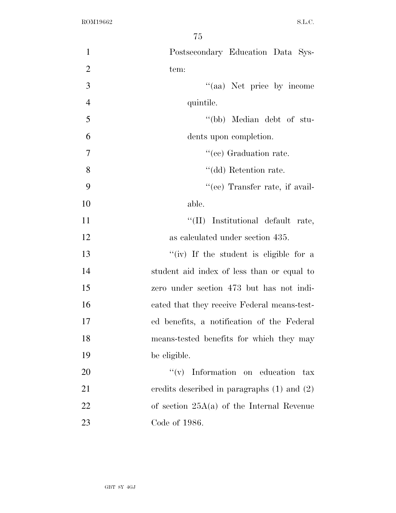| $\mathbf{1}$   | Postsecondary Education Data Sys-               |
|----------------|-------------------------------------------------|
| $\overline{2}$ | tem:                                            |
|                |                                                 |
| 3              | "(aa) Net price by income                       |
| $\overline{4}$ | quintile.                                       |
| 5              | "(bb) Median debt of stu-                       |
| 6              | dents upon completion.                          |
| $\overline{7}$ | "(ee) Graduation rate.                          |
| 8              | "(dd) Retention rate.                           |
| 9              | "(ee) Transfer rate, if avail-                  |
| 10             | able.                                           |
| 11             | "(II) Institutional default rate,               |
| 12             | as calculated under section 435.                |
| 13             | "(iv) If the student is eligible for a          |
| 14             | student aid index of less than or equal to      |
| 15             | zero under section 473 but has not indi-        |
| 16             | cated that they receive Federal means-test-     |
| 17             | ed benefits, a notification of the Federal      |
| 18             | means-tested benefits for which they may        |
| 19             | be eligible.                                    |
| 20             | $f'(v)$ Information on education tax            |
| 21             | credits described in paragraphs $(1)$ and $(2)$ |
| 22             | of section $25A(a)$ of the Internal Revenue     |
| 23             | Code of 1986.                                   |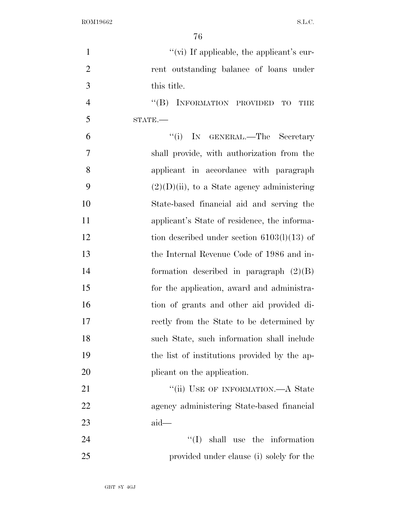| $\mathbf{1}$   | "(vi) If applicable, the applicant's cur-                       |
|----------------|-----------------------------------------------------------------|
| $\overline{2}$ | rent outstanding balance of loans under                         |
| 3              | this title.                                                     |
| $\overline{4}$ | INFORMATION PROVIDED<br>$\lq\lq (B)$<br><b>TO</b><br><b>THE</b> |
| 5              | $STATE$ .                                                       |
| 6              | "(i) IN GENERAL.—The Secretary                                  |
| $\tau$         | shall provide, with authorization from the                      |
| 8              | applicant in accordance with paragraph                          |
| 9              | $(2)(D)(ii)$ , to a State agency administering                  |
| 10             | State-based financial aid and serving the                       |
| 11             | applicant's State of residence, the informa-                    |
| 12             | tion described under section $6103(1)(13)$ of                   |
| 13             | the Internal Revenue Code of 1986 and in-                       |
| 14             | formation described in paragraph $(2)(B)$                       |
| 15             | for the application, award and administra-                      |
| 16             | tion of grants and other aid provided di-                       |
| 17             | rectly from the State to be determined by                       |
| 18             | such State, such information shall include                      |
| 19             | the list of institutions provided by the ap-                    |
| 20             | plicant on the application.                                     |
| 21             | "(ii) USE OF INFORMATION.—A State                               |
| 22             | agency administering State-based financial                      |
| 23             | $aid-$                                                          |
| 24             | $\lq\lq$ (I) shall use the information                          |
| 25             | provided under clause (i) solely for the                        |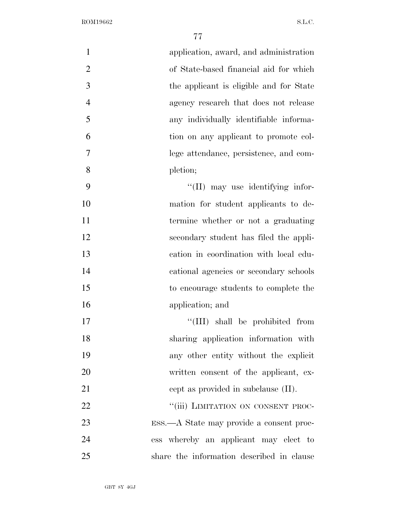| $\mathbf{1}$   | application, award, and administration    |
|----------------|-------------------------------------------|
| $\overline{2}$ | of State-based financial aid for which    |
| 3              | the applicant is eligible and for State   |
| $\overline{4}$ | agency research that does not release     |
| 5              | any individually identifiable informa-    |
| 6              | tion on any applicant to promote col-     |
| 7              | lege attendance, persistence, and com-    |
| 8              | pletion;                                  |
| 9              | "(II) may use identifying infor-          |
| 10             | mation for student applicants to de-      |
| 11             | termine whether or not a graduating       |
| 12             | secondary student has filed the appli-    |
| 13             | cation in coordination with local edu-    |
| 14             | cational agencies or secondary schools    |
| 15             | to encourage students to complete the     |
| 16             | application; and                          |
| 17             | "(III) shall be prohibited from           |
| 18             | sharing application information with      |
| 19             | any other entity without the explicit     |
| 20             | written consent of the applicant, ex-     |
| 21             | cept as provided in subclause (II).       |
| 22             | "(iii) LIMITATION ON CONSENT PROC-        |
| 23             | ESS.—A State may provide a consent proc-  |
| 24             | ess whereby an applicant may elect to     |
| 25             | share the information described in clause |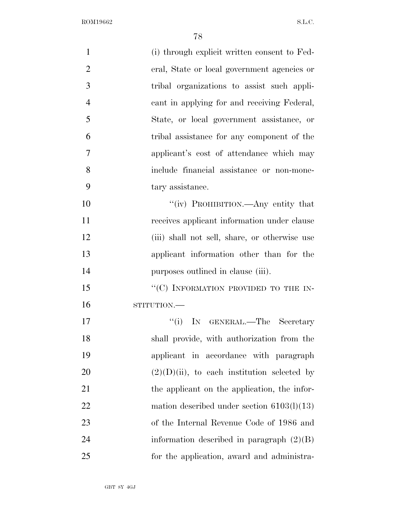| $\mathbf{1}$   | (i) through explicit written consent to Fed-   |
|----------------|------------------------------------------------|
| $\overline{2}$ | eral, State or local government agencies or    |
| 3              | tribal organizations to assist such appli-     |
| $\overline{4}$ | cant in applying for and receiving Federal,    |
| 5              | State, or local government assistance, or      |
| 6              | tribal assistance for any component of the     |
| $\overline{7}$ | applicant's cost of attendance which may       |
| 8              | include financial assistance or non-mone-      |
| 9              | tary assistance.                               |
| 10             | "(iv) PROHIBITION.—Any entity that             |
| 11             | receives applicant information under clause    |
| 12             | (iii) shall not sell, share, or otherwise use  |
| 13             | applicant information other than for the       |
| 14             | purposes outlined in clause (iii).             |
| 15             | "(C) INFORMATION PROVIDED TO THE IN-           |
| 16             | STITUTION.-                                    |
| 17             | ``(i)<br>IN GENERAL.—The Secretary             |
| 18             | shall provide, with authorization from the     |
| 19             | applicant in accordance with paragraph         |
| 20             | $(2)(D)(ii)$ , to each institution selected by |
| 21             | the applicant on the application, the infor-   |
| 22             | mation described under section $6103(1)(13)$   |
| 23             | of the Internal Revenue Code of 1986 and       |
| 24             | information described in paragraph $(2)(B)$    |
| 25             | for the application, award and administra-     |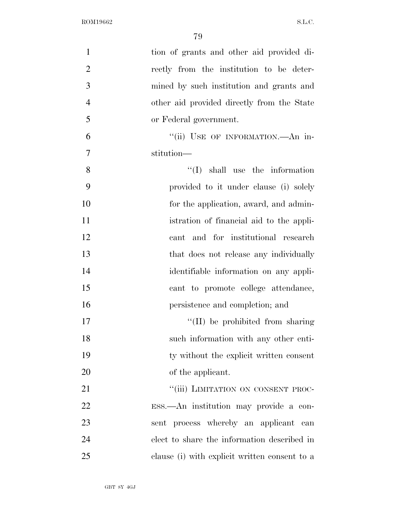| $\mathbf{1}$   | tion of grants and other aid provided di-     |
|----------------|-----------------------------------------------|
| $\overline{2}$ | rectly from the institution to be deter-      |
| 3              | mined by such institution and grants and      |
| $\overline{4}$ | other aid provided directly from the State    |
| 5              | or Federal government.                        |
| 6              | "(ii) USE OF INFORMATION.- An in-             |
| $\overline{7}$ | stitution-                                    |
| 8              | $\lq\lq$ shall use the information            |
| 9              | provided to it under clause (i) solely        |
| 10             | for the application, award, and admin-        |
| 11             | istration of financial aid to the appli-      |
| 12             | cant and for institutional research           |
| 13             | that does not release any individually        |
| 14             | identifiable information on any appli-        |
| 15             | cant to promote college attendance,           |
| 16             | persistence and completion; and               |
| 17             | "(II) be prohibited from sharing              |
| 18             | such information with any other enti-         |
| 19             | ty without the explicit written consent       |
| 20             | of the applicant.                             |
| 21             | "(iii) LIMITATION ON CONSENT PROC-            |
| 22             | ESS.—An institution may provide a con-        |
| 23             | sent process whereby an applicant can         |
| 24             | elect to share the information described in   |
| 25             | clause (i) with explicit written consent to a |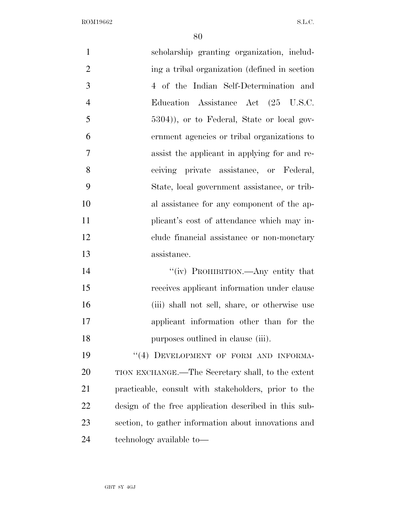| $\mathbf{1}$   | scholarship granting organization, includ-            |
|----------------|-------------------------------------------------------|
| $\overline{2}$ | ing a tribal organization (defined in section)        |
| 3              | 4 of the Indian Self-Determination and                |
| $\overline{4}$ | Education Assistance Act (25 U.S.C.                   |
| 5              | 5304)), or to Federal, State or local gov-            |
| 6              | ernment agencies or tribal organizations to           |
| 7              | assist the applicant in applying for and re-          |
| 8              | ceiving private assistance, or Federal,               |
| 9              | State, local government assistance, or trib-          |
| 10             | al assistance for any component of the ap-            |
| 11             | plicant's cost of attendance which may in-            |
| 12             | clude financial assistance or non-monetary            |
| 13             | assistance.                                           |
| 14             | "(iv) PROHIBITION.—Any entity that                    |
| 15             | receives applicant information under clause           |
| 16             | (iii) shall not sell, share, or otherwise use         |
| 17             | applicant information other than for the              |
| 18             | purposes outlined in clause (iii).                    |
| 19             | "(4) DEVELOPMENT OF FORM AND INFORMA-                 |
| 20             | TION EXCHANGE.—The Secretary shall, to the extent     |
| 21             | practicable, consult with stakeholders, prior to the  |
| 22             | design of the free application described in this sub- |
| 23             | section, to gather information about innovations and  |
| 24             | technology available to-                              |
|                |                                                       |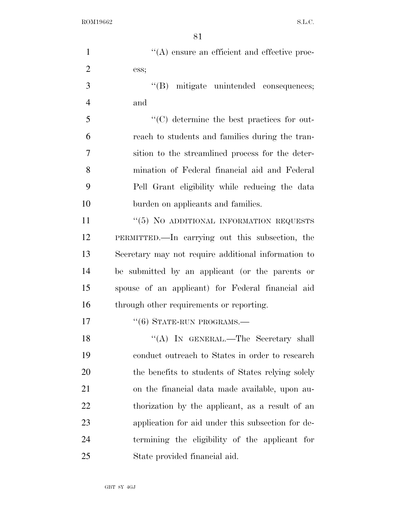| $\mathbf{1}$   | $\lq\lq$ ensure an efficient and effective proc-    |
|----------------|-----------------------------------------------------|
| $\overline{2}$ | ess;                                                |
| 3              | "(B) mitigate unintended consequences;              |
| $\overline{4}$ | and                                                 |
| 5              | "(C) determine the best practices for out-          |
| 6              | reach to students and families during the tran-     |
| $\overline{7}$ | sition to the streamlined process for the deter-    |
| 8              | mination of Federal financial aid and Federal       |
| 9              | Pell Grant eligibility while reducing the data      |
| 10             | burden on applicants and families.                  |
| 11             | "(5) NO ADDITIONAL INFORMATION REQUESTS             |
| 12             | PERMITTED.—In carrying out this subsection, the     |
| 13             | Secretary may not require additional information to |
| 14             | be submitted by an applicant (or the parents or     |
| 15             | spouse of an applicant) for Federal financial aid   |
| 16             | through other requirements or reporting.            |
| 17             | $``(6)$ STATE-RUN PROGRAMS.—                        |
| 18             | "(A) IN GENERAL.—The Secretary shall                |
| 19             | conduct outreach to States in order to research     |
| 20             | the benefits to students of States relying solely   |
| 21             | on the financial data made available, upon au-      |
| 22             | thorization by the applicant, as a result of an     |
| 23             | application for aid under this subsection for de-   |
| 24             | termining the eligibility of the applicant for      |
| 25             | State provided financial aid.                       |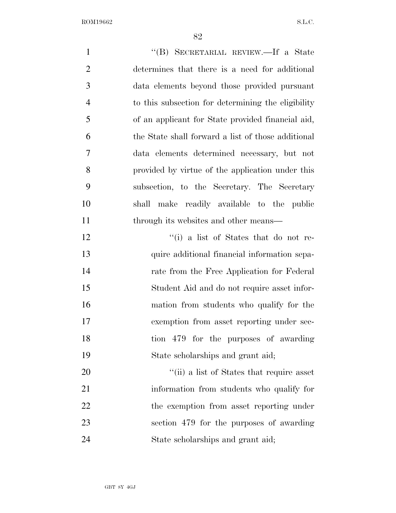| $\mathbf{1}$   | "(B) SECRETARIAL REVIEW.—If a State                |
|----------------|----------------------------------------------------|
| $\overline{2}$ | determines that there is a need for additional     |
| 3              | data elements beyond those provided pursuant       |
| $\overline{4}$ | to this subsection for determining the eligibility |
| 5              | of an applicant for State provided financial aid,  |
| 6              | the State shall forward a list of those additional |
| 7              | data elements determined necessary, but not        |
| 8              | provided by virtue of the application under this   |
| 9              | subsection, to the Secretary. The Secretary        |
| 10             | shall make readily available to the public         |
| 11             | through its websites and other means—              |
| 12             | "(i) a list of States that do not re-              |
| 13             | quire additional financial information sepa-       |
| 14             | rate from the Free Application for Federal         |
| 15             | Student Aid and do not require asset infor-        |
| 16             | mation from students who qualify for the           |
| 17             | exemption from asset reporting under sec-          |
| 18             | tion 479 for the purposes of awarding              |
| 19             | State scholarships and grant aid;                  |
| 20             | "(ii) a list of States that require asset          |
| 21             | information from students who qualify for          |
| 22             | the exemption from asset reporting under           |
| 23             | section 479 for the purposes of awarding           |
| 24             | State scholarships and grant aid;                  |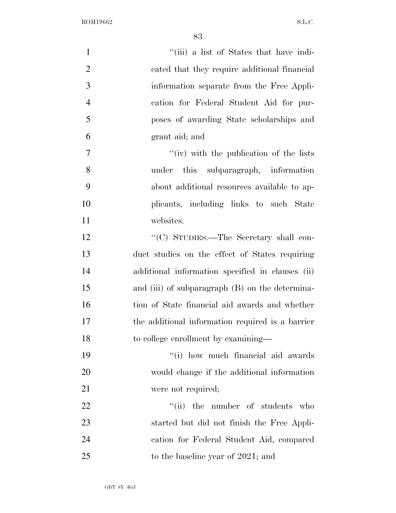| $\mathbf{1}$   | "(iii) a list of States that have indi-           |
|----------------|---------------------------------------------------|
| $\overline{2}$ | cated that they require additional financial      |
| 3              | information separate from the Free Appli-         |
| $\overline{4}$ | cation for Federal Student Aid for pur-           |
| 5              | poses of awarding State scholarships and          |
| 6              | grant aid; and                                    |
| 7              | "(iv) with the publication of the lists           |
| 8              | under this subparagraph, information              |
| 9              | about additional resources available to ap-       |
| 10             | plicants, including links to such State           |
| 11             | websites.                                         |
| 12             | "(C) STUDIES.—The Secretary shall con-            |
| 13             | duct studies on the effect of States requiring    |
| 14             | additional information specified in clauses (ii)  |
| 15             | and (iii) of subparagraph $(B)$ on the determina- |
| 16             | tion of State financial aid awards and whether    |
| 17             | the additional information required is a barrier  |
| 18             | to college enrollment by examining—               |
| 19             | "(i) how much financial aid awards                |
| 20             | would change if the additional information        |
| 21             | were not required;                                |
| 22             | "(ii) the number of students who                  |
| 23             | started but did not finish the Free Appli-        |
| 24             | cation for Federal Student Aid, compared          |
| 25             | to the baseline year of 2021; and                 |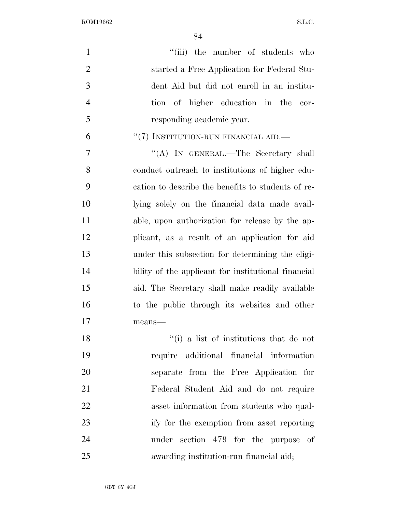| $\mathbf{1}$   | "(iii) the number of students who                   |
|----------------|-----------------------------------------------------|
| $\overline{2}$ | started a Free Application for Federal Stu-         |
| 3              | dent Aid but did not enroll in an institu-          |
| $\overline{4}$ | tion of higher education in the cor-                |
| 5              | responding academic year.                           |
| 6              | $``(7)$ INSTITUTION-RUN FINANCIAL AID.—             |
| 7              | "(A) IN GENERAL.—The Secretary shall                |
| 8              | conduct outreach to institutions of higher edu-     |
| 9              | cation to describe the benefits to students of re-  |
| 10             | lying solely on the financial data made avail-      |
| 11             | able, upon authorization for release by the ap-     |
| 12             | plicant, as a result of an application for aid      |
| 13             | under this subsection for determining the eligi-    |
| 14             | bility of the applicant for institutional financial |
| 15             | aid. The Secretary shall make readily available     |
| 16             | to the public through its websites and other        |
| 17             | means-                                              |
| 18             | "(i) a list of institutions that do not             |
| 19             | require additional financial information            |
| 20             | separate from the Free Application for              |
| 21             | Federal Student Aid and do not require              |
| 22             | asset information from students who qual-           |
| 23             | ify for the exemption from asset reporting          |
| 24             | under section 479 for the purpose of                |
| 25             | awarding institution-run financial aid;             |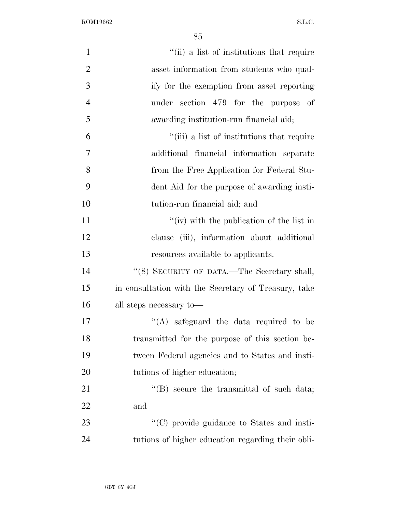| $\mathbf{1}$   | "(ii) a list of institutions that require            |
|----------------|------------------------------------------------------|
| $\overline{2}$ | asset information from students who qual-            |
| 3              | ify for the exemption from asset reporting           |
| $\overline{4}$ | under section 479 for the purpose of                 |
| 5              | awarding institution-run financial aid;              |
| 6              | "(iii) a list of institutions that require           |
| 7              | additional financial information separate            |
| 8              | from the Free Application for Federal Stu-           |
| 9              | dent Aid for the purpose of awarding insti-          |
| 10             | tution-run financial aid; and                        |
| 11             | "(iv) with the publication of the list in            |
| 12             | clause (iii), information about additional           |
| 13             | resources available to applicants.                   |
| 14             | $``(8)$ SECURITY OF DATA.—The Secretary shall,       |
| 15             | in consultation with the Secretary of Treasury, take |
| 16             | all steps necessary to-                              |
| 17             | $\lq\lq$ safeguard the data required to be           |
| 18             | transmitted for the purpose of this section be-      |
| 19             | tween Federal agencies and to States and insti-      |
| 20             | tutions of higher education;                         |
| 21             | $\lq\lq$ secure the transmittal of such data;        |
| 22             | and                                                  |
| 23             | $\lq\lq$ (C) provide guidance to States and insti-   |
| 24             | tutions of higher education regarding their obli-    |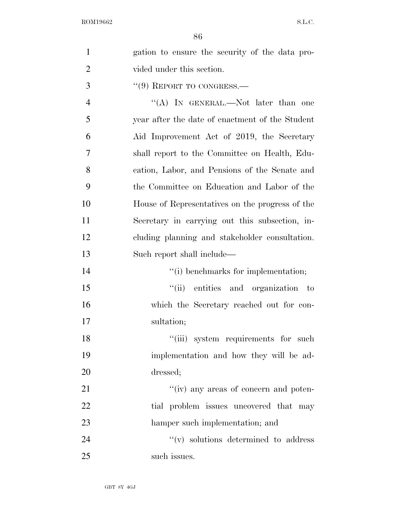| $\mathbf{1}$   | gation to ensure the security of the data pro-  |
|----------------|-------------------------------------------------|
| $\overline{2}$ | vided under this section.                       |
| 3              | $``(9)$ REPORT TO CONGRESS.—                    |
| $\overline{4}$ | "(A) IN GENERAL.—Not later than one             |
| 5              | year after the date of enactment of the Student |
| 6              | Aid Improvement Act of 2019, the Secretary      |
| 7              | shall report to the Committee on Health, Edu-   |
| 8              | cation, Labor, and Pensions of the Senate and   |
| 9              | the Committee on Education and Labor of the     |
| 10             | House of Representatives on the progress of the |
| 11             | Secretary in carrying out this subsection, in-  |
| 12             | cluding planning and stakeholder consultation.  |
| 13             | Such report shall include—                      |
| 14             | "(i) benchmarks for implementation;             |
| 15             | "(ii) entities and organization to              |
| 16             | which the Secretary reached out for con-        |
| 17             |                                                 |
|                | sultation;                                      |
| 18             | "(iii) system requirements for such             |
| 19             | implementation and how they will be ad-         |
| 20             | dressed;                                        |
| 21             | "(iv) any areas of concern and poten-           |
| 22             | tial problem issues uncovered that may          |
| 23             | hamper such implementation; and                 |
| 24             | $f'(v)$ solutions determined to address         |

such issues.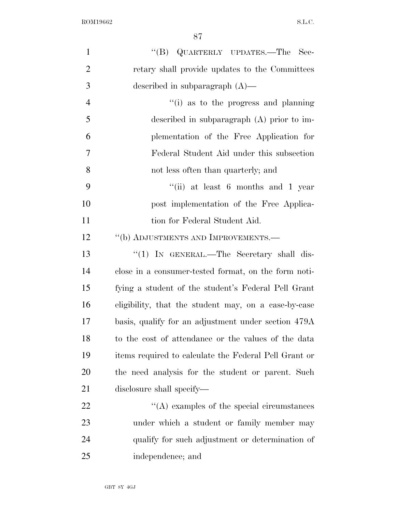| $\mathbf{1}$   | "(B) QUARTERLY UPDATES.—The Sec-                      |
|----------------|-------------------------------------------------------|
| $\overline{2}$ | retary shall provide updates to the Committees        |
| 3              | described in subparagraph $(A)$ —                     |
| $\overline{4}$ | "(i) as to the progress and planning                  |
| 5              | described in subparagraph $(A)$ prior to im-          |
| 6              | plementation of the Free Application for              |
| 7              | Federal Student Aid under this subsection             |
| 8              | not less often than quarterly; and                    |
| 9              | "(ii) at least 6 months and 1 year                    |
| 10             | post implementation of the Free Applica-              |
| 11             | tion for Federal Student Aid.                         |
| 12             | "(b) ADJUSTMENTS AND IMPROVEMENTS.-                   |
| 13             | "(1) IN GENERAL.—The Secretary shall dis-             |
| 14             | close in a consumer-tested format, on the form noti-  |
| 15             | fying a student of the student's Federal Pell Grant   |
| 16             | eligibility, that the student may, on a case-by-case  |
| 17             | basis, qualify for an adjustment under section 479A   |
| 18             | to the cost of attendance or the values of the data   |
| 19             | items required to calculate the Federal Pell Grant or |
| 20             | the need analysis for the student or parent. Such     |
| 21             | disclosure shall specify—                             |
| 22             | $\lq\lq$ examples of the special circumstances        |
| 23             | under which a student or family member may            |
| 24             | qualify for such adjustment or determination of       |
| 25             | independence; and                                     |
|                |                                                       |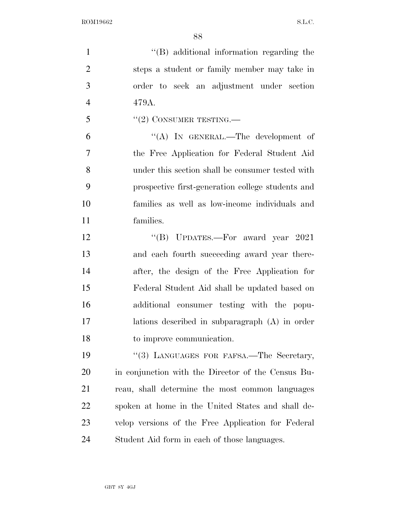| $\mathbf{1}$   | "(B) additional information regarding the          |
|----------------|----------------------------------------------------|
| $\overline{2}$ | steps a student or family member may take in       |
| 3              | order to seek an adjustment under section          |
| $\overline{4}$ | 479A.                                              |
| 5              | $``(2)$ CONSUMER TESTING.—                         |
| 6              | "(A) IN GENERAL.—The development of                |
| 7              | the Free Application for Federal Student Aid       |
| 8              | under this section shall be consumer tested with   |
| 9              | prospective first-generation college students and  |
| 10             | families as well as low-income individuals and     |
| 11             | families.                                          |
| 12             | "(B) UPDATES.—For award year 2021                  |
| 13             | and each fourth succeeding award year there-       |
| 14             | after, the design of the Free Application for      |
| 15             | Federal Student Aid shall be updated based on      |
| 16             | additional consumer testing with the popu-         |
| 17             | lations described in subparagraph (A) in order     |
| 18             | to improve communication.                          |
| 19             | "(3) LANGUAGES FOR FAFSA.—The Secretary,           |
| 20             | in conjunction with the Director of the Census Bu- |
| 21             | reau, shall determine the most common languages    |
| 22             | spoken at home in the United States and shall de-  |
| 23             | velop versions of the Free Application for Federal |
| 24             | Student Aid form in each of those languages.       |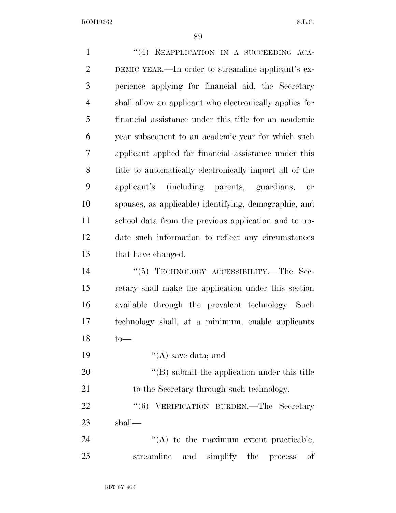| $\mathbf{1}$   | "(4) REAPPLICATION IN A SUCCEEDING ACA-                 |
|----------------|---------------------------------------------------------|
| $\overline{2}$ | DEMIC YEAR.—In order to streamline applicant's ex-      |
| 3              | perience applying for financial aid, the Secretary      |
| $\overline{4}$ | shall allow an applicant who electronically applies for |
| 5              | financial assistance under this title for an academic   |
| 6              | year subsequent to an academic year for which such      |
| 7              | applicant applied for financial assistance under this   |
| 8              | title to automatically electronically import all of the |
| 9              | applicant's (including parents, guardians, or           |
| 10             | spouses, as applicable) identifying, demographic, and   |
| 11             | school data from the previous application and to up-    |
| 12             | date such information to reflect any circumstances      |
| 13             | that have changed.                                      |
| 14             | "(5) TECHNOLOGY ACCESSIBILITY.—The Sec-                 |
| 15             | retary shall make the application under this section    |
| 16             | available through the prevalent technology. Such        |
| 17             | technology shall, at a minimum, enable applicants       |
| 18             | $to-$                                                   |
| 19             | $\lq\lq(A)$ save data; and                              |
| 20             | $\lq\lq (B)$ submit the application under this title    |
| 21             | to the Secretary through such technology.               |
| 22             | "(6) VERIFICATION BURDEN.—The Secretary                 |
| 23             | shall—                                                  |
| 24             | $\lq\lq$ to the maximum extent practicable,             |
| 25             | streamline<br>and simplify the process<br>οf            |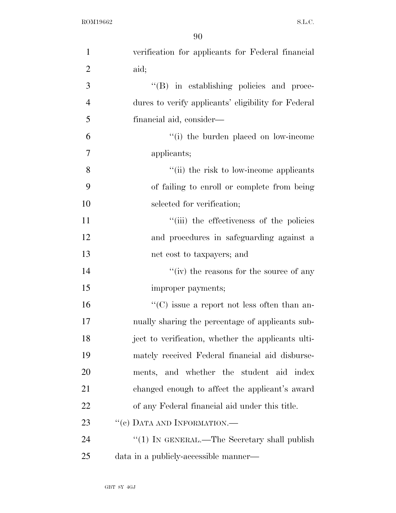| $\mathbf{1}$   | verification for applicants for Federal financial   |
|----------------|-----------------------------------------------------|
| $\overline{2}$ | aid;                                                |
| 3              | "(B) in establishing policies and proce-            |
| $\overline{4}$ | dures to verify applicants' eligibility for Federal |
| 5              | financial aid, consider—                            |
| 6              | "(i) the burden placed on low-income"               |
| 7              | applicants;                                         |
| 8              | "(ii) the risk to low-income applicants             |
| 9              | of failing to enroll or complete from being         |
| 10             | selected for verification;                          |
| 11             | "(iii) the effectiveness of the policies            |
| 12             | and procedures in safeguarding against a            |
| 13             | net cost to taxpayers; and                          |
| 14             | "(iv) the reasons for the source of any             |
| 15             | improper payments;                                  |
| 16             | $\lq\lq$ issue a report not less often than an-     |
| 17             | nually sharing the percentage of applicants sub-    |
| 18             | ject to verification, whether the applicants ulti-  |
| 19             | mately received Federal financial aid disburse-     |
| 20             | ments, and whether the student aid index            |
| 21             | changed enough to affect the applicant's award      |
| <u>22</u>      | of any Federal financial aid under this title.      |
| 23             | "(c) DATA AND INFORMATION.—                         |
| 24             | "(1) IN GENERAL.—The Secretary shall publish        |
| 25             | data in a publicly-accessible manner—               |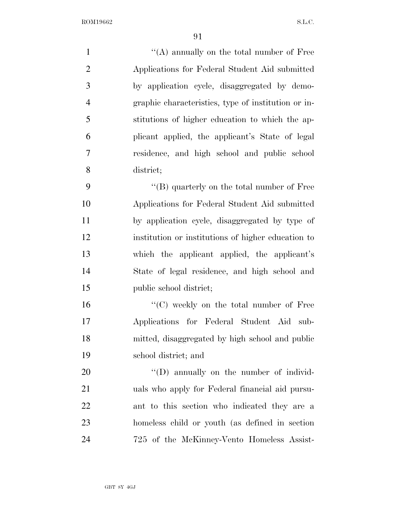1 ''(A) annually on the total number of Free Applications for Federal Student Aid submitted by application cycle, disaggregated by demo- graphic characteristics, type of institution or in- stitutions of higher education to which the ap- plicant applied, the applicant's State of legal residence, and high school and public school district; 9 ''(B) quarterly on the total number of Free Applications for Federal Student Aid submitted by application cycle, disaggregated by type of institution or institutions of higher education to which the applicant applied, the applicant's State of legal residence, and high school and public school district;  $"$ (C) weekly on the total number of Free Applications for Federal Student Aid sub-mitted, disaggregated by high school and public

 school district; and 20  $\langle (D)$  annually on the number of individ-uals who apply for Federal financial aid pursu-

 ant to this section who indicated they are a homeless child or youth (as defined in section 725 of the McKinney-Vento Homeless Assist-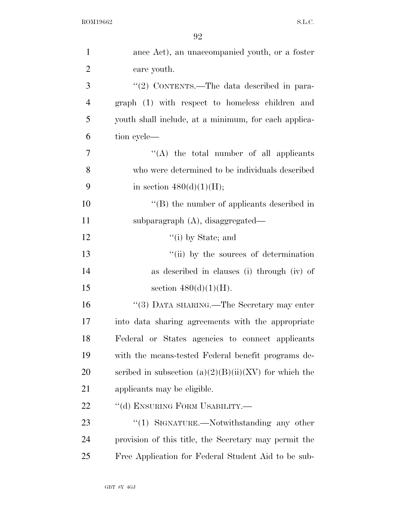| $\mathbf{1}$   | ance Act), an unaccompanied youth, or a foster          |
|----------------|---------------------------------------------------------|
| $\overline{2}$ | care youth.                                             |
| 3              | "(2) CONTENTS.—The data described in para-              |
| $\overline{4}$ | graph (1) with respect to homeless children and         |
| 5              | youth shall include, at a minimum, for each applica-    |
| 6              | tion cycle—                                             |
| 7              | "(A) the total number of all applicants                 |
| 8              | who were determined to be individuals described         |
| 9              | in section $480(d)(1)(H);$                              |
| 10             | $\lq\lq$ the number of applicants described in          |
| 11             | subparagraph $(A)$ , disaggregated—                     |
| 12             | $f'(i)$ by State; and                                   |
| 13             | "(ii) by the sources of determination                   |
| 14             | as described in clauses (i) through (iv) of             |
| 15             | section $480(d)(1)(H)$ .                                |
| 16             | "(3) DATA SHARING.—The Secretary may enter              |
| 17             | into data sharing agreements with the appropriate       |
| 18             | Federal or States agencies to connect applicants        |
| 19             | with the means-tested Federal benefit programs de-      |
| 20             | scribed in subsection $(a)(2)(B)(ii)(XV)$ for which the |
| 21             | applicants may be eligible.                             |
| 22             | "(d) ENSURING FORM USABILITY.-                          |
| 23             | " $(1)$ SIGNATURE.—Notwithstanding any other            |
| 24             | provision of this title, the Secretary may permit the   |
| 25             | Free Application for Federal Student Aid to be sub-     |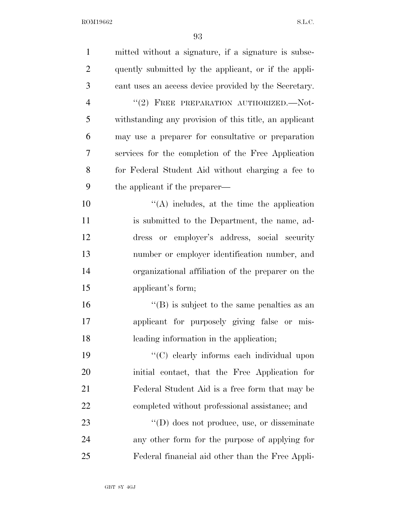| $\mathbf{1}$   | mitted without a signature, if a signature is subse-   |
|----------------|--------------------------------------------------------|
| $\overline{2}$ | quently submitted by the applicant, or if the appli-   |
| 3              | cant uses an access device provided by the Secretary.  |
| $\overline{4}$ | "(2) FREE PREPARATION AUTHORIZED.-Not-                 |
| 5              | withstanding any provision of this title, an applicant |
| 6              | may use a preparer for consultative or preparation     |
| 7              | services for the completion of the Free Application    |
| 8              | for Federal Student Aid without charging a fee to      |
| 9              | the applicant if the preparer—                         |
| 10             | $\lq\lq$ includes, at the time the application         |
| 11             | is submitted to the Department, the name, ad-          |
| 12             | dress or employer's address, social security           |
| 13             | number or employer identification number, and          |
| 14             | organizational affiliation of the preparer on the      |
| 15             | applicant's form;                                      |
| 16             | $\lq\lq (B)$ is subject to the same penalties as an    |
| 17             | applicant for purposely giving false or mis-           |
| 18             | leading information in the application;                |
| 19             | "(C) clearly informs each individual upon              |
| 20             | initial contact, that the Free Application for         |
| 21             | Federal Student Aid is a free form that may be         |
| 22             | completed without professional assistance; and         |
| 23             | $\lq\lq$ (D) does not produce, use, or disseminate     |
| 24             | any other form for the purpose of applying for         |
| 25             | Federal financial aid other than the Free Appli-       |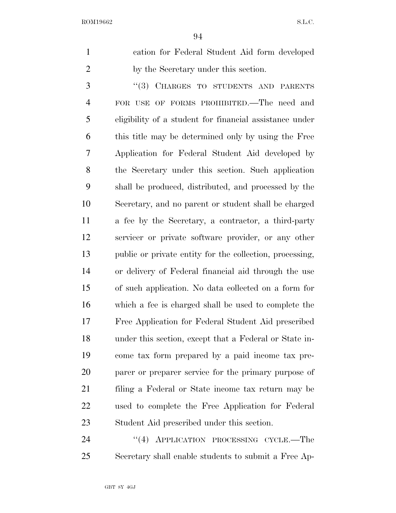| cation for Federal Student Aid form developed |
|-----------------------------------------------|
| by the Secretary under this section.          |

3 "(3) CHARGES TO STUDENTS AND PARENTS FOR USE OF FORMS PROHIBITED.—The need and eligibility of a student for financial assistance under this title may be determined only by using the Free Application for Federal Student Aid developed by the Secretary under this section. Such application shall be produced, distributed, and processed by the Secretary, and no parent or student shall be charged a fee by the Secretary, a contractor, a third-party servicer or private software provider, or any other public or private entity for the collection, processing, or delivery of Federal financial aid through the use of such application. No data collected on a form for which a fee is charged shall be used to complete the Free Application for Federal Student Aid prescribed under this section, except that a Federal or State in- come tax form prepared by a paid income tax pre- parer or preparer service for the primary purpose of filing a Federal or State income tax return may be used to complete the Free Application for Federal Student Aid prescribed under this section.

24 "(4) APPLICATION PROCESSING CYCLE.—The Secretary shall enable students to submit a Free Ap-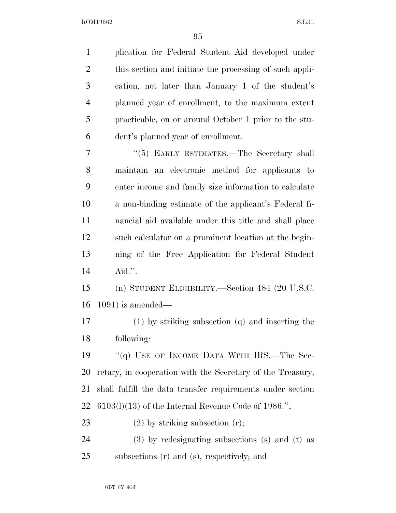plication for Federal Student Aid developed under this section and initiate the processing of such appli- cation, not later than January 1 of the student's planned year of enrollment, to the maximum extent practicable, on or around October 1 prior to the stu- dent's planned year of enrollment. 7 "(5) EARLY ESTIMATES.—The Secretary shall maintain an electronic method for applicants to enter income and family size information to calculate a non-binding estimate of the applicant's Federal fi- nancial aid available under this title and shall place such calculator on a prominent location at the begin- ning of the Free Application for Federal Student Aid.''. (n) STUDENT ELIGIBILITY.—Section 484 (20 U.S.C. 1091) is amended— (1) by striking subsection (q) and inserting the following: 19 "(q) USE OF INCOME DATA WITH IRS.—The Sec- retary, in cooperation with the Secretary of the Treasury, shall fulfill the data transfer requirements under section 6103(l)(13) of the Internal Revenue Code of 1986.''; 23 (2) by striking subsection (r); (3) by redesignating subsections (s) and (t) as subsections (r) and (s), respectively; and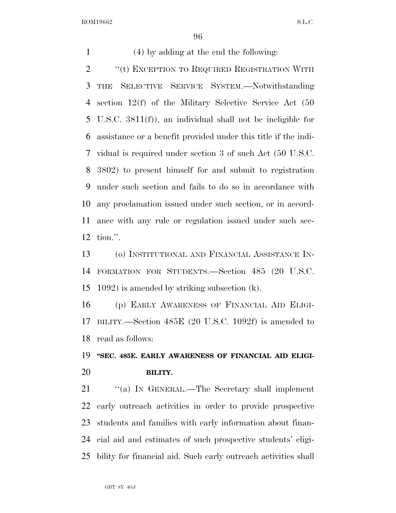(4) by adding at the end the following: 2 "(t) EXCEPTION TO REQUIRED REGISTRATION WITH THE SELECTIVE SERVICE SYSTEM.—Notwithstanding section 12(f) of the Military Selective Service Act (50 U.S.C. 3811(f)), an individual shall not be ineligible for assistance or a benefit provided under this title if the indi- vidual is required under section 3 of such Act (50 U.S.C. 3802) to present himself for and submit to registration under such section and fails to do so in accordance with any proclamation issued under such section, or in accord- ance with any rule or regulation issued under such sec-tion.''.

 (o) INSTITUTIONAL AND FINANCIAL ASSISTANCE IN- FORMATION FOR STUDENTS.—Section 485 (20 U.S.C. 1092) is amended by striking subsection (k).

 (p) EARLY AWARENESS OF FINANCIAL AID ELIGI- BILITY.—Section 485E (20 U.S.C. 1092f) is amended to read as follows:

 **''SEC. 485E. EARLY AWARENESS OF FINANCIAL AID ELIGI-BILITY.** 

21 "(a) IN GENERAL.—The Secretary shall implement early outreach activities in order to provide prospective students and families with early information about finan- cial aid and estimates of such prospective students' eligi-bility for financial aid. Such early outreach activities shall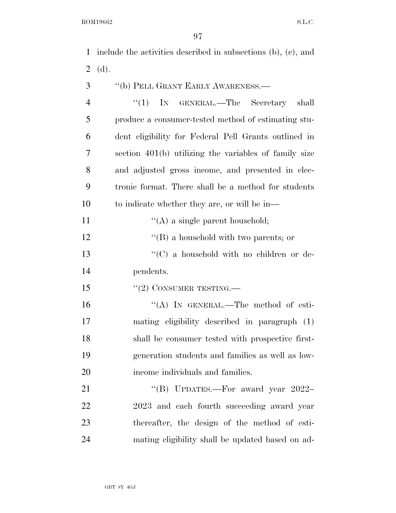include the activities described in subsections (b), (c), and (d).

- ''(b) PELL GRANT EARLY AWARENESS.—
- 4 "(1) In GENERAL.—The Secretary shall produce a consumer-tested method of estimating stu- dent eligibility for Federal Pell Grants outlined in section 401(b) utilizing the variables of family size and adjusted gross income, and presented in elec- tronic format. There shall be a method for students 10 to indicate whether they are, or will be in—
- 11  $\langle (A)$  a single parent household;
- 12 ''(B) a household with two parents; or
- 13 ''(C) a household with no children or de-pendents.
- 15 "(2) CONSUMER TESTING.—
- 16 "(A) In GENERAL.—The method of esti- mating eligibility described in paragraph (1) shall be consumer tested with prospective first- generation students and families as well as low-income individuals and families.

21 "(B) UPDATES.—For award year 2022– 2023 and each fourth succeeding award year thereafter, the design of the method of esti-mating eligibility shall be updated based on ad-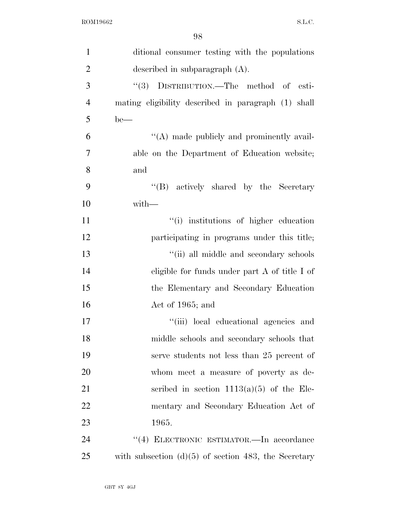| $\mathbf{1}$   | ditional consumer testing with the populations         |
|----------------|--------------------------------------------------------|
| $\overline{2}$ | described in subparagraph $(A)$ .                      |
| 3              | DISTRIBUTION.—The method of esti-<br>(3)               |
| $\overline{4}$ | mating eligibility described in paragraph (1) shall    |
| 5              | $be$ —                                                 |
| 6              | "(A) made publicly and prominently avail-              |
| 7              | able on the Department of Education website;           |
| 8              | and                                                    |
| 9              | "(B) actively shared by the Secretary                  |
| 10             | with-                                                  |
| 11             | "(i) institutions of higher education                  |
| 12             | participating in programs under this title;            |
| 13             | "(ii) all middle and secondary schools                 |
| 14             | eligible for funds under part A of title I of          |
| 15             | the Elementary and Secondary Education                 |
| 16             | Act of 1965; and                                       |
| 17             | "(iii) local educational agencies and                  |
| 18             | middle schools and secondary schools that              |
| 19             | serve students not less than 25 percent of             |
| 20             | whom meet a measure of poverty as de-                  |
| 21             | scribed in section $1113(a)(5)$ of the Ele-            |
| 22             | mentary and Secondary Education Act of                 |
| 23             | 1965.                                                  |
| 24             | "(4) ELECTRONIC ESTIMATOR.—In accordance               |
| 25             | with subsection $(d)(5)$ of section 483, the Secretary |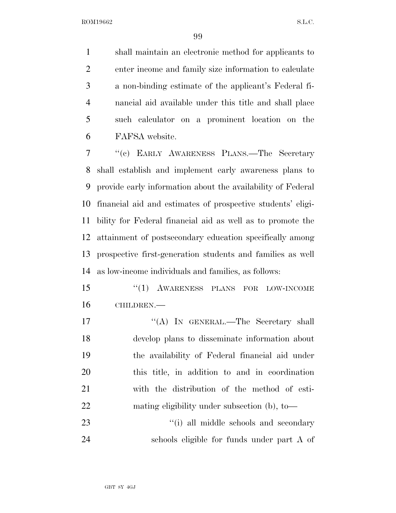shall maintain an electronic method for applicants to enter income and family size information to calculate a non-binding estimate of the applicant's Federal fi- nancial aid available under this title and shall place such calculator on a prominent location on the FAFSA website.

 ''(c) EARLY AWARENESS PLANS.—The Secretary shall establish and implement early awareness plans to provide early information about the availability of Federal financial aid and estimates of prospective students' eligi- bility for Federal financial aid as well as to promote the attainment of postsecondary education specifically among prospective first-generation students and families as well as low-income individuals and families, as follows:

 ''(1) AWARENESS PLANS FOR LOW-INCOME CHILDREN.—

17 ""(A) IN GENERAL.—The Secretary shall develop plans to disseminate information about the availability of Federal financial aid under this title, in addition to and in coordination with the distribution of the method of esti-mating eligibility under subsection (b), to—

23 ''(i) all middle schools and secondary schools eligible for funds under part A of

GBT 8Y 4GJ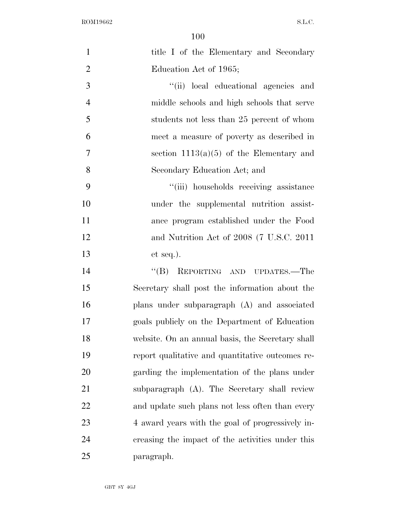| $\mathbf{1}$   | title I of the Elementary and Secondary          |
|----------------|--------------------------------------------------|
| $\overline{2}$ | Education Act of 1965;                           |
| 3              | "(ii) local educational agencies and             |
| $\overline{4}$ | middle schools and high schools that serve       |
| 5              | students not less than 25 percent of whom        |
| 6              | meet a measure of poverty as described in        |
| 7              | section $1113(a)(5)$ of the Elementary and       |
| 8              | Secondary Education Act; and                     |
| 9              | "(iii) households receiving assistance           |
| 10             | under the supplemental nutrition assist-         |
| 11             | ance program established under the Food          |
| 12             | and Nutrition Act of 2008 (7 U.S.C. 2011)        |
| 13             | $et seq.$ ).                                     |
| 14             | "(B) REPORTING AND UPDATES.—The                  |
| 15             | Secretary shall post the information about the   |
| 16             | plans under subparagraph (A) and associated      |
| 17             | goals publicly on the Department of Education    |
| 18             | website. On an annual basis, the Secretary shall |
| 19             | report qualitative and quantitative outcomes re- |
| 20             | garding the implementation of the plans under    |
| 21             | subparagraph (A). The Secretary shall review     |
| 22             | and update such plans not less often than every  |
| 23             | 4 award years with the goal of progressively in- |
| 24             | creasing the impact of the activities under this |
| 25             | paragraph.                                       |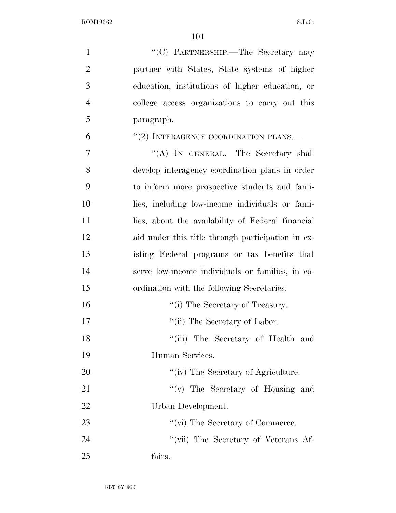| $\mathbf{1}$   | "(C) PARTNERSHIP.—The Secretary may               |
|----------------|---------------------------------------------------|
| $\overline{2}$ | partner with States, State systems of higher      |
| 3              | education, institutions of higher education, or   |
| $\overline{4}$ | college access organizations to carry out this    |
| 5              | paragraph.                                        |
| 6              | $``(2)$ INTERAGENCY COORDINATION PLANS.—          |
| 7              | "(A) IN GENERAL.—The Secretary shall              |
| 8              | develop interagency coordination plans in order   |
| 9              | to inform more prospective students and fami-     |
| 10             | lies, including low-income individuals or fami-   |
| 11             | lies, about the availability of Federal financial |
| 12             | aid under this title through participation in ex- |
| 13             | isting Federal programs or tax benefits that      |
| 14             | serve low-income individuals or families, in co-  |
| 15             | ordination with the following Secretaries:        |
| 16             | "(i) The Secretary of Treasury.                   |
| 17             | "(ii) The Secretary of Labor.                     |
| 18             | "(iii) The Secretary of Health and                |
| 19             | Human Services.                                   |
| 20             | "(iv) The Secretary of Agriculture.               |
| 21             | "(v) The Secretary of Housing and                 |
| 22             | Urban Development.                                |
| 23             | "(vi) The Secretary of Commerce.                  |
| 24             | "(vii) The Secretary of Veterans Af-              |
| 25             | fairs.                                            |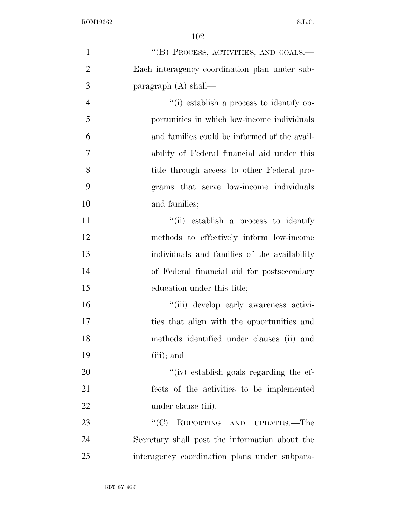| $\mathbf{1}$   | "(B) PROCESS, ACTIVITIES, AND GOALS.—          |
|----------------|------------------------------------------------|
| $\overline{2}$ | Each interagency coordination plan under sub-  |
| 3              | paragraph (A) shall—                           |
| $\overline{4}$ | "(i) establish a process to identify op-       |
| 5              | portunities in which low-income individuals    |
| 6              | and families could be informed of the avail-   |
| $\overline{7}$ | ability of Federal financial aid under this    |
| 8              | title through access to other Federal pro-     |
| 9              | grams that serve low-income individuals        |
| 10             | and families;                                  |
| 11             | "(ii) establish a process to identify          |
| 12             | methods to effectively inform low-income       |
| 13             | individuals and families of the availability   |
| 14             | of Federal financial aid for postsecondary     |
| 15             | education under this title;                    |
| 16             | "(iii) develop early awareness activi-         |
| 17             | ties that align with the opportunities and     |
| 18             | methods identified under clauses (ii) and      |
| 19             | $(iii)$ ; and                                  |
| 20             | "(iv) establish goals regarding the ef-        |
| 21             | fects of the activities to be implemented      |
| 22             | under clause (iii).                            |
| 23             | ``(C)<br>REPORTING AND UPDATES.—The            |
| 24             | Secretary shall post the information about the |
| 25             | interagency coordination plans under subpara-  |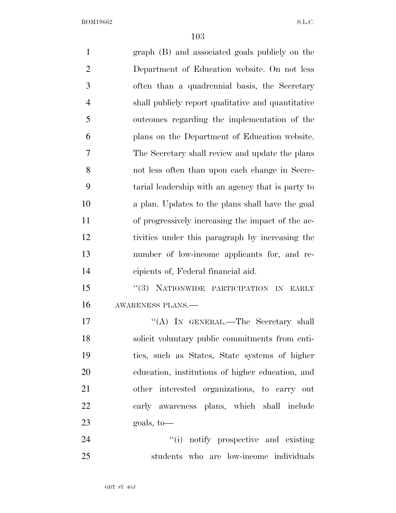| $\mathbf{1}$   | graph (B) and associated goals publicly on the     |
|----------------|----------------------------------------------------|
| $\overline{2}$ | Department of Education website. On not less       |
| 3              | often than a quadrennial basis, the Secretary      |
| $\overline{4}$ | shall publicly report qualitative and quantitative |
| 5              | outcomes regarding the implementation of the       |
| 6              | plans on the Department of Education website.      |
| 7              | The Secretary shall review and update the plans    |
| 8              | not less often than upon each change in Secre-     |
| 9              | tarial leadership with an agency that is party to  |
| 10             | a plan. Updates to the plans shall have the goal   |
| 11             | of progressively increasing the impact of the ac-  |
| 12             | tivities under this paragraph by increasing the    |
| 13             | number of low-income applicants for, and re-       |
| 14             | cipients of, Federal financial aid.                |
| 15             | "(3) NATIONWIDE PARTICIPATION IN<br>EARLY          |
| 16             | AWARENESS PLANS.-                                  |
| 17             | "(A) IN GENERAL.—The Secretary shall               |
| 18             | solicit voluntary public commitments from enti-    |
| 19             | ties, such as States, State systems of higher      |
| 20             | education, institutions of higher education, and   |
| 21             | other interested organizations, to carry out       |
| 22             | early awareness plans, which shall include         |
| 23             | goals, to-                                         |
| 24             | "(i) notify prospective and existing               |
| 25             | students who are low-income individuals            |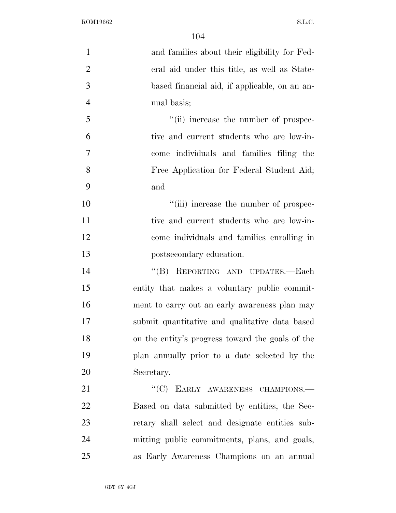| $\mathbf{1}$   | and families about their eligibility for Fed-    |
|----------------|--------------------------------------------------|
| $\overline{2}$ | eral aid under this title, as well as State-     |
| 3              | based financial aid, if applicable, on an an-    |
| $\overline{4}$ | nual basis;                                      |
| 5              | "(ii) increase the number of prospec-            |
| 6              | tive and current students who are low-in-        |
| $\overline{7}$ | come individuals and families filing the         |
| 8              | Free Application for Federal Student Aid;        |
| 9              | and                                              |
| 10             | "(iii) increase the number of prospec-           |
| 11             | tive and current students who are low-in-        |
| 12             | come individuals and families enrolling in       |
| 13             | postsecondary education.                         |
| 14             | "(B) REPORTING AND UPDATES.-Each                 |
| 15             | entity that makes a voluntary public commit-     |
| 16             | ment to carry out an early awareness plan may    |
| 17             | submit quantitative and qualitative data based   |
| 18             | on the entity's progress toward the goals of the |
| 19             | plan annually prior to a date selected by the    |
| 20             | Secretary.                                       |
| 21             | "(C) EARLY AWARENESS CHAMPIONS.-                 |
| 22             | Based on data submitted by entities, the Sec-    |
| 23             | retary shall select and designate entities sub-  |
| 24             | mitting public commitments, plans, and goals,    |
| 25             | as Early Awareness Champions on an annual        |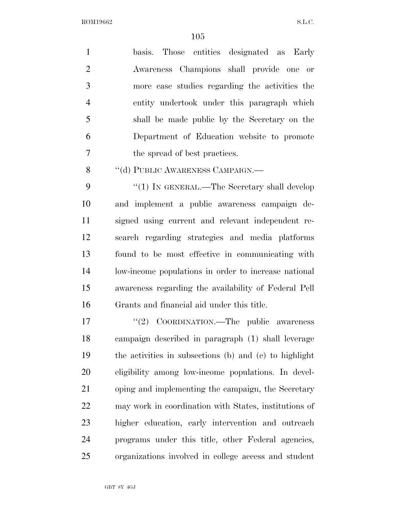basis. Those entities designated as Early Awareness Champions shall provide one or more case studies regarding the activities the entity undertook under this paragraph which shall be made public by the Secretary on the Department of Education website to promote the spread of best practices.

8 "(d) PUBLIC AWARENESS CAMPAIGN.—

9 "(1) IN GENERAL.—The Secretary shall develop and implement a public awareness campaign de- signed using current and relevant independent re- search regarding strategies and media platforms found to be most effective in communicating with low-income populations in order to increase national awareness regarding the availability of Federal Pell Grants and financial aid under this title.

17 "(2) COORDINATION.—The public awareness campaign described in paragraph (1) shall leverage the activities in subsections (b) and (c) to highlight eligibility among low-income populations. In devel- oping and implementing the campaign, the Secretary may work in coordination with States, institutions of higher education, early intervention and outreach programs under this title, other Federal agencies, organizations involved in college access and student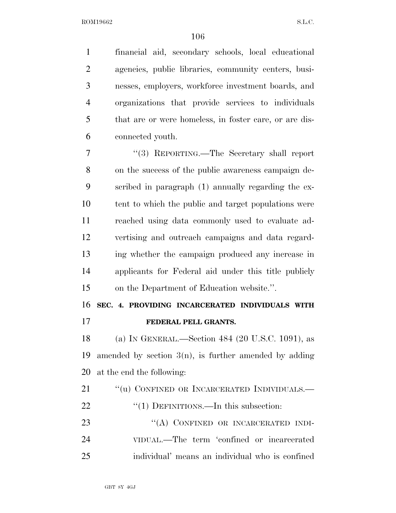financial aid, secondary schools, local educational agencies, public libraries, community centers, busi- nesses, employers, workforce investment boards, and organizations that provide services to individuals that are or were homeless, in foster care, or are dis-connected youth.

 ''(3) REPORTING.—The Secretary shall report on the success of the public awareness campaign de- scribed in paragraph (1) annually regarding the ex- tent to which the public and target populations were reached using data commonly used to evaluate ad- vertising and outreach campaigns and data regard- ing whether the campaign produced any increase in applicants for Federal aid under this title publicly on the Department of Education website.''.

## **SEC. 4. PROVIDING INCARCERATED INDIVIDUALS WITH**

**FEDERAL PELL GRANTS.** 

 (a) IN GENERAL.—Section 484 (20 U.S.C. 1091), as amended by section 3(n), is further amended by adding at the end the following:

21 "(u) CONFINED OR INCARCERATED INDIVIDUALS.— 22 "(1) DEFINITIONS.—In this subsection:

23 "(A) CONFINED OR INCARCERATED INDI- VIDUAL.—The term 'confined or incarcerated individual' means an individual who is confined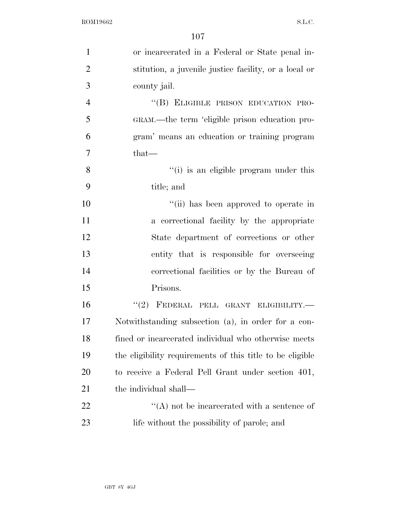| $\mathbf{1}$   | or incarcerated in a Federal or State penal in-           |
|----------------|-----------------------------------------------------------|
| $\overline{2}$ | stitution, a juvenile justice facility, or a local or     |
| 3              | county jail.                                              |
| $\overline{4}$ | "(B) ELIGIBLE PRISON EDUCATION PRO-                       |
| 5              | GRAM.—the term 'eligible prison education pro-            |
| 6              | gram' means an education or training program              |
| 7              | $that$ —                                                  |
| 8              | "(i) is an eligible program under this                    |
| 9              | title; and                                                |
| 10             | "(ii) has been approved to operate in                     |
| 11             | a correctional facility by the appropriate                |
| 12             | State department of corrections or other                  |
| 13             | entity that is responsible for overseeing                 |
| 14             | correctional facilities or by the Bureau of               |
| 15             | Prisons.                                                  |
| 16             | "(2) FEDERAL PELL GRANT ELIGIBILITY.-                     |
| 17             | Notwithstanding subsection (a), in order for a con-       |
| 18             | fined or incarcerated individual who otherwise meets      |
| 19             | the eligibility requirements of this title to be eligible |
| 20             | to receive a Federal Pell Grant under section 401,        |
| 21             | the individual shall—                                     |
| 22             | $\lq\lq$ not be incarcerated with a sentence of           |
| 23             | life without the possibility of parole; and               |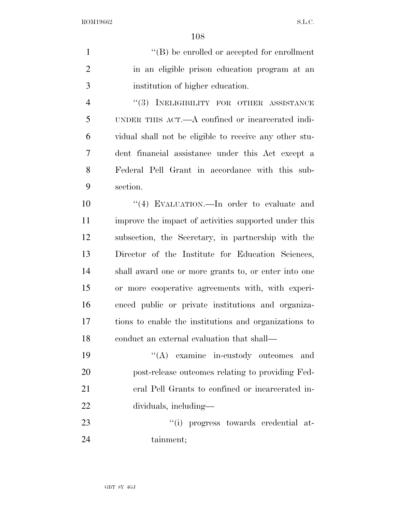1  $\lq( B )$  be enrolled or accepted for enrollment in an eligible prison education program at an institution of higher education.

4 "(3) INELIGIBILITY FOR OTHER ASSISTANCE UNDER THIS ACT.—A confined or incarcerated indi- vidual shall not be eligible to receive any other stu- dent financial assistance under this Act except a Federal Pell Grant in accordance with this sub-section.

 $\frac{10}{10}$  EVALUATION.—In order to evaluate and improve the impact of activities supported under this subsection, the Secretary, in partnership with the Director of the Institute for Education Sciences, shall award one or more grants to, or enter into one or more cooperative agreements with, with experi- enced public or private institutions and organiza- tions to enable the institutions and organizations to conduct an external evaluation that shall—

 ''(A) examine in-custody outcomes and post-release outcomes relating to providing Fed- eral Pell Grants to confined or incarcerated in-dividuals, including—

23  $\frac{1}{1}$  progress towards credential at-tainment;

GBT 8Y 4GJ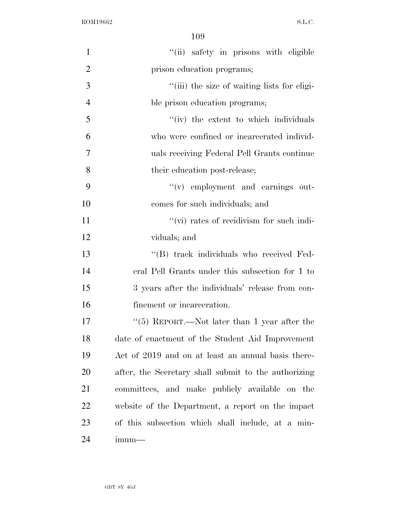| $\mathbf{1}$   | "(ii) safety in prisons with eligible                |
|----------------|------------------------------------------------------|
| $\overline{2}$ | prison education programs;                           |
| 3              | "(iii) the size of waiting lists for eligi-          |
| $\overline{4}$ | ble prison education programs;                       |
| 5              | "(iv) the extent to which individuals                |
| 6              | who were confined or incarcerated individ-           |
| 7              | uals receiving Federal Pell Grants continue          |
| 8              | their education post-release;                        |
| 9              | $f'(v)$ employment and earnings out-                 |
| 10             | comes for such individuals; and                      |
| 11             | "(vi) rates of recidivism for such indi-             |
| 12             | viduals; and                                         |
| 13             | "(B) track individuals who received Fed-             |
| 14             | eral Pell Grants under this subsection for 1 to      |
| 15             | 3 years after the individuals' release from con-     |
| 16             | finement or incarceration.                           |
| 17             | " $(5)$ REPORT.—Not later than 1 year after the      |
| 18             | date of enactment of the Student Aid Improvement     |
| 19             | Act of 2019 and on at least an annual basis there-   |
| 20             | after, the Secretary shall submit to the authorizing |
| 21             | committees, and make publicly available on the       |
| 22             | website of the Department, a report on the impact    |
| 23             | of this subsection which shall include, at a min-    |
| 24             | $imum-$                                              |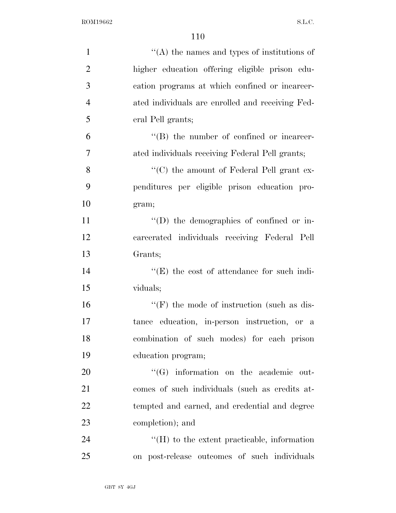| $\mathbf{1}$   | $\cdot$ (A) the names and types of institutions of |
|----------------|----------------------------------------------------|
| $\overline{2}$ | higher education offering eligible prison edu-     |
| 3              | cation programs at which confined or incarcer-     |
| $\overline{4}$ | ated individuals are enrolled and receiving Fed-   |
| 5              | eral Pell grants;                                  |
| 6              | $\lq\lq$ the number of confined or incarcer-       |
| 7              | ated individuals receiving Federal Pell grants;    |
| 8              | " $(C)$ the amount of Federal Pell grant ex-       |
| 9              | penditures per eligible prison education pro-      |
| 10             | gram;                                              |
| 11             | $\lq\lq$ the demographics of confined or in-       |
| 12             | carcerated individuals receiving Federal Pell      |
| 13             | Grants;                                            |
| 14             | $\lq\lq(E)$ the cost of attendance for such indi-  |
| 15             | viduals;                                           |
| 16             | $\lq\lq(F)$ the mode of instruction (such as dis-  |
| 17             | tance education, in-person instruction, or a       |
| 18             | combination of such modes) for each prison         |
| 19             | education program;                                 |
| 20             | $\lq\lq (G)$ information on the academic out-      |
| 21             | comes of such individuals (such as credits at-     |
| 22             | tempted and earned, and credential and degree      |
| 23             | completion); and                                   |
| 24             | $\lq\lq$ to the extent practicable, information    |
| 25             | on post-release outcomes of such individuals       |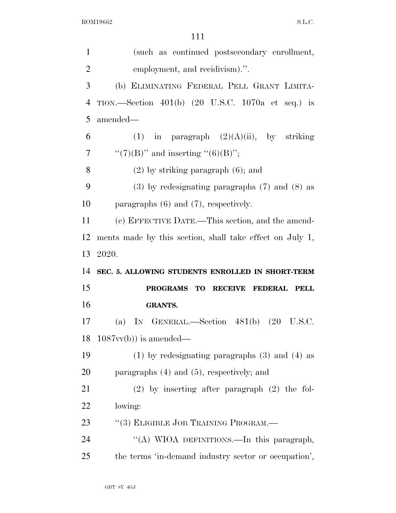| $\mathbf{1}$   | (such as continued postsecondary enrollment,             |
|----------------|----------------------------------------------------------|
| $\overline{2}$ | employment, and recidivism).".                           |
| 3              | (b) ELIMINATING FEDERAL PELL GRANT LIMITA-               |
| $\overline{4}$ | TION.—Section $401(b)$ (20 U.S.C. 1070a et seq.) is      |
| 5              | amended—                                                 |
| 6              | (1) in paragraph $(2)(A)(ii)$ , by striking              |
| 7              | " $(7)(B)$ " and inserting " $(6)(B)$ ";                 |
| 8              | $(2)$ by striking paragraph $(6)$ ; and                  |
| 9              | $(3)$ by redesignating paragraphs $(7)$ and $(8)$ as     |
| 10             | paragraphs $(6)$ and $(7)$ , respectively.               |
| 11             | (c) EFFECTIVE DATE.—This section, and the amend-         |
| 12             | ments made by this section, shall take effect on July 1, |
|                |                                                          |
| 13             | 2020.                                                    |
| 14             | SEC. 5. ALLOWING STUDENTS ENROLLED IN SHORT-TERM         |
| 15             | PROGRAMS TO RECEIVE<br><b>FEDERAL</b><br><b>PELL</b>     |
| 16             | <b>GRANTS.</b>                                           |
|                | (a) IN GENERAL.—Section $481(b)$ (20 U.S.C.              |
| 17             | 18 $1087w(b)$ is amended—                                |
| 19             | $(1)$ by redesignating paragraphs $(3)$ and $(4)$ as     |
| 20             | paragraphs $(4)$ and $(5)$ , respectively; and           |
| 21             | $(2)$ by inserting after paragraph $(2)$ the fol-        |
| 22             | lowing:                                                  |
| 23             | "(3) ELIGIBLE JOB TRAINING PROGRAM.-                     |
| 24             | "(A) WIOA DEFINITIONS.—In this paragraph,                |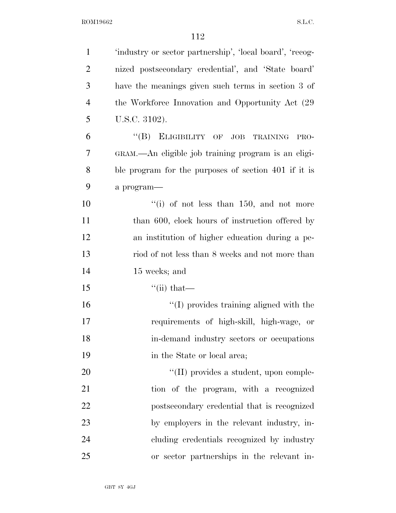| $\mathbf{1}$   | 'industry or sector partnership', 'local board', 'recog- |
|----------------|----------------------------------------------------------|
| $\overline{2}$ | nized postsecondary credential', and 'State board'       |
| 3              | have the meanings given such terms in section 3 of       |
| $\overline{4}$ | the Workforce Innovation and Opportunity Act (29)        |
| 5              | U.S.C. 3102).                                            |
| 6              | "(B) ELIGIBILITY OF JOB TRAINING<br>PRO-                 |
| 7              | GRAM.—An eligible job training program is an eligi-      |
| 8              | ble program for the purposes of section 401 if it is     |
| 9              | a program-                                               |
| 10             | "(i) of not less than $150$ , and not more               |
| 11             | than 600, clock hours of instruction offered by          |
| 12             | an institution of higher education during a pe-          |
| 13             | riod of not less than 8 weeks and not more than          |
| 14             | 15 weeks; and                                            |
| 15             | $\lq$ <sup>"</sup> (ii) that—                            |
| 16             | $\lq\lq$ (I) provides training aligned with the          |
| 17             | requirements of high-skill, high-wage, or                |
| 18             | in-demand industry sectors or occupations                |
| 19             | in the State or local area;                              |
| 20             | "(II) provides a student, upon comple-                   |
| 21             | tion of the program, with a recognized                   |
| 22             | postsecondary credential that is recognized              |
| 23             | by employers in the relevant industry, in-               |
| 24             | cluding credentials recognized by industry               |
| 25             | or sector partnerships in the relevant in-               |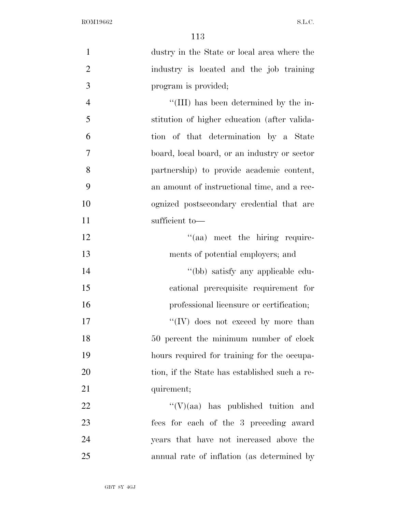| $\mathbf{1}$   | dustry in the State or local area where the   |
|----------------|-----------------------------------------------|
| $\overline{2}$ | industry is located and the job training      |
| 3              | program is provided;                          |
| $\overline{4}$ | "(III) has been determined by the in-         |
| 5              | stitution of higher education (after valida-  |
| 6              | tion of that determination by a State         |
| 7              | board, local board, or an industry or sector  |
| 8              | partnership) to provide academic content,     |
| 9              | an amount of instructional time, and a rec-   |
| 10             | ognized postsecondary credential that are     |
| 11             | sufficient to-                                |
| 12             | "(aa) meet the hiring require-                |
| 13             | ments of potential employers; and             |
| 14             | "(bb) satisfy any applicable edu-             |
| 15             | cational prerequisite requirement for         |
| 16             | professional licensure or certification;      |
| 17             | "(IV) does not exceed by more than            |
| 18             | 50 percent the minimum number of clock        |
| 19             | hours required for training for the occupa-   |
| 20             | tion, if the State has established such a re- |
| 21             | quirement;                                    |
| <u>22</u>      | $\lq\lq(V)(aa)$ has published tuition and     |
| 23             | fees for each of the 3 preceding award        |
| 24             | years that have not increased above the       |
| 25             | annual rate of inflation (as determined by    |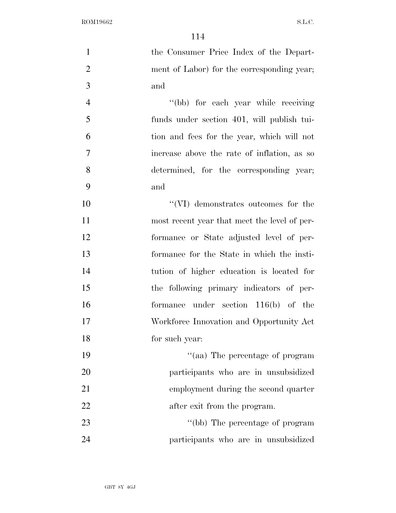the Consumer Price Index of the Depart- ment of Labor) for the corresponding year; and 4 "(bb) for each year while receiving funds under section 401, will publish tui- tion and fees for the year, which will not increase above the rate of inflation, as so determined, for the corresponding year; and ''(VI) demonstrates outcomes for the most recent year that meet the level of per- formance or State adjusted level of per- formance for the State in which the insti- tution of higher education is located for the following primary indicators of per- formance under section 116(b) of the Workforce Innovation and Opportunity Act for such year:  $\frac{1}{2}$  The percentage of program participants who are in unsubsidized employment during the second quarter 22 after exit from the program. 23 ''(bb) The percentage of program participants who are in unsubsidized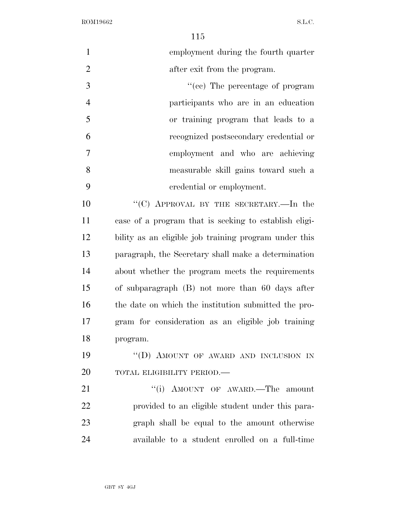$11<sub>5</sub>$ 

|                | 115                                                   |
|----------------|-------------------------------------------------------|
| $\mathbf{1}$   | employment during the fourth quarter                  |
| $\overline{2}$ | after exit from the program.                          |
| $\overline{3}$ | "(cc) The percentage of program                       |
| $\overline{4}$ | participants who are in an education                  |
| 5              | or training program that leads to a                   |
| 6              | recognized postsecondary credential or                |
| $\tau$         | employment and who are achieving                      |
| 8              | measurable skill gains toward such a                  |
| 9              | credential or employment.                             |
| 10             | "(C) APPROVAL BY THE SECRETARY.—In the                |
| 11             | case of a program that is seeking to establish eligi- |
| 12             | bility as an eligible job training program under this |
| 13             | paragraph, the Secretary shall make a determination   |
| 14             | about whether the program meets the requirements      |
| 15             | of subparagraph (B) not more than 60 days after       |
| 16             | the date on which the institution submitted the pro-  |
| 17             | gram for consideration as an eligible job training    |
| 18             | program.                                              |
| 19             | "(D) AMOUNT OF AWARD AND INCLUSION IN                 |
| 20             | TOTAL ELIGIBILITY PERIOD.-                            |
| 21             | "(i) AMOUNT OF AWARD.—The amount                      |
| 22             | provided to an eligible student under this para-      |
| 23             | graph shall be equal to the amount otherwise          |
| 24             | available to a student enrolled on a full-time        |
|                |                                                       |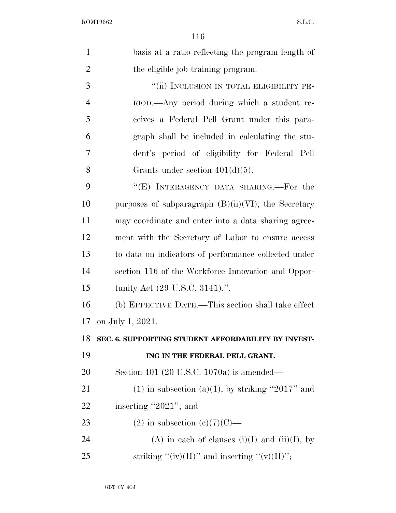| $\mathbf{1}$   | basis at a ratio reflecting the program length of      |
|----------------|--------------------------------------------------------|
| $\overline{2}$ | the eligible job training program.                     |
| 3              | "(ii) INCLUSION IN TOTAL ELIGIBILITY PE-               |
| $\overline{4}$ | RIOD.—Any period during which a student re-            |
| 5              | ceives a Federal Pell Grant under this para-           |
| 6              | graph shall be included in calculating the stu-        |
| 7              | dent's period of eligibility for Federal Pell          |
| 8              | Grants under section $401(d)(5)$ .                     |
| 9              | "(E) INTERAGENCY DATA SHARING.—For the                 |
| 10             | purposes of subparagraph $(B)(ii)(VI)$ , the Secretary |
| 11             | may coordinate and enter into a data sharing agree-    |
| 12             | ment with the Secretary of Labor to ensure access      |
| 13             | to data on indicators of performance collected under   |
| 14             | section 116 of the Workforce Innovation and Oppor-     |
| 15             | tunity Act (29 U.S.C. 3141).".                         |
| 16             | (b) EFFECTIVE DATE.—This section shall take effect     |
| 17             | on July 1, 2021.                                       |
| 18             | SEC. 6. SUPPORTING STUDENT AFFORDABILITY BY INVEST-    |
| 19             | ING IN THE FEDERAL PELL GRANT.                         |
| 20             | Section 401 (20 U.S.C. 1070a) is amended—              |
| 21             | $(1)$ in subsection $(a)(1)$ , by striking "2017" and  |
| 22             | inserting "2021"; and                                  |
| 23             | $(2)$ in subsection $(e)(7)(C)$ —                      |
| 24             | (A) in each of clauses (i)(I) and (ii)(I), by          |
| 25             | striking "(iv)(II)" and inserting "(v)(II)";           |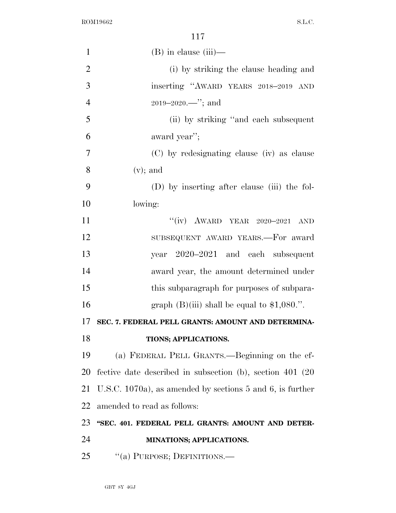| $\mathbf{1}$   | $(B)$ in clause $(iii)$ —                                      |
|----------------|----------------------------------------------------------------|
| $\overline{2}$ | (i) by striking the clause heading and                         |
| 3              | inserting "AWARD YEARS 2018-2019 AND                           |
| $\overline{4}$ |                                                                |
| 5              | (ii) by striking "and each subsequent"                         |
| 6              | award year";                                                   |
| 7              | (C) by redesignating clause (iv) as clause                     |
| 8              | $(v)$ ; and                                                    |
| 9              | (D) by inserting after clause (iii) the fol-                   |
| 10             | lowing:                                                        |
| 11             | "(iv) AWARD YEAR $2020-2021$<br>AND                            |
| 12             | SUBSEQUENT AWARD YEARS.-For award                              |
| 13             | year 2020–2021 and each subsequent                             |
| 14             | award year, the amount determined under                        |
| 15             | this subparagraph for purposes of subpara-                     |
| 16             | graph $(B)(iii)$ shall be equal to \$1,080.".                  |
| 17             | SEC. 7. FEDERAL PELL GRANTS: AMOUNT AND DETERMINA-             |
| 18             | TIONS; APPLICATIONS.                                           |
| 19             | (a) FEDERAL PELL GRANTS.—Beginning on the ef-                  |
| 20             | fective date described in subsection (b), section 401 (20)     |
| 21             | U.S.C. 1070a), as amended by sections $5$ and $6$ , is further |
| 22             | amended to read as follows:                                    |
| 23             | "SEC. 401. FEDERAL PELL GRANTS: AMOUNT AND DETER-              |
| 24             | MINATIONS; APPLICATIONS.                                       |
| 25             | "(a) PURPOSE; DEFINITIONS.-                                    |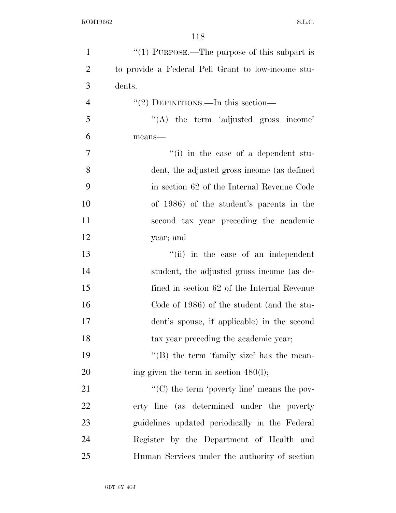| $\mathbf{1}$   | " $(1)$ PURPOSE.—The purpose of this subpart is    |
|----------------|----------------------------------------------------|
| $\overline{2}$ | to provide a Federal Pell Grant to low-income stu- |
| 3              | dents.                                             |
| $\overline{4}$ | "(2) DEFINITIONS.—In this section—                 |
| 5              | $\lq\lq$ the term 'adjusted gross income'          |
| 6              | means-                                             |
| 7              | "(i) in the case of a dependent stu-               |
| 8              | dent, the adjusted gross income (as defined        |
| 9              | in section 62 of the Internal Revenue Code         |
| 10             | of 1986) of the student's parents in the           |
| 11             | second tax year preceding the academic             |
| 12             | year; and                                          |
| 13             | "(ii) in the case of an independent                |
| 14             | student, the adjusted gross income (as de-         |
| 15             | fined in section 62 of the Internal Revenue        |
| 16             | Code of 1986) of the student (and the stu-         |
| 17             | dent's spouse, if applicable) in the second        |
| 18             | tax year preceding the academic year;              |
| 19             | "(B) the term 'family size' has the mean-          |
| 20             | ing given the term in section $480(l)$ ;           |
| 21             | " $(C)$ the term 'poverty line' means the pov-     |
| 22             | erty line (as determined under the poverty         |
| 23             | guidelines updated periodically in the Federal     |
| 24             | Register by the Department of Health and           |
| 25             | Human Services under the authority of section      |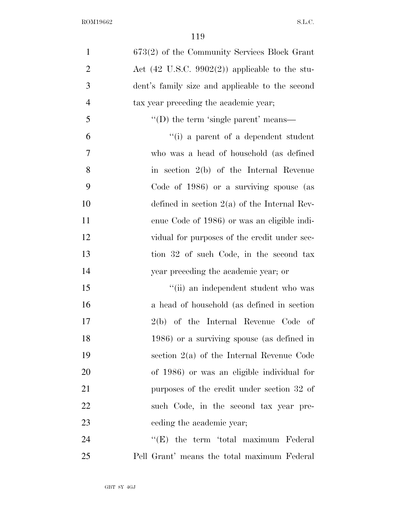| $\mathbf{1}$   | 673(2) of the Community Services Block Grant              |
|----------------|-----------------------------------------------------------|
| $\overline{2}$ | Act $(42 \text{ U.S.C. } 9902(2))$ applicable to the stu- |
| 3              | dent's family size and applicable to the second           |
| $\overline{4}$ | tax year preceding the academic year;                     |
| 5              | $\lq\lq$ the term 'single parent' means—                  |
| 6              | "(i) a parent of a dependent student                      |
| 7              | who was a head of household (as defined                   |
| 8              | in section $2(b)$ of the Internal Revenue                 |
| 9              | Code of 1986) or a surviving spouse (as                   |
| 10             | defined in section $2(a)$ of the Internal Rev-            |
| 11             | enue Code of 1986) or was an eligible indi-               |
| 12             | vidual for purposes of the credit under sec-              |
| 13             | tion 32 of such Code, in the second tax                   |
| 14             | year preceding the academic year; or                      |
| 15             | "(ii) an independent student who was                      |
| 16             | a head of household (as defined in section)               |
| 17             | $2(b)$ of the Internal Revenue Code of                    |
| 18             | 1986) or a surviving spouse (as defined in                |
| 19             | section $2(a)$ of the Internal Revenue Code               |
| 20             | of 1986) or was an eligible individual for                |
| 21             | purposes of the credit under section 32 of                |
| 22             | such Code, in the second tax year pre-                    |
| 23             | eeding the academic year;                                 |
| 24             | $\lq\lq(E)$ the term 'total maximum Federal'              |
| 25             | Pell Grant' means the total maximum Federal               |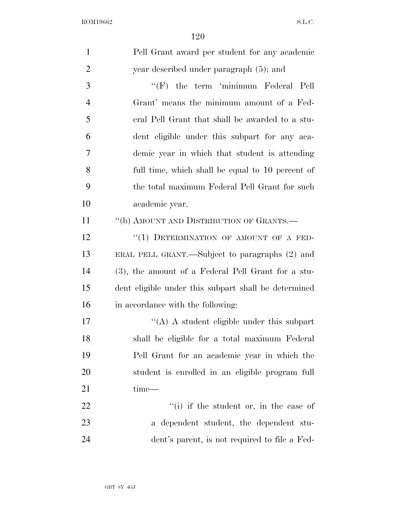| $\mathbf{1}$   | Pell Grant award per student for any academic        |
|----------------|------------------------------------------------------|
| $\overline{2}$ | year described under paragraph (5); and              |
| 3              | "(F) the term 'minimum Federal Pell                  |
| $\overline{4}$ | Grant' means the minimum amount of a Fed-            |
| 5              | eral Pell Grant that shall be awarded to a stu-      |
| 6              | dent eligible under this subpart for any aca-        |
| 7              | demic year in which that student is attending        |
| 8              | full time, which shall be equal to 10 percent of     |
| 9              | the total maximum Federal Pell Grant for such        |
| 10             | academic year.                                       |
| 11             | "(b) AMOUNT AND DISTRIBUTION OF GRANTS.-             |
| 12             | "(1) DETERMINATION OF AMOUNT OF A FED-               |
| 13             | ERAL PELL GRANT.—Subject to paragraphs (2) and       |
| 14             | (3), the amount of a Federal Pell Grant for a stu-   |
| 15             | dent eligible under this subpart shall be determined |
| 16             | in accordance with the following:                    |
| 17             | $\lq\lq$ A student eligible under this subpart       |
| 18             | shall be eligible for a total maximum Federal        |
| 19             | Pell Grant for an academic year in which the         |
| 20             | student is enrolled in an eligible program full      |
| 21             | time-                                                |
| 22             | "(i) if the student or, in the case of               |
| 23             | a dependent student, the dependent stu-              |
| 24             | dent's parent, is not required to file a Fed-        |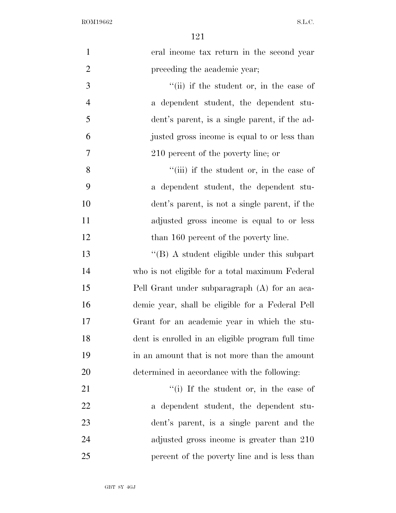| $\mathbf{1}$   | eral income tax return in the second year         |
|----------------|---------------------------------------------------|
| $\overline{2}$ | preceding the academic year;                      |
| 3              | "(ii) if the student or, in the case of           |
| $\overline{4}$ | a dependent student, the dependent stu-           |
| 5              | dent's parent, is a single parent, if the ad-     |
| 6              | justed gross income is equal to or less than      |
| 7              | 210 percent of the poverty line; or               |
| 8              | "(iii) if the student or, in the case of          |
| 9              | a dependent student, the dependent stu-           |
| 10             | dent's parent, is not a single parent, if the     |
| 11             | adjusted gross income is equal to or less         |
| 12             | than 160 percent of the poverty line.             |
| 13             | "(B) A student eligible under this subpart        |
| 14             | who is not eligible for a total maximum Federal   |
| 15             | Pell Grant under subparagraph (A) for an aca-     |
| 16             | demic year, shall be eligible for a Federal Pell  |
| 17             | Grant for an academic year in which the stu-      |
| 18             | dent is enrolled in an eligible program full time |
| 19             | in an amount that is not more than the amount     |
| 20             | determined in accordance with the following:      |
| 21             | "(i) If the student or, in the case of            |
| 22             | a dependent student, the dependent stu-           |
| 23             | dent's parent, is a single parent and the         |
| 24             | adjusted gross income is greater than 210         |
| 25             | percent of the poverty line and is less than      |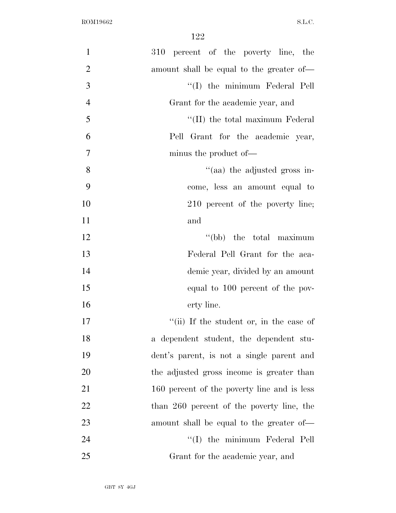| $\mathbf{1}$   | 310 percent of the poverty line, the        |
|----------------|---------------------------------------------|
| $\overline{2}$ | amount shall be equal to the greater of—    |
| 3              | "(I) the minimum Federal Pell               |
| $\overline{4}$ | Grant for the academic year, and            |
| 5              | "(II) the total maximum Federal             |
| 6              | Pell Grant for the academic year,           |
| $\tau$         | minus the product of—                       |
| 8              | "(aa) the adjusted gross in-                |
| 9              | come, less an amount equal to               |
| 10             | 210 percent of the poverty line;            |
| 11             | and                                         |
| 12             | "(bb) the total maximum                     |
| 13             | Federal Pell Grant for the aca-             |
| 14             | demic year, divided by an amount            |
| 15             | equal to 100 percent of the pov-            |
| 16             | erty line.                                  |
| 17             | "(ii) If the student or, in the case of     |
| 18             | a dependent student, the dependent stu-     |
| 19             | dent's parent, is not a single parent and   |
| 20             | the adjusted gross income is greater than   |
| 21             | 160 percent of the poverty line and is less |
| 22             | than 260 percent of the poverty line, the   |
| 23             | amount shall be equal to the greater of-    |
| 24             | "(I) the minimum Federal Pell               |
| 25             | Grant for the academic year, and            |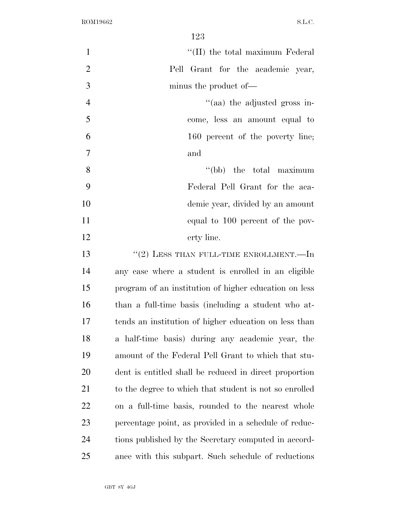| $\mathbf{1}$   | "(II) the total maximum Federal                        |
|----------------|--------------------------------------------------------|
| $\overline{2}$ | Pell Grant for the academic year,                      |
| 3              | minus the product of—                                  |
| $\overline{4}$ | "(aa) the adjusted gross in-                           |
| 5              | come, less an amount equal to                          |
| 6              | 160 percent of the poverty line;                       |
| $\overline{7}$ | and                                                    |
| 8              | "(bb) the total maximum                                |
| 9              | Federal Pell Grant for the aca-                        |
| 10             | demic year, divided by an amount                       |
| 11             | equal to 100 percent of the pov-                       |
| 12             | erty line.                                             |
| 13             | $``(2)$ LESS THAN FULL-TIME ENROLLMENT.—In             |
| 14             | any case where a student is enrolled in an eligible    |
| 15             | program of an institution of higher education on less  |
| 16             | than a full-time basis (including a student who at-    |
| 17             | tends an institution of higher education on less than  |
| 18             | a half-time basis) during any academic year, the       |
| 19             | amount of the Federal Pell Grant to which that stu-    |
| 20             | dent is entitled shall be reduced in direct proportion |
| 21             | to the degree to which that student is not so enrolled |
| 22             | on a full-time basis, rounded to the nearest whole     |
| 23             | percentage point, as provided in a schedule of reduc-  |
| 24             | tions published by the Secretary computed in accord-   |
| 25             | ance with this subpart. Such schedule of reductions    |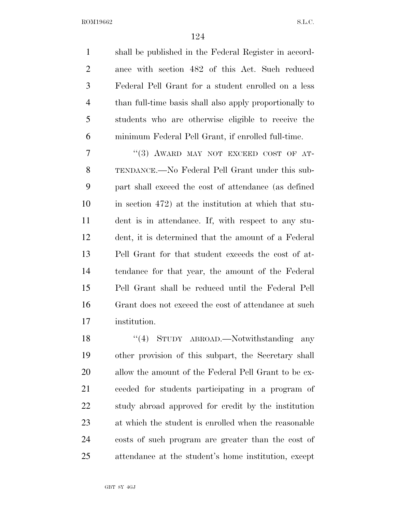| $\mathbf{1}$   | shall be published in the Federal Register in accord-   |
|----------------|---------------------------------------------------------|
| $\overline{2}$ | ance with section 482 of this Act. Such reduced         |
| 3              | Federal Pell Grant for a student enrolled on a less     |
| $\overline{4}$ | than full-time basis shall also apply proportionally to |
| 5              | students who are otherwise eligible to receive the      |
| 6              | minimum Federal Pell Grant, if enrolled full-time.      |
| 7              | "(3) AWARD MAY NOT EXCEED COST OF AT-                   |
| 8              | TENDANCE.—No Federal Pell Grant under this sub-         |
| 9              | part shall exceed the cost of attendance (as defined    |
| 10             | in section 472) at the institution at which that stu-   |
| 11             | dent is in attendance. If, with respect to any stu-     |
| 12             | dent, it is determined that the amount of a Federal     |
| 13             | Pell Grant for that student exceeds the cost of at-     |
| 14             | tendance for that year, the amount of the Federal       |
| 15             | Pell Grant shall be reduced until the Federal Pell      |
| 16             | Grant does not exceed the cost of attendance at such    |
| 17             | institution.                                            |
| 18             | (4)<br>STUDY ABROAD.—Notwithstanding<br>any             |

 other provision of this subpart, the Secretary shall allow the amount of the Federal Pell Grant to be ex- ceeded for students participating in a program of study abroad approved for credit by the institution at which the student is enrolled when the reasonable costs of such program are greater than the cost of attendance at the student's home institution, except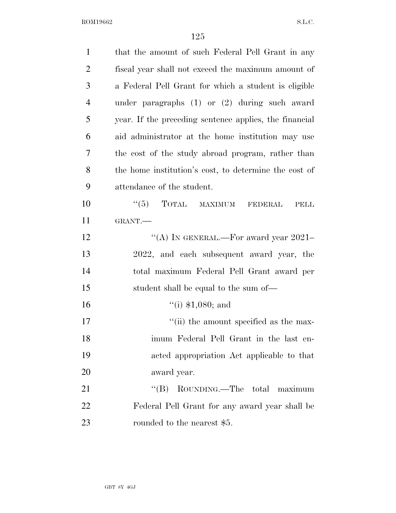| $\mathbf{1}$   | that the amount of such Federal Pell Grant in any      |
|----------------|--------------------------------------------------------|
| $\overline{2}$ | fiscal year shall not exceed the maximum amount of     |
| 3              | a Federal Pell Grant for which a student is eligible   |
| $\overline{4}$ | under paragraphs $(1)$ or $(2)$ during such award      |
| 5              | year. If the preceding sentence applies, the financial |
| 6              | aid administrator at the home institution may use      |
| 7              | the cost of the study abroad program, rather than      |
| 8              | the home institution's cost, to determine the cost of  |
| 9              | attendance of the student.                             |
| 10             | $\lq(5)$ TOTAL MAXIMUM<br><b>FEDERAL</b><br>PELL       |
| 11             | GRANT.                                                 |
| 12             | "(A) IN GENERAL.—For award year 2021-                  |
| 13             | 2022, and each subsequent award year, the              |
| 14             | total maximum Federal Pell Grant award per             |
| 15             | student shall be equal to the sum of—                  |
| 16             | $``(i)$ \$1,080; and                                   |
| 17             | "(ii) the amount specified as the max-                 |
| 18             | imum Federal Pell Grant in the last en-                |
| 19             | acted appropriation Act applicable to that             |
| 20             | award year.                                            |
| 21             | ROUNDING.—The total<br>``(B)<br>maximum                |
| 22             | Federal Pell Grant for any award year shall be         |
| 23             | rounded to the nearest \$5.                            |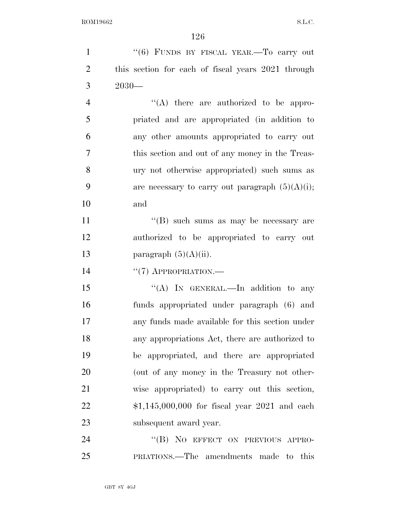| $\mathbf{1}$   | "(6) FUNDS BY FISCAL YEAR.—To carry out            |
|----------------|----------------------------------------------------|
| $\overline{2}$ | this section for each of fiscal years 2021 through |
| 3              | $2030-$                                            |
| $\overline{4}$ | $\lq\lq$ there are authorized to be appro-         |
| 5              | priated and are appropriated (in addition to       |
| 6              | any other amounts appropriated to carry out        |
| 7              | this section and out of any money in the Treas-    |
| 8              | ury not otherwise appropriated) such sums as       |
| 9              | are necessary to carry out paragraph $(5)(A)(i)$ ; |
| 10             | and                                                |
| 11             | "(B) such sums as may be necessary are             |
| 12             | authorized to be appropriated to carry out         |
| 13             | paragraph $(5)(A)(ii)$ .                           |
| 14             | $``(7)$ APPROPRIATION.—                            |
| 15             | "(A) IN GENERAL.—In addition to any                |
| 16             | funds appropriated under paragraph (6) and         |
| 17             | any funds made available for this section under    |
| 18             | any appropriations Act, there are authorized to    |
| 19             | be appropriated, and there are appropriated        |
| 20             | (out of any money in the Treasury not other-       |
| 21             | wise appropriated) to carry out this section,      |
| 22             | $$1,145,000,000$ for fiscal year 2021 and each     |
| 23             | subsequent award year.                             |
| 24             | "(B) NO EFFECT ON PREVIOUS APPRO-                  |
| 25             | PRIATIONS.—The amendments made to this             |
|                |                                                    |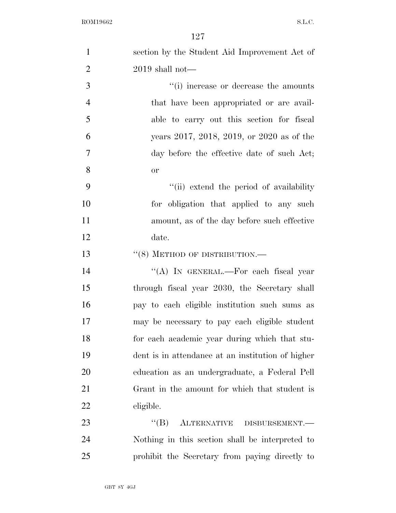| $\mathbf{1}$   | section by the Student Aid Improvement Act of     |
|----------------|---------------------------------------------------|
| $\overline{2}$ | $2019$ shall not—                                 |
| 3              | "(i) increase or decrease the amounts             |
| $\overline{4}$ | that have been appropriated or are avail-         |
| 5              | able to carry out this section for fiscal         |
| 6              | years 2017, 2018, 2019, or 2020 as of the         |
| 7              | day before the effective date of such Act;        |
| 8              | <b>or</b>                                         |
| 9              | "(ii) extend the period of availability           |
| 10             | for obligation that applied to any such           |
| 11             | amount, as of the day before such effective       |
| 12             | date.                                             |
| 13             | $``(8)$ METHOD OF DISTRIBUTION.—                  |
| 14             | "(A) IN GENERAL.—For each fiscal year             |
| 15             | through fiscal year 2030, the Secretary shall     |
| 16             | pay to each eligible institution such sums as     |
| 17             | may be necessary to pay each eligible student     |
| 18             | for each academic year during which that stu-     |
| 19             | dent is in attendance at an institution of higher |
| 20             | education as an undergraduate, a Federal Pell     |
| 21             | Grant in the amount for which that student is     |
| 22             | eligible.                                         |
| 23             | "(B) ALTERNATIVE DISBURSEMENT.—                   |
| 24             | Nothing in this section shall be interpreted to   |
| 25             | prohibit the Secretary from paying directly to    |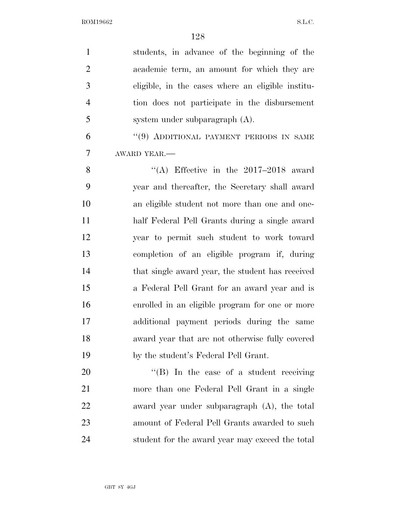| $\mathbf{1}$   | students, in advance of the beginning of the      |
|----------------|---------------------------------------------------|
| $\overline{2}$ | academic term, an amount for which they are       |
| 3              | eligible, in the cases where an eligible institu- |
| $\overline{4}$ | tion does not participate in the disbursement     |
| 5              | system under subparagraph (A).                    |
| 6              | "(9) ADDITIONAL PAYMENT PERIODS IN SAME           |
| 7              | AWARD YEAR.                                       |
| 8              | "(A) Effective in the $2017-2018$ award           |
| 9              | year and thereafter, the Secretary shall award    |
| 10             | an eligible student not more than one and one-    |
| 11             | half Federal Pell Grants during a single award    |
| 12             | year to permit such student to work toward        |
| 13             | completion of an eligible program if, during      |
| 14             | that single award year, the student has received  |
| 15             | a Federal Pell Grant for an award year and is     |
| 16             | enrolled in an eligible program for one or more   |
| 17             | additional payment periods during the same        |
| 18             | award year that are not otherwise fully covered   |
| 19             | by the student's Federal Pell Grant.              |
| 20             | $\lq\lq$ . In the case of a student receiving     |
| 21             | more than one Federal Pell Grant in a single      |
| 22             | award year under subparagraph $(A)$ , the total   |
| 23             | amount of Federal Pell Grants awarded to such     |
| 24             | student for the award year may exceed the total   |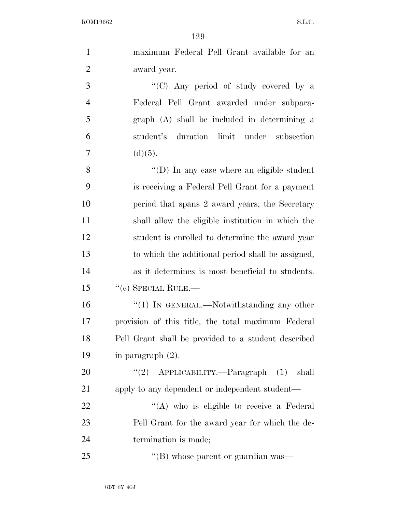| $\mathbf{1}$   | maximum Federal Pell Grant available for an         |
|----------------|-----------------------------------------------------|
| $\overline{2}$ | award year.                                         |
| 3              | "(C) Any period of study covered by a               |
| $\overline{4}$ | Federal Pell Grant awarded under subpara-           |
| 5              | graph (A) shall be included in determining a        |
| 6              | student's duration limit under subsection           |
| $\tau$         | (d)(5).                                             |
| 8              | "(D) In any case where an eligible student          |
| 9              | is receiving a Federal Pell Grant for a payment     |
| 10             | period that spans 2 award years, the Secretary      |
| 11             | shall allow the eligible institution in which the   |
| 12             | student is enrolled to determine the award year     |
| 13             | to which the additional period shall be assigned,   |
| 14             | as it determines is most beneficial to students.    |
| 15             | $``$ (c) SPECIAL RULE.—                             |
| 16             | $"(1)$ In GENERAL.—Notwithstanding any other        |
| 17             | provision of this title, the total maximum Federal  |
| 18             | Pell Grant shall be provided to a student described |
| 19             | in paragraph $(2)$ .                                |
| 20             | "(2) $APPLICABILITY. - Paragraph$ (1)<br>shall      |
| 21             | apply to any dependent or independent student—      |
| 22             | "(A) who is eligible to receive a Federal           |
| 23             | Pell Grant for the award year for which the de-     |
| 24             | termination is made;                                |
| 25             | "(B) whose parent or guardian was—                  |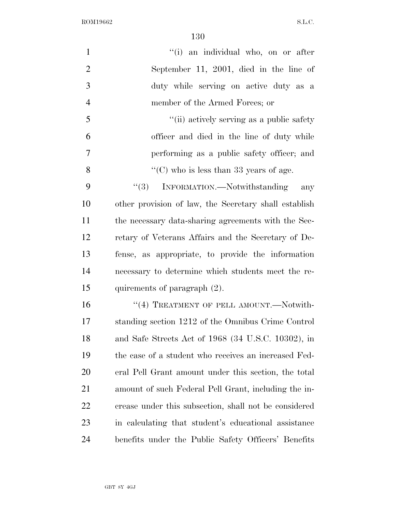| $\mathbf{1}$   | "(i) an individual who, on or after                   |
|----------------|-------------------------------------------------------|
| $\overline{2}$ | September 11, 2001, died in the line of               |
| 3              | duty while serving on active duty as a                |
| $\overline{4}$ | member of the Armed Forces; or                        |
| 5              | "(ii) actively serving as a public safety             |
| 6              | officer and died in the line of duty while            |
| 7              | performing as a public safety officer; and            |
| 8              | "(C) who is less than 33 years of age.                |
| 9              | "(3) INFORMATION.—Notwithstanding<br>any              |
| 10             | other provision of law, the Secretary shall establish |
| 11             | the necessary data-sharing agreements with the Sec-   |
| 12             | retary of Veterans Affairs and the Secretary of De-   |
| 13             | fense, as appropriate, to provide the information     |
| 14             | necessary to determine which students meet the re-    |
| 15             | quirements of paragraph (2).                          |
| 16             | "(4) TREATMENT OF PELL AMOUNT.—Notwith-               |
| 17             | standing section 1212 of the Omnibus Crime Control    |
| 18             | and Safe Streets Act of 1968 (34 U.S.C. 10302), in    |
| 19             | the case of a student who receives an increased Fed-  |
| <b>20</b>      | eral Pell Grant amount under this section, the total  |
| 21             | amount of such Federal Pell Grant, including the in-  |
| <u>22</u>      | crease under this subsection, shall not be considered |
| 23             | in calculating that student's educational assistance  |
| 24             | benefits under the Public Safety Officers' Benefits   |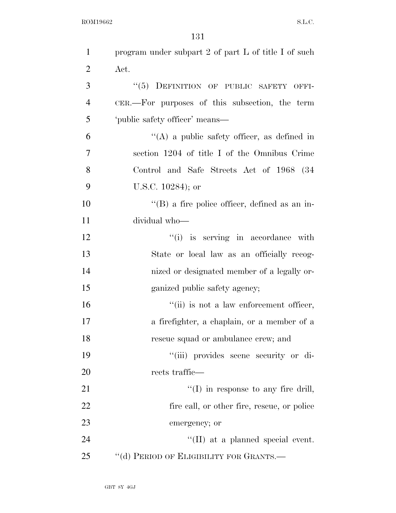| $\mathbf{1}$   | program under subpart 2 of part L of title I of such  |
|----------------|-------------------------------------------------------|
| $\overline{2}$ | Act.                                                  |
| 3              | "(5) DEFINITION OF PUBLIC SAFETY OFFI-                |
| $\overline{4}$ | CER.—For purposes of this subsection, the term        |
| 5              | 'public safety officer' means—                        |
| 6              | $\lq\lq$ a public safety officer, as defined in       |
| 7              | section 1204 of title I of the Omnibus Crime          |
| 8              | Control and Safe Streets Act of 1968 (34              |
| 9              | U.S.C. $10284$ ); or                                  |
| 10             | $\lq\lq (B)$ a fire police officer, defined as an in- |
| 11             | dividual who-                                         |
| 12             | "(i) is serving in accordance with                    |
| 13             | State or local law as an officially recog-            |
| 14             | nized or designated member of a legally or-           |
| 15             | ganized public safety agency;                         |
| 16             | "(ii) is not a law enforcement officer,               |
| 17             | a firefighter, a chaplain, or a member of a           |
| 18             | rescue squad or ambulance crew; and                   |
| 19             | "(iii) provides scene security or di-                 |
| 20             | rects traffic—                                        |
| 21             | $\lq\lq$ (I) in response to any fire drill,           |
| 22             | fire call, or other fire, rescue, or police           |
| 23             | emergency; or                                         |
| 24             | $\lq\lq$ (II) at a planned special event.             |
| 25             | "(d) PERIOD OF ELIGIBILITY FOR GRANTS.—               |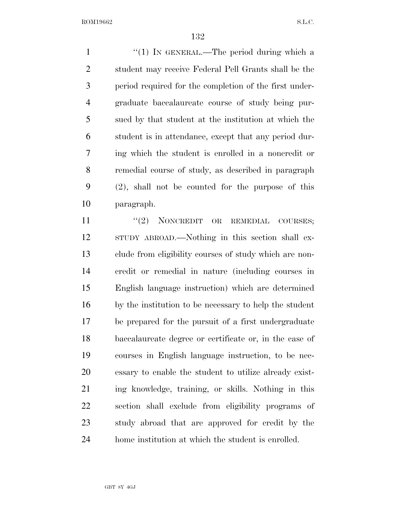1 "(1) IN GENERAL.—The period during which a student may receive Federal Pell Grants shall be the period required for the completion of the first under- graduate baccalaureate course of study being pur- sued by that student at the institution at which the student is in attendance, except that any period dur- ing which the student is enrolled in a noncredit or remedial course of study, as described in paragraph (2), shall not be counted for the purpose of this paragraph.

11 "(2) NONCREDIT OR REMEDIAL COURSES; STUDY ABROAD.—Nothing in this section shall ex- clude from eligibility courses of study which are non- credit or remedial in nature (including courses in English language instruction) which are determined by the institution to be necessary to help the student be prepared for the pursuit of a first undergraduate baccalaureate degree or certificate or, in the case of courses in English language instruction, to be nec- essary to enable the student to utilize already exist- ing knowledge, training, or skills. Nothing in this section shall exclude from eligibility programs of study abroad that are approved for credit by the home institution at which the student is enrolled.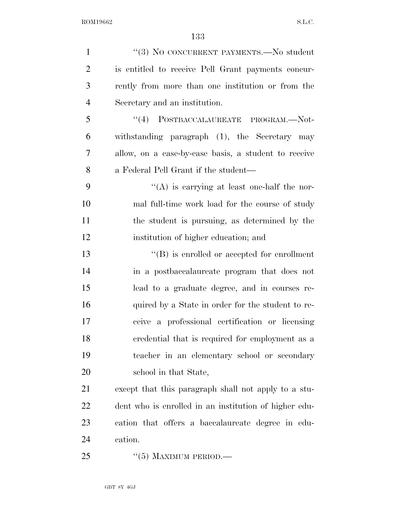| $\mathbf{1}$   | "(3) NO CONCURRENT PAYMENTS.—No student                                                    |
|----------------|--------------------------------------------------------------------------------------------|
| $\overline{2}$ | is entitled to receive Pell Grant payments concur-                                         |
| 3              | rently from more than one institution or from the                                          |
| $\overline{4}$ | Secretary and an institution.                                                              |
| 5              | $\emph{``(4)} \quad \mbox{PostBACCALAUREATE} \quad \mbox{PROGRAM.} \text{---} \text{Not-}$ |
| 6              | withstanding paragraph (1), the Secretary may                                              |
| 7              | allow, on a case-by-case basis, a student to receive                                       |
| 8              | a Federal Pell Grant if the student—                                                       |
| 9              | $\lq\lq$ is carrying at least one-half the nor-                                            |
| 10             | mal full-time work load for the course of study                                            |
| 11             | the student is pursuing, as determined by the                                              |
| 12             | institution of higher education; and                                                       |
| 13             | $\lq\lq (B)$ is enrolled or accepted for enrollment                                        |
| 14             | in a postbaccalaureate program that does not                                               |
| 15             | lead to a graduate degree, and in courses re-                                              |
| 16             | quired by a State in order for the student to re-                                          |
| 17             | ceive a professional certification or licensing                                            |
| 18             | credential that is required for employment as a                                            |
| 19             | teacher in an elementary school or secondary                                               |
| 20             | school in that State,                                                                      |
| 21             | except that this paragraph shall not apply to a stu-                                       |
| 22             | dent who is enrolled in an institution of higher edu-                                      |
| 23             | cation that offers a baccalaureate degree in edu-                                          |
| 24             | cation.                                                                                    |
| 25             | $\cdot\cdot$ (5) MAXIMUM PERIOD.—                                                          |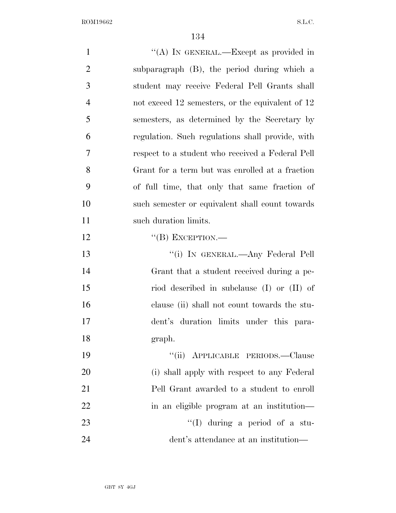| $\mathbf{1}$   | "(A) IN GENERAL.—Except as provided in           |
|----------------|--------------------------------------------------|
| $\overline{2}$ | subparagraph (B), the period during which a      |
| 3              | student may receive Federal Pell Grants shall    |
| $\overline{4}$ | not exceed 12 semesters, or the equivalent of 12 |
| 5              | semesters, as determined by the Secretary by     |
| 6              | regulation. Such regulations shall provide, with |
| 7              | respect to a student who received a Federal Pell |
| 8              | Grant for a term but was enrolled at a fraction  |
| 9              | of full time, that only that same fraction of    |
| 10             | such semester or equivalent shall count towards  |
| 11             | such duration limits.                            |
| 12             | $\lq\lq (B)$ EXCEPTION.—                         |
| 13             | "(i) IN GENERAL.—Any Federal Pell                |
| 14             | Grant that a student received during a pe-       |
| 15             | riod described in subclause (I) or (II) of       |
| 16             | clause (ii) shall not count towards the stu-     |
| 17             | dent's duration limits under this para-          |
| 18             | graph.                                           |
| 19             | "(ii) APPLICABLE PERIODS.—Clause                 |
| 20             | (i) shall apply with respect to any Federal      |
| 21             | Pell Grant awarded to a student to enroll        |
| 22             | in an eligible program at an institution-        |
| 23             | $\lq\lq$ (I) during a period of a stu-           |
| 24             | dent's attendance at an institution—             |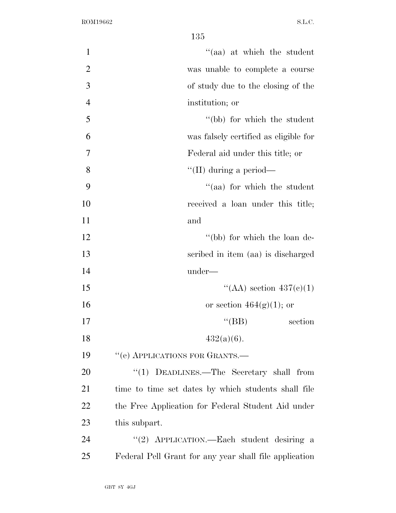| $\mathbf{1}$   | "(aa) at which the student                             |
|----------------|--------------------------------------------------------|
| $\overline{2}$ | was unable to complete a course                        |
| 3              | of study due to the closing of the                     |
| $\overline{4}$ | institution; or                                        |
| 5              | "(bb) for which the student                            |
| 6              | was falsely certified as eligible for                  |
| $\overline{7}$ | Federal aid under this title; or                       |
| 8              | "(II) during a period—                                 |
| 9              | "(aa) for which the student                            |
| 10             | received a loan under this title;                      |
| 11             | and                                                    |
| 12             | "(bb) for which the loan de-                           |
| 13             | scribed in item (aa) is discharged                     |
| 14             | under—                                                 |
| 15             | "(AA) section $437(e)(1)$                              |
| 16             | or section $464(g)(1)$ ; or                            |
| 17             | $\lq\lq(BB)$<br>section                                |
| 18             | $432(a)(6)$ .                                          |
| 19             | "(e) APPLICATIONS FOR GRANTS.—                         |
| 20             | "(1) DEADLINES.—The Secretary shall from               |
| 21             | time to time set dates by which students shall file    |
| <u>22</u>      | the Free Application for Federal Student Aid under     |
| 23             | this subpart.                                          |
| 24             | "(2) APPLICATION.—Each student desiring a              |
| 25             | Federal Pell Grant for any year shall file application |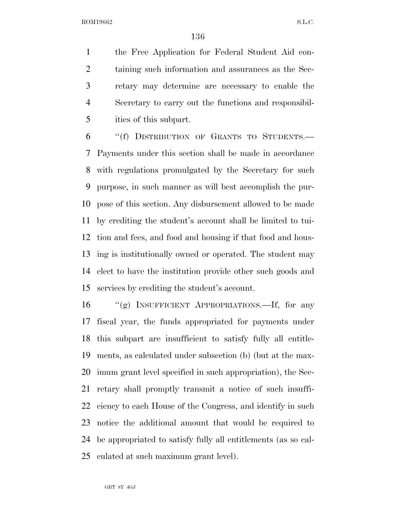the Free Application for Federal Student Aid con- taining such information and assurances as the Sec- retary may determine are necessary to enable the Secretary to carry out the functions and responsibil-ities of this subpart.

 ''(f) DISTRIBUTION OF GRANTS TO STUDENTS.— Payments under this section shall be made in accordance with regulations promulgated by the Secretary for such purpose, in such manner as will best accomplish the pur- pose of this section. Any disbursement allowed to be made by crediting the student's account shall be limited to tui- tion and fees, and food and housing if that food and hous- ing is institutionally owned or operated. The student may elect to have the institution provide other such goods and services by crediting the student's account.

 ''(g) INSUFFICIENT APPROPRIATIONS.—If, for any fiscal year, the funds appropriated for payments under this subpart are insufficient to satisfy fully all entitle- ments, as calculated under subsection (b) (but at the max- imum grant level specified in such appropriation), the Sec- retary shall promptly transmit a notice of such insuffi- ciency to each House of the Congress, and identify in such notice the additional amount that would be required to be appropriated to satisfy fully all entitlements (as so cal-culated at such maximum grant level).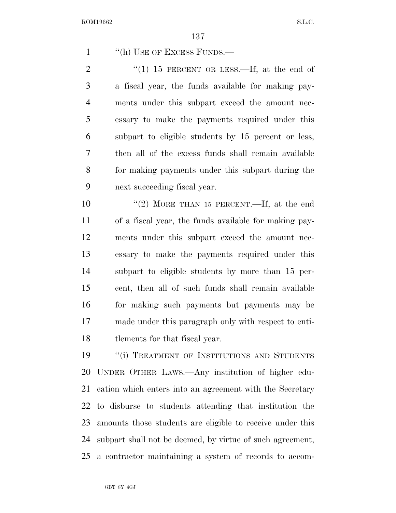1 "(h) USE OF EXCESS FUNDS.—

 $\frac{1}{10}$  15 PERCENT OR LESS.—If, at the end of a fiscal year, the funds available for making pay- ments under this subpart exceed the amount nec- essary to make the payments required under this subpart to eligible students by 15 percent or less, then all of the excess funds shall remain available for making payments under this subpart during the next succeeding fiscal year.

 ''(2) MORE THAN 15 PERCENT.—If, at the end of a fiscal year, the funds available for making pay- ments under this subpart exceed the amount nec- essary to make the payments required under this subpart to eligible students by more than 15 per- cent, then all of such funds shall remain available for making such payments but payments may be made under this paragraph only with respect to enti-tlements for that fiscal year.

19 "(i) TREATMENT OF INSTITUTIONS AND STUDENTS UNDER OTHER LAWS.—Any institution of higher edu- cation which enters into an agreement with the Secretary to disburse to students attending that institution the amounts those students are eligible to receive under this subpart shall not be deemed, by virtue of such agreement, a contractor maintaining a system of records to accom-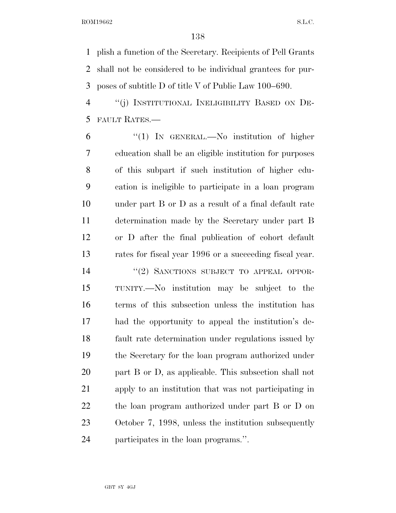plish a function of the Secretary. Recipients of Pell Grants shall not be considered to be individual grantees for pur-poses of subtitle D of title V of Public Law 100–690.

 ''(j) INSTITUTIONAL INELIGIBILITY BASED ON DE-FAULT RATES.—

 ''(1) IN GENERAL.—No institution of higher education shall be an eligible institution for purposes of this subpart if such institution of higher edu- cation is ineligible to participate in a loan program under part B or D as a result of a final default rate determination made by the Secretary under part B or D after the final publication of cohort default rates for fiscal year 1996 or a succeeding fiscal year.

14 "(2) SANCTIONS SUBJECT TO APPEAL OPPOR- TUNITY.—No institution may be subject to the terms of this subsection unless the institution has had the opportunity to appeal the institution's de- fault rate determination under regulations issued by the Secretary for the loan program authorized under part B or D, as applicable. This subsection shall not apply to an institution that was not participating in the loan program authorized under part B or D on October 7, 1998, unless the institution subsequently participates in the loan programs.''.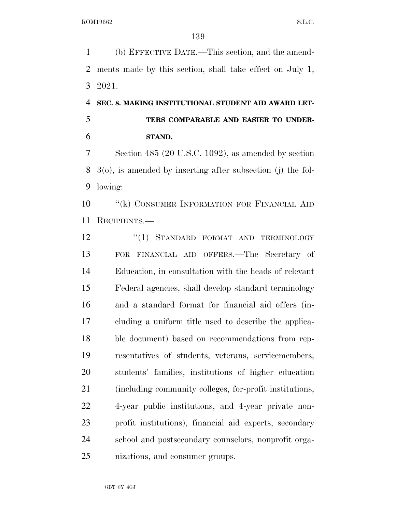(b) EFFECTIVE DATE.—This section, and the amend- ments made by this section, shall take effect on July 1, 2021.

## **SEC. 8. MAKING INSTITUTIONAL STUDENT AID AWARD LET- TERS COMPARABLE AND EASIER TO UNDER-STAND.**

 Section 485 (20 U.S.C. 1092), as amended by section 3(o), is amended by inserting after subsection (j) the fol-lowing:

**''(k) CONSUMER INFORMATION FOR FINANCIAL AID** RECIPIENTS.—

12 "(1) STANDARD FORMAT AND TERMINOLOGY FOR FINANCIAL AID OFFERS.—The Secretary of Education, in consultation with the heads of relevant Federal agencies, shall develop standard terminology and a standard format for financial aid offers (in- cluding a uniform title used to describe the applica- ble document) based on recommendations from rep- resentatives of students, veterans, servicemembers, students' families, institutions of higher education (including community colleges, for-profit institutions, 4-year public institutions, and 4-year private non- profit institutions), financial aid experts, secondary school and postsecondary counselors, nonprofit orga-nizations, and consumer groups.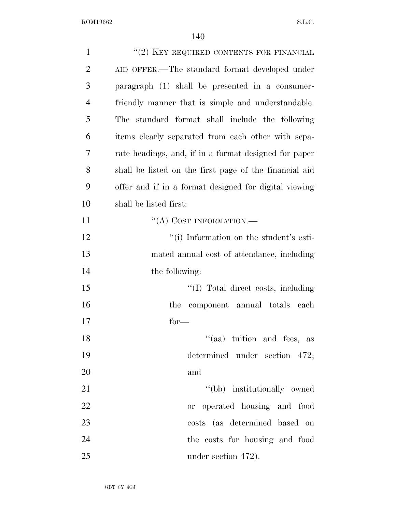| $\mathbf{1}$   | "(2) KEY REQUIRED CONTENTS FOR FINANCIAL               |
|----------------|--------------------------------------------------------|
| $\overline{2}$ | AID OFFER.—The standard format developed under         |
| 3              | paragraph (1) shall be presented in a consumer-        |
| $\overline{4}$ | friendly manner that is simple and understandable.     |
| 5              | standard format shall include the following<br>The     |
| 6              | items clearly separated from each other with sepa-     |
| 7              | rate headings, and, if in a format designed for paper  |
| 8              | shall be listed on the first page of the financial aid |
| 9              | offer and if in a format designed for digital viewing  |
| 10             | shall be listed first:                                 |
| 11             | "(A) COST INFORMATION.—                                |
| 12             | "(i) Information on the student's esti-                |
| 13             | mated annual cost of attendance, including             |
| 14             | the following:                                         |
| 15             | "(I) Total direct costs, including                     |
| 16             | component annual totals each<br>the                    |
| 17             | $for-$                                                 |
| 18             | $(4)$ tuition and fees, as                             |
| 19             | determined under section 472;                          |
| 20             | and                                                    |
| 21             | "(bb) institutionally owned                            |
| 22             | or operated housing and food                           |
| 23             | costs (as determined based on                          |
| 24             | the costs for housing and food                         |
| 25             | under section 472).                                    |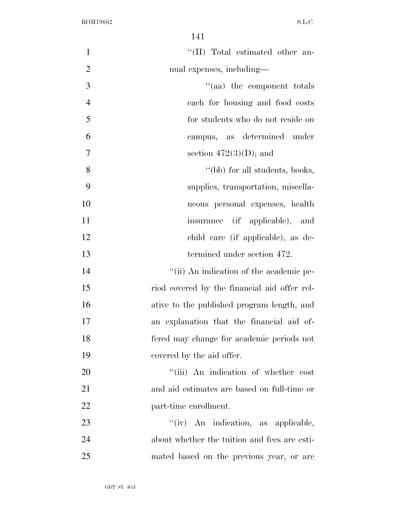| $\mathbf{1}$   | "(II) Total estimated other an-              |
|----------------|----------------------------------------------|
| $\overline{2}$ | nual expenses, including—                    |
| 3              | "(aa) the component totals                   |
| $\overline{4}$ | each for housing and food costs              |
| 5              | for students who do not reside on            |
| 6              | campus, as determined under                  |
| 7              | section $472(3)(D)$ ; and                    |
| 8              | "(bb) for all students, books,               |
| 9              | supplies, transportation, miscella-          |
| 10             | neous personal expenses, health              |
| 11             | insurance (if applicable), and               |
| 12             | child care (if applicable), as de-           |
| 13             | termined under section 472.                  |
| 14             | "(ii) An indication of the academic pe-      |
| 15             | riod covered by the financial aid offer rel- |
| 16             | ative to the published program length, and   |
| 17             | an explanation that the financial aid of-    |
| 18             | fered may change for academic periods not    |
| 19             | covered by the aid offer.                    |
| 20             | "(iii) An indication of whether cost         |
| 21             | and aid estimates are based on full-time or  |
| 22             | part-time enrollment.                        |
| 23             | "(iv) An indication, as applicable,          |
| 24             | about whether the tuition and fees are esti- |
| 25             | mated based on the previous year, or are     |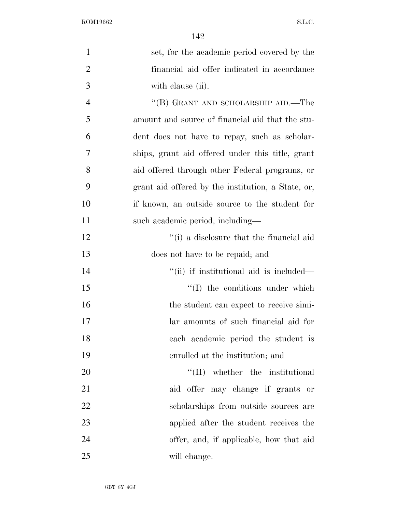| $\mathbf{1}$   | set, for the academic period covered by the        |
|----------------|----------------------------------------------------|
| $\overline{2}$ | financial aid offer indicated in accordance        |
| 3              | with clause (ii).                                  |
| $\overline{4}$ | $\lq\lq (B)$ GRANT AND SCHOLARSHIP AID.—The        |
| 5              | amount and source of financial aid that the stu-   |
| 6              | dent does not have to repay, such as scholar-      |
| 7              | ships, grant aid offered under this title, grant   |
| 8              | aid offered through other Federal programs, or     |
| 9              | grant aid offered by the institution, a State, or, |
| 10             | if known, an outside source to the student for     |
| 11             | such academic period, including—                   |
| 12             | "(i) a disclosure that the financial aid           |
| 13             | does not have to be repaid; and                    |
| 14             | "(ii) if institutional aid is included—            |
| 15             | $\lq\lq$ the conditions under which                |
| 16             | the student can expect to receive simi-            |
| 17             | lar amounts of such financial aid for              |
| 18             | each academic period the student is                |
| 19             | enrolled at the institution; and                   |
| 20             | $\lq\lq$ (II) whether the institutional            |
| 21             | aid offer may change if grants or                  |
| 22             | scholarships from outside sources are              |
| 23             | applied after the student receives the             |
| 24             | offer, and, if applicable, how that aid            |
| 25             | will change.                                       |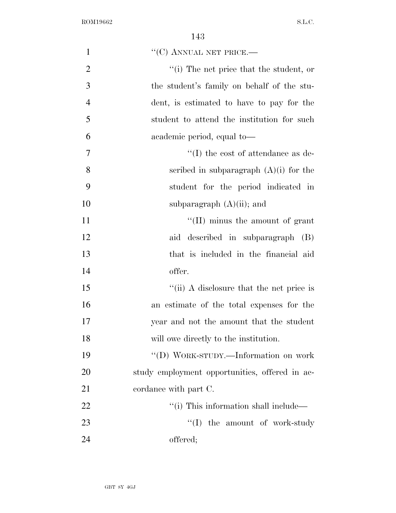| $\mathbf{1}$   | $``$ (C) ANNUAL NET PRICE.—                               |
|----------------|-----------------------------------------------------------|
| $\overline{2}$ | $\lq$ <sup>"</sup> (i) The net price that the student, or |
| 3              | the student's family on behalf of the stu-                |
| $\overline{4}$ | dent, is estimated to have to pay for the                 |
| 5              | student to attend the institution for such                |
| 6              | academic period, equal to-                                |
| 7              | $\lq\lq$ (I) the cost of attendance as de-                |
| 8              | scribed in subparagraph $(A)(i)$ for the                  |
| 9              | student for the period indicated in                       |
| 10             | subparagraph $(A)(ii)$ ; and                              |
| 11             | $\lq\lq$ (II) minus the amount of grant                   |
| 12             | aid described in subparagraph (B)                         |
| 13             | that is included in the financial aid                     |
| 14             | offer.                                                    |
| 15             | "(ii) A disclosure that the net price is                  |
| 16             | an estimate of the total expenses for the                 |
| 17             | year and not the amount that the student                  |
| 18             | will owe directly to the institution.                     |
| 19             | "(D) WORK-STUDY.—Information on work                      |
| 20             | study employment opportunities, offered in ac-            |
| 21             | cordance with part C.                                     |
| 22             | "(i) This information shall include—                      |
| 23             | ``(I)<br>the amount of work-study                         |
| 24             | offered;                                                  |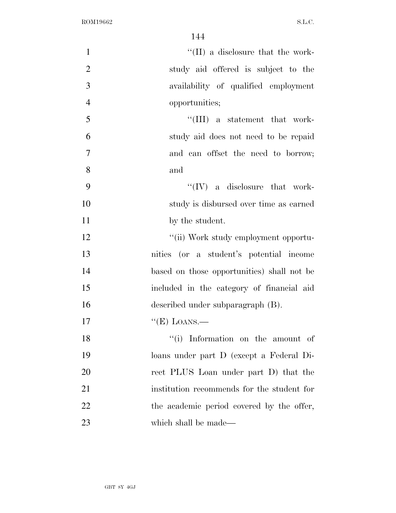| $\mathbf{1}$   | $\lq\lq$ (II) a disclosure that the work-  |
|----------------|--------------------------------------------|
| $\overline{2}$ | study aid offered is subject to the        |
| 3              | availability of qualified employment       |
| $\overline{4}$ | opportunities;                             |
| 5              | "(III) a statement that work-              |
| 6              | study aid does not need to be repaid       |
| 7              | and can offset the need to borrow;         |
| 8              | and                                        |
| 9              | $\lq\lq (IV)$ a disclosure that work-      |
| 10             | study is disbursed over time as earned     |
| 11             | by the student.                            |
| 12             | "(ii) Work study employment opportu-       |
| 13             | nities (or a student's potential income    |
| 14             | based on those opportunities) shall not be |
| 15             | included in the category of financial aid  |
| 16             | described under subparagraph (B).          |
| 17             | $\lq\lq(E)$ LOANS.—                        |
| 18             | "(i) Information on the amount of          |
| 19             | loans under part D (except a Federal Di-   |
| 20             | rect PLUS Loan under part D) that the      |
| 21             | institution recommends for the student for |
| 22             | the academic period covered by the offer,  |
| 23             | which shall be made—                       |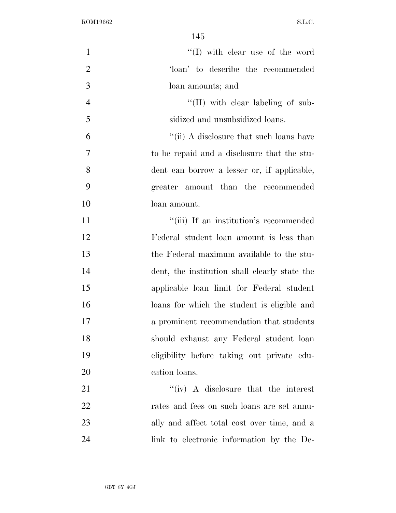| $\mathbf{1}$   | "(I) with clear use of the word                           |
|----------------|-----------------------------------------------------------|
| $\overline{2}$ | 'loan' to describe the recommended                        |
| 3              | loan amounts; and                                         |
| $\overline{4}$ | $\lq\lq$ (II) with clear labeling of sub-                 |
| 5              | sidized and unsubsidized loans.                           |
| 6              | $\lq$ <sup>"</sup> (ii) A disclosure that such loans have |
| 7              | to be repaid and a disclosure that the stu-               |
| 8              | dent can borrow a lesser or, if applicable,               |
| 9              | greater amount than the recommended                       |
| 10             | loan amount.                                              |
| 11             | "(iii) If an institution's recommended                    |
| 12             | Federal student loan amount is less than                  |
| 13             | the Federal maximum available to the stu-                 |
| 14             | dent, the institution shall clearly state the             |
| 15             | applicable loan limit for Federal student                 |
| 16             | loans for which the student is eligible and               |
| 17             | a prominent recommendation that students                  |
| 18             | should exhaust any Federal student loan                   |
| 19             | eligibility before taking out private edu-                |
| 20             | cation loans.                                             |
| 21             | $``(iv)$ A disclosure that the interest                   |
| 22             | rates and fees on such loans are set annu-                |
| 23             | ally and affect total cost over time, and a               |
| 24             | link to electronic information by the De-                 |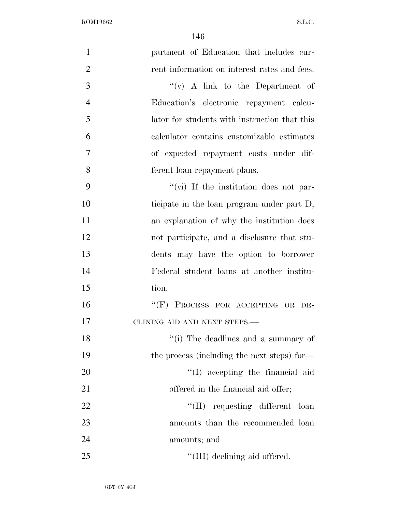| $\mathbf{1}$   | partment of Education that includes cur-       |
|----------------|------------------------------------------------|
| $\overline{2}$ | rent information on interest rates and fees.   |
| 3              | $f'(v)$ A link to the Department of            |
| $\overline{4}$ | Education's electronic repayment calcu-        |
| 5              | lator for students with instruction that this  |
| 6              | calculator contains customizable estimates     |
| $\overline{7}$ | of expected repayment costs under dif-         |
| 8              | ferent loan repayment plans.                   |
| 9              | $\lq\lq$ (vi) If the institution does not par- |
| 10             | ticipate in the loan program under part D,     |
| 11             | an explanation of why the institution does     |
| 12             | not participate, and a disclosure that stu-    |
| 13             | dents may have the option to borrower          |
| 14             | Federal student loans at another institu-      |
| 15             | tion.                                          |
| 16             | "(F) PROCESS FOR ACCEPTING OR DE-              |
| 17             | CLINING AID AND NEXT STEPS.-                   |
| 18             | "(i) The deadlines and a summary of            |
| 19             | the process (including the next steps) for—    |
| 20             | "(I) accepting the financial aid               |
| 21             | offered in the financial aid offer;            |
| 22             | "(II) requesting different loan                |
| 23             | amounts than the recommended loan              |
| 24             | amounts; and                                   |
| 25             | "(III) declining aid offered.                  |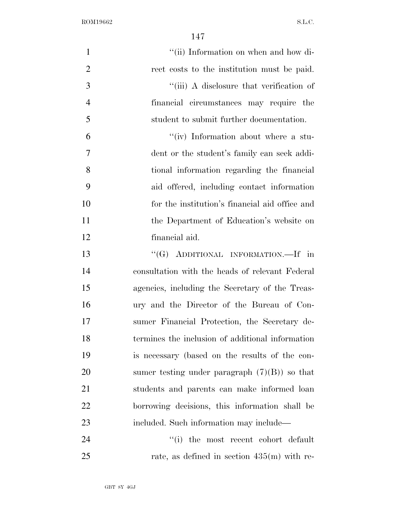| $\mathbf{1}$   | "(ii) Information on when and how di-            |
|----------------|--------------------------------------------------|
| $\overline{2}$ | rect costs to the institution must be paid.      |
| 3              | "(iii) A disclosure that verification of         |
| $\overline{4}$ | financial circumstances may require the          |
| 5              | student to submit further documentation.         |
| 6              | "(iv) Information about where a stu-             |
| $\overline{7}$ | dent or the student's family can seek addi-      |
| 8              | tional information regarding the financial       |
| 9              | aid offered, including contact information       |
| 10             | for the institution's financial aid office and   |
| <sup>11</sup>  | the Department of Education's website on         |
| 12             | financial aid.                                   |
| 13             | "(G) ADDITIONAL INFORMATION.—If in               |
| 14             | consultation with the heads of relevant Federal  |
| 15             | agencies, including the Secretary of the Treas-  |
| 16             | ury and the Director of the Bureau of Con-       |
| 17             | sumer Financial Protection, the Secretary de-    |
| 18             | termines the inclusion of additional information |
| 19             | is necessary (based on the results of the con-   |
| 20             | sumer testing under paragraph $(7)(B)$ so that   |
| 21             | students and parents can make informed loan      |
| 22             | borrowing decisions, this information shall be   |
| 23             | included. Such information may include—          |
| 24             | "(i) the most recent cohort default              |
| 25             | rate, as defined in section $435(m)$ with re-    |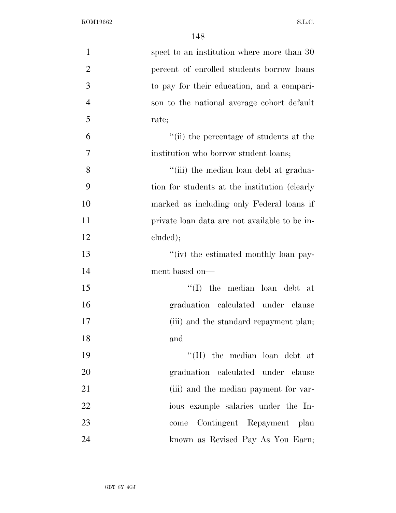| $\mathbf{1}$   | spect to an institution where more than 30    |
|----------------|-----------------------------------------------|
| $\overline{2}$ | percent of enrolled students borrow loans     |
| 3              | to pay for their education, and a compari-    |
| $\overline{4}$ | son to the national average cohort default    |
| 5              | rate;                                         |
| 6              | "(ii) the percentage of students at the       |
| $\tau$         | institution who borrow student loans;         |
| 8              | "(iii) the median loan debt at gradua-        |
| 9              | tion for students at the institution (clearly |
| 10             | marked as including only Federal loans if     |
| 11             | private loan data are not available to be in- |
| 12             | cluded);                                      |
| 13             | "(iv) the estimated monthly loan pay-         |
| 14             | ment based on—                                |
| 15             | "(I) the median loan debt at                  |
| 16             | graduation calculated under clause            |
| 17             | (iii) and the standard repayment plan;        |
| 18             | and                                           |
| 19             | "(II) the median loan debt at                 |
| 20             | graduation calculated under clause            |
| 21             | (iii) and the median payment for var-         |
| 22             | ious example salaries under the In-           |
| 23             | Contingent Repayment plan<br>come             |
| 24             | known as Revised Pay As You Earn;             |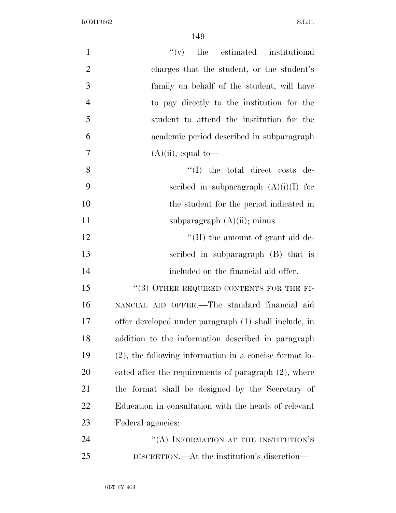| $\mathbf{1}$     | $f'(v)$ the estimated institutional                    |
|------------------|--------------------------------------------------------|
| $\mathbf{2}$     | charges that the student, or the student's             |
| 3                | family on behalf of the student, will have             |
| $\overline{4}$   | to pay directly to the institution for the             |
| 5                | student to attend the institution for the              |
| 6                | academic period described in subparagraph              |
| $\boldsymbol{7}$ | $(A)(ii)$ , equal to-                                  |
| 8                | $\lq\lq$ the total direct costs de-                    |
| 9                | scribed in subparagraph $(A)(i)(I)$ for                |
| 10               | the student for the period indicated in                |
| 11               | subparagraph $(A)(ii)$ ; minus                         |
| 12               | $\lq\lq$ (II) the amount of grant aid de-              |
| 13               | scribed in subparagraph (B) that is                    |
| 14               | included on the financial aid offer.                   |
| 15               | $``(3)$ OTHER REQUIRED CONTENTS FOR THE FI-            |
| 16               | NANCIAL AID OFFER.-The standard financial aid          |
| 17               | offer developed under paragraph (1) shall include, in  |
| 18               | addition to the information described in paragraph     |
| 19               | (2), the following information in a concise format lo- |
| 20               | cated after the requirements of paragraph (2), where   |
| 21               | the format shall be designed by the Secretary of       |
| 22               | Education in consultation with the heads of relevant   |
| 23               | Federal agencies:                                      |
| 24               | "(A) INFORMATION AT THE INSTITUTION'S                  |
| 25               | DISCRETION.—At the institution's discretion—           |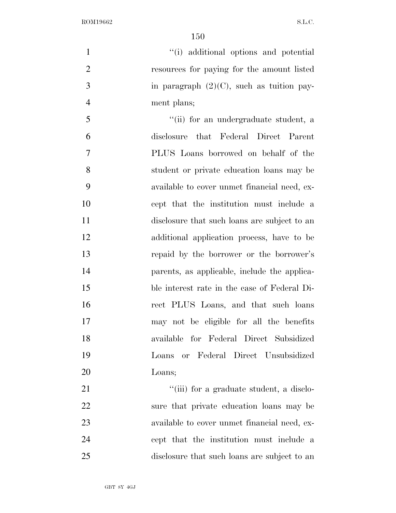''(i) additional options and potential resources for paying for the amount listed 3 in paragraph  $(2)(C)$ , such as tuition pay- ment plans; ''(ii) for an undergraduate student, a disclosure that Federal Direct Parent PLUS Loans borrowed on behalf of the student or private education loans may be available to cover unmet financial need, ex- cept that the institution must include a disclosure that such loans are subject to an additional application process, have to be repaid by the borrower or the borrower's parents, as applicable, include the applica- ble interest rate in the case of Federal Di- rect PLUS Loans, and that such loans may not be eligible for all the benefits available for Federal Direct Subsidized Loans or Federal Direct Unsubsidized Loans;  $\frac{1}{1}$  (iii) for a graduate student, a disclo- sure that private education loans may be available to cover unmet financial need, ex-

 cept that the institution must include a disclosure that such loans are subject to an

GBT 8Y 4GJ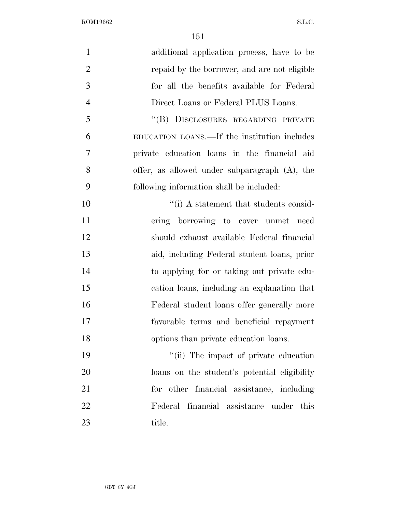| $\mathbf{1}$   | additional application process, have to be    |
|----------------|-----------------------------------------------|
| $\overline{2}$ | repaid by the borrower, and are not eligible  |
| 3              | for all the benefits available for Federal    |
| $\overline{4}$ | Direct Loans or Federal PLUS Loans.           |
| 5              | "(B) DISCLOSURES REGARDING PRIVATE            |
| 6              | EDUCATION LOANS.—If the institution includes  |
| 7              | private education loans in the financial aid  |
| 8              | offer, as allowed under subparagraph (A), the |
| 9              | following information shall be included:      |
| 10             | "(i) A statement that students consid-        |
| 11             | ering borrowing to cover unmet need           |
| 12             | should exhaust available Federal financial    |
| 13             | aid, including Federal student loans, prior   |
| 14             | to applying for or taking out private edu-    |
| 15             | cation loans, including an explanation that   |
| 16             | Federal student loans offer generally more    |
| 17             | favorable terms and beneficial repayment      |
| 18             | options than private education loans.         |
| 19             | "(ii) The impact of private education         |
| 20             | loans on the student's potential eligibility  |
| 21             | for other financial assistance, including     |
| 22             | Federal financial assistance under<br>this    |
| 23             | title.                                        |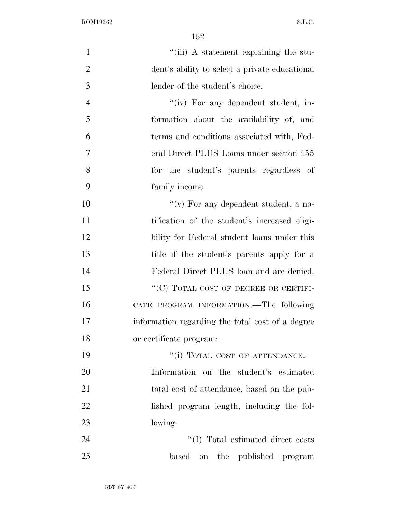| $\mathbf{1}$   | "(iii) A statement explaining the stu-           |
|----------------|--------------------------------------------------|
| $\overline{2}$ | dent's ability to select a private educational   |
| 3              | lender of the student's choice.                  |
| $\overline{4}$ | "(iv) For any dependent student, in-             |
| 5              | formation about the availability of, and         |
| 6              | terms and conditions associated with, Fed-       |
| 7              | eral Direct PLUS Loans under section 455         |
| 8              | for the student's parents regardless of          |
| 9              | family income.                                   |
| 10             | "(v) For any dependent student, a no-            |
| 11             | tification of the student's increased eligi-     |
| 12             | bility for Federal student loans under this      |
| 13             | title if the student's parents apply for a       |
| 14             | Federal Direct PLUS loan and are denied.         |
| 15             | "(C) TOTAL COST OF DEGREE OR CERTIFI-            |
| 16             | CATE PROGRAM INFORMATION.—The following          |
| 17             | information regarding the total cost of a degree |
| 18             | or certificate program:                          |
| 19             | "(i) TOTAL COST OF ATTENDANCE.-                  |
| 20             | Information on the student's estimated           |
| 21             | total cost of attendance, based on the pub-      |
| 22             | lished program length, including the fol-        |
| 23             | lowing:                                          |
| 24             | "(I) Total estimated direct costs                |
| 25             | based<br>the published program<br><b>on</b>      |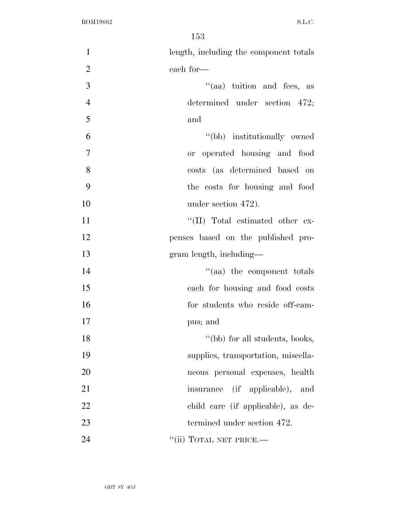| $\mathbf{1}$   | length, including the component totals |
|----------------|----------------------------------------|
| $\overline{2}$ | each for—                              |
| 3              | "(aa) tuition and fees, as             |
| $\overline{4}$ | determined under section 472;          |
| 5              | and                                    |
| 6              | "(bb) institutionally owned            |
| 7              | or operated housing and food           |
| 8              | costs (as determined based on          |
| 9              | the costs for housing and food         |
| 10             | under section 472).                    |
| 11             | "(II) Total estimated other ex-        |
| 12             | penses based on the published pro-     |
| 13             | gram length, including—                |
| 14             | "(aa) the component totals             |
| 15             | each for housing and food costs        |
| 16             | for students who reside off-cam-       |
| 17             | pus; and                               |
| 18             | "(bb) for all students, books,         |
| 19             | supplies, transportation, miscella-    |
| 20             | neous personal expenses, health        |
| 21             | (if applicable),<br>insurance<br>and   |
| 22             | child care (if applicable), as de-     |
| 23             | termined under section 472.            |
| 24             | "(ii) TOTAL NET PRICE.—                |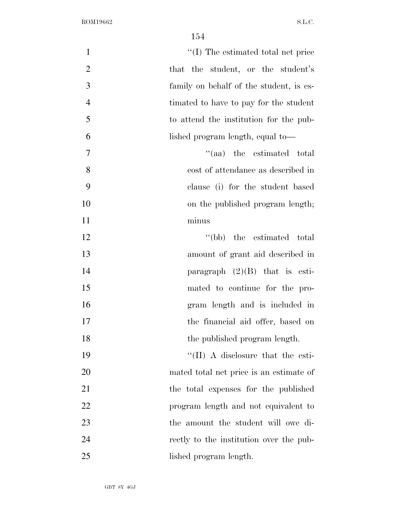| $\mathbf{1}$   | "(I) The estimated total net price        |
|----------------|-------------------------------------------|
| $\overline{2}$ | that the student, or the student's        |
| 3              | family on behalf of the student, is es-   |
| $\overline{4}$ | timated to have to pay for the student    |
| 5              | to attend the institution for the pub-    |
| 6              | lished program length, equal to—          |
| $\tau$         | "(aa) the estimated total                 |
| 8              | cost of attendance as described in        |
| 9              | clause (i) for the student based          |
| 10             | on the published program length;          |
| 11             | minus                                     |
| 12             | "(bb) the estimated total                 |
| 13             | amount of grant aid described in          |
| 14             | paragraph $(2)(B)$ that is esti-          |
| 15             | mated to continue for the pro-            |
| 16             | gram length and is included in            |
| 17             | the financial aid offer, based on         |
| 18             | the published program length.             |
| 19             | $\lq\lq$ (II) A disclosure that the esti- |
| 20             | mated total net price is an estimate of   |
| 21             | the total expenses for the published      |
| 22             | program length and not equivalent to      |
| 23             | the amount the student will owe di-       |
| 24             | rectly to the institution over the pub-   |
| 25             | lished program length.                    |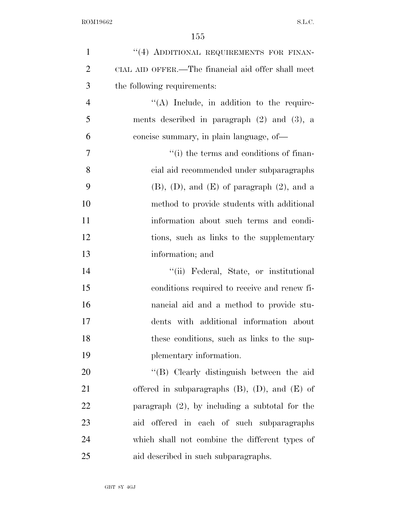| $\mathbf{1}$   | "(4) ADDITIONAL REQUIREMENTS FOR FINAN-               |
|----------------|-------------------------------------------------------|
| $\overline{2}$ | CIAL AID OFFER.—The financial aid offer shall meet    |
| 3              | the following requirements:                           |
| $\overline{4}$ | $\lq\lq$ . Include, in addition to the require-       |
| 5              | ments described in paragraph $(2)$ and $(3)$ , a      |
| 6              | concise summary, in plain language, of-               |
| 7              | "(i) the terms and conditions of finan-               |
| 8              | cial aid recommended under subparagraphs              |
| 9              | $(B)$ , $(D)$ , and $(E)$ of paragraph $(2)$ , and a  |
| 10             | method to provide students with additional            |
| 11             | information about such terms and condi-               |
| 12             | tions, such as links to the supplementary             |
| 13             | information; and                                      |
| 14             | "(ii) Federal, State, or institutional                |
| 15             | conditions required to receive and renew fi-          |
| 16             | nancial aid and a method to provide stu-              |
| 17             | dents with additional information about               |
| 18             | these conditions, such as links to the sup-           |
| 19             | plementary information.                               |
| 20             | "(B) Clearly distinguish between the aid              |
| 21             | offered in subparagraphs $(B)$ , $(D)$ , and $(E)$ of |
| 22             | paragraph $(2)$ , by including a subtotal for the     |
| 23             | aid offered in each of such subparagraphs             |
| 24             | which shall not combine the different types of        |
| 25             | aid described in such subparagraphs.                  |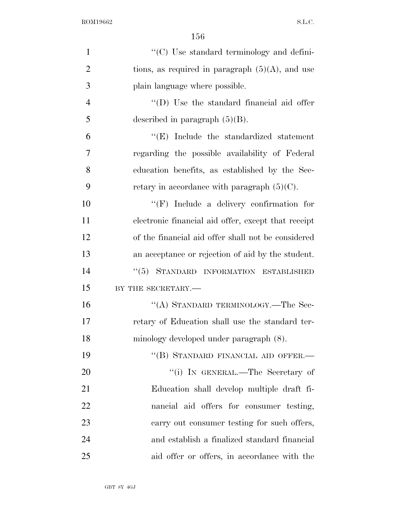| $\mathbf{1}$   | "(C) Use standard terminology and defini-           |
|----------------|-----------------------------------------------------|
| $\overline{2}$ | tions, as required in paragraph $(5)(A)$ , and use  |
| 3              | plain language where possible.                      |
| $\overline{4}$ | "(D) Use the standard financial aid offer           |
| 5              | described in paragraph $(5)(B)$ .                   |
| 6              | $\lq\lq(E)$ Include the standardized statement      |
| $\overline{7}$ | regarding the possible availability of Federal      |
| 8              | education benefits, as established by the Sec-      |
| 9              | retary in accordance with paragraph $(5)(C)$ .      |
| 10             | $\lq\lq(F)$ Include a delivery confirmation for     |
| 11             | electronic financial aid offer, except that receipt |
| 12             | of the financial aid offer shall not be considered  |
| 13             | an acceptance or rejection of aid by the student.   |
| 14             | "(5) STANDARD INFORMATION ESTABLISHED               |
| 15             | BY THE SECRETARY.                                   |
| 16             | "(A) STANDARD TERMINOLOGY.—The Sec-                 |
| 17             | retary of Education shall use the standard ter-     |
| 18             | minology developed under paragraph (8).             |
| 19             | "(B) STANDARD FINANCIAL AID OFFER.-                 |
| 20             | "(i) IN GENERAL.—The Secretary of                   |
| 21             | Education shall develop multiple draft fi-          |
| 22             | nancial aid offers for consumer testing,            |
| 23             | carry out consumer testing for such offers,         |
| 24             | and establish a finalized standard financial        |
| 25             | aid offer or offers, in accordance with the         |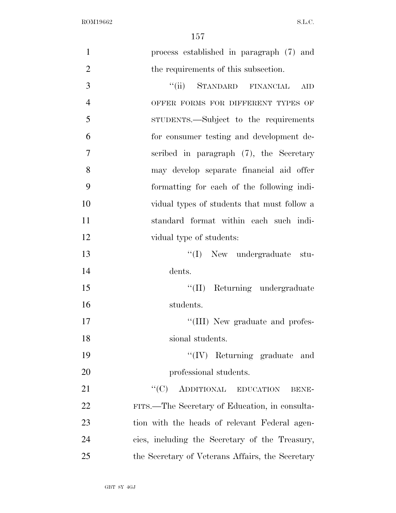| $\mathbf{1}$   | process established in paragraph (7) and         |
|----------------|--------------------------------------------------|
| $\overline{2}$ | the requirements of this subsection.             |
| 3              | "(ii) STANDARD FINANCIAL<br><b>AID</b>           |
| $\overline{4}$ | OFFER FORMS FOR DIFFERENT TYPES OF               |
| 5              | STUDENTS.—Subject to the requirements            |
| 6              | for consumer testing and development de-         |
| 7              | scribed in paragraph $(7)$ , the Secretary       |
| 8              | may develop separate financial aid offer         |
| 9              | formatting for each of the following indi-       |
| 10             | vidual types of students that must follow a      |
| 11             | standard format within each such indi-           |
| 12             | vidual type of students:                         |
| 13             | "(I) New undergraduate stu-                      |
| 14             | dents.                                           |
| 15             | "(II) Returning undergraduate                    |
| 16             | students.                                        |
| 17             | "(III) New graduate and profes-                  |
| 18             | sional students.                                 |
| 19             | $\lq\lq (IV)$ Returning graduate and             |
| 20             | professional students.                           |
| 21             | ``(C)<br>ADDITIONAL EDUCATION<br><b>BENE-</b>    |
| 22             | FITS.—The Secretary of Education, in consulta-   |
| 23             | tion with the heads of relevant Federal agen-    |
| 24             | cies, including the Secretary of the Treasury,   |
| 25             | the Secretary of Veterans Affairs, the Secretary |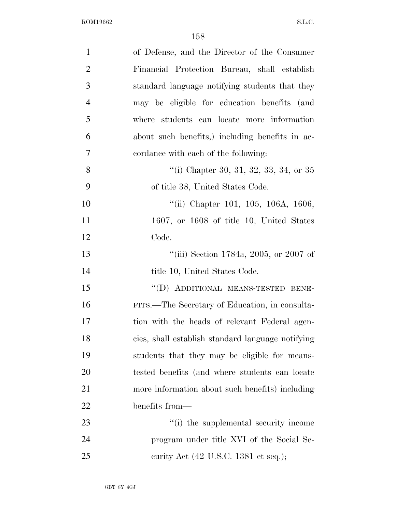| $\mathbf{1}$   | of Defense, and the Director of the Consumer            |
|----------------|---------------------------------------------------------|
| $\overline{2}$ | Financial Protection Bureau, shall establish            |
| 3              | standard language notifying students that they          |
| $\overline{4}$ | may be eligible for education benefits (and             |
| 5              | where students can locate more information              |
| 6              | about such benefits, including benefits in ac-          |
| $\overline{7}$ | cordance with each of the following:                    |
| 8              | "(i) Chapter 30, 31, 32, 33, 34, or 35                  |
| 9              | of title 38, United States Code.                        |
| 10             | "(ii) Chapter 101, 105, 106A, 1606,                     |
| 11             | $1607$ , or $1608$ of title 10, United States           |
| 12             | Code.                                                   |
| 13             | "(iii) Section 1784a, 2005, or 2007 of                  |
| 14             | title 10, United States Code.                           |
| 15             | "(D) ADDITIONAL MEANS-TESTED BENE-                      |
| 16             | FITS.—The Secretary of Education, in consulta-          |
| 17             | tion with the heads of relevant Federal agen-           |
| 18             | cies, shall establish standard language notifying       |
| 19             | students that they may be eligible for means-           |
| 20             | tested benefits (and where students can locate          |
| 21             | more information about such benefits) including         |
| 22             | benefits from—                                          |
| 23             | "(i) the supplemental security income                   |
| 24             | program under title XVI of the Social Se-               |
| 25             | curity Act $(42 \text{ U.S.C. } 1381 \text{ et seq.});$ |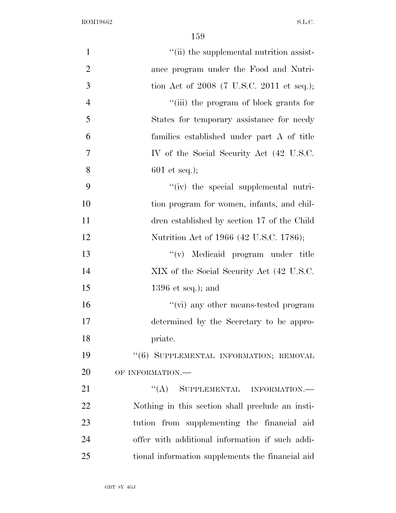| $\mathbf{1}$   | "(ii) the supplemental nutrition assist-         |
|----------------|--------------------------------------------------|
| $\overline{2}$ | ance program under the Food and Nutri-           |
| 3              | tion Act of $2008$ (7 U.S.C. 2011 et seq.);      |
| $\overline{4}$ | "(iii) the program of block grants for           |
| 5              | States for temporary assistance for needy        |
| 6              | families established under part A of title       |
| $\overline{7}$ | IV of the Social Security Act (42 U.S.C.         |
| 8              | $601$ et seq.);                                  |
| 9              | "(iv) the special supplemental nutri-            |
| 10             | tion program for women, infants, and chil-       |
| 11             | dren established by section 17 of the Child      |
| 12             | Nutrition Act of 1966 (42 U.S.C. 1786);          |
| 13             | "(v) Medicaid program under title                |
| 14             | XIX of the Social Security Act (42 U.S.C.        |
| 15             | $1396$ et seq.); and                             |
| 16             | "(vi) any other means-tested program             |
| 17             | determined by the Secretary to be appro-         |
| 18             | priate.                                          |
| 19             | "(6) SUPPLEMENTAL INFORMATION; REMOVAL           |
| 20             | OF INFORMATION.-                                 |
| 21             | ``(A)<br>SUPPLEMENTAL INFORMATION.-              |
| 22             | Nothing in this section shall preclude an insti- |
| 23             | tution from supplementing the financial aid      |
| 24             | offer with additional information if such addi-  |
| 25             | tional information supplements the financial aid |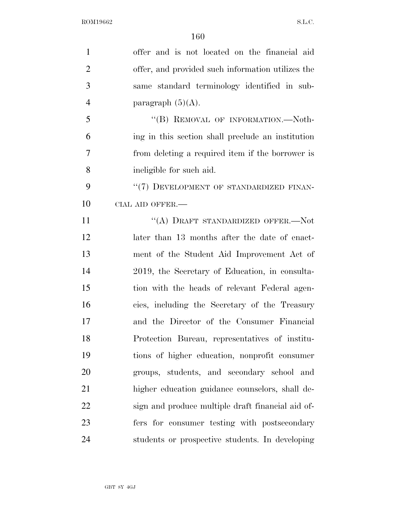| $\mathbf{1}$   | offer and is not located on the financial aid     |
|----------------|---------------------------------------------------|
| $\overline{2}$ | offer, and provided such information utilizes the |
| 3              | same standard terminology identified in sub-      |
| $\overline{4}$ | paragraph $(5)(A)$ .                              |
| 5              | "(B) REMOVAL OF INFORMATION.—Noth-                |
| 6              | ing in this section shall preclude an institution |
| 7              | from deleting a required item if the borrower is  |
| 8              | ineligible for such aid.                          |
| 9              | "(7) DEVELOPMENT OF STANDARDIZED FINAN-           |
| 10             | CIAL AID OFFER.-                                  |
| 11             | "(A) DRAFT STANDARDIZED OFFER.-Not                |
| 12             | later than 13 months after the date of enact-     |
| 13             | ment of the Student Aid Improvement Act of        |
| 14             | 2019, the Secretary of Education, in consulta-    |
| 15             | tion with the heads of relevant Federal agen-     |
| 16             | cies, including the Secretary of the Treasury     |
| 17             | and the Director of the Consumer Financial        |
| 18             | Protection Bureau, representatives of institu-    |
| 19             | tions of higher education, nonprofit consumer     |
| 20             | groups, students, and secondary school and        |
| 21             | higher education guidance counselors, shall de-   |
| 22             | sign and produce multiple draft financial aid of- |
| 23             | fers for consumer testing with postsecondary      |
| 24             | students or prospective students. In developing   |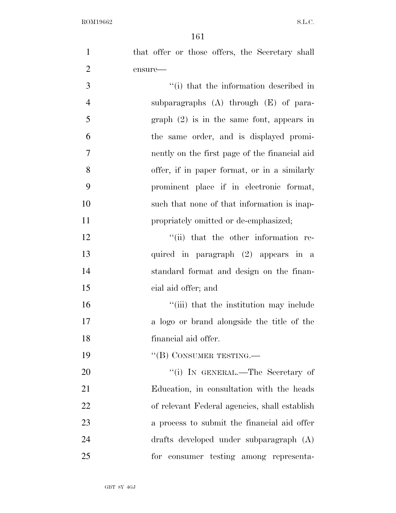| $\mathbf{1}$   | that offer or those offers, the Secretary shall |
|----------------|-------------------------------------------------|
| $\mathbf{2}$   | ensure-                                         |
| 3              | "(i) that the information described in          |
| $\overline{4}$ | subparagraphs $(A)$ through $(E)$ of para-      |
| 5              | $graph (2)$ is in the same font, appears in     |
| 6              | the same order, and is displayed promi-         |
| $\overline{7}$ | nently on the first page of the financial aid   |
| 8              | offer, if in paper format, or in a similarly    |
| 9              | prominent place if in electronic format,        |
| 10             | such that none of that information is inap-     |
| 11             | propriately omitted or de-emphasized;           |
| 12             | "(ii) that the other information re-            |
| 13             | quired in paragraph (2) appears in a            |
| 14             | standard format and design on the finan-        |
| 15             | cial aid offer; and                             |
| 16             | "(iii) that the institution may include         |
| 17             | a logo or brand alongside the title of the      |
| 18             | financial aid offer.                            |
| 19             | "(B) CONSUMER TESTING.—                         |
| 20             | "(i) IN GENERAL.—The Secretary of               |
| 21             | Education, in consultation with the heads       |
| 22             | of relevant Federal agencies, shall establish   |
| 23             | a process to submit the financial aid offer     |
| 24             | drafts developed under subparagraph (A)         |
| 25             | for consumer testing among representa-          |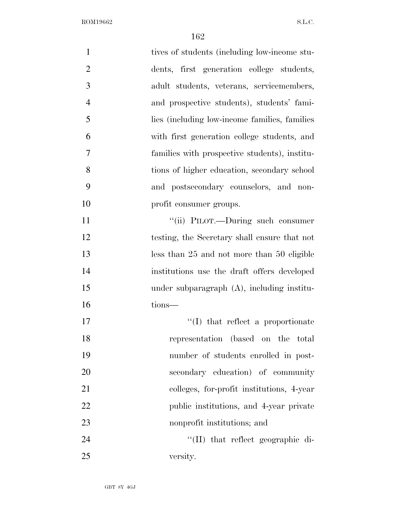| $\mathbf{1}$   | tives of students (including low-income stu-   |
|----------------|------------------------------------------------|
| $\overline{2}$ | dents, first generation college students,      |
| 3              | adult students, veterans, servicemembers,      |
| $\overline{4}$ | and prospective students), students' fami-     |
| 5              | lies (including low-income families, families) |
| 6              | with first generation college students, and    |
| 7              | families with prospective students), institu-  |
| 8              | tions of higher education, secondary school    |
| 9              | and postsecondary counselors, and non-         |
| 10             | profit consumer groups.                        |
| 11             | "(ii) PILOT.—During such consumer              |
| 12             | testing, the Secretary shall ensure that not   |
| 13             | less than 25 and not more than 50 eligible     |
| 14             | institutions use the draft offers developed    |
| 15             | under subparagraph (A), including institu-     |
| 16             | tions-                                         |
| 17             | $\lq\lq$ that reflect a proportionate          |
| 18             | representation (based on the total             |
| 19             | number of students enrolled in post-           |
| 20             | secondary education) of community              |
| 21             | colleges, for-profit institutions, 4-year      |
| 22             | public institutions, and 4-year private        |
| 23             | nonprofit institutions; and                    |
| 24             | "(II) that reflect geographic di-              |
| 25             | versity.                                       |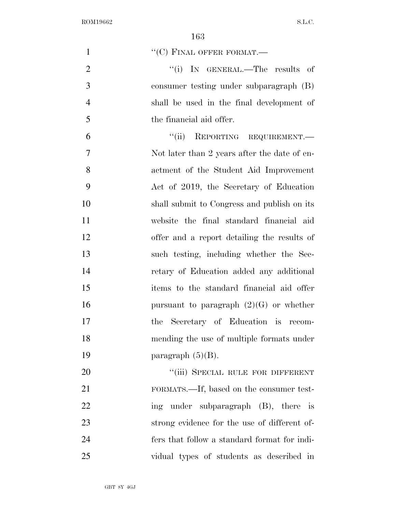| $\mathbf{1}$   | $``(C)$ FINAL OFFER FORMAT.—                 |
|----------------|----------------------------------------------|
| $\overline{2}$ | "(i) IN GENERAL.—The results of              |
| 3              | consumer testing under subparagraph (B)      |
| $\overline{4}$ | shall be used in the final development of    |
| 5              | the financial aid offer.                     |
| 6              | ``(ii)<br>REPORTING REQUIREMENT.             |
| 7              | Not later than 2 years after the date of en- |
| 8              | actment of the Student Aid Improvement       |
| 9              | Act of 2019, the Secretary of Education      |
| 10             | shall submit to Congress and publish on its  |
| 11             | website the final standard financial aid     |
| 12             | offer and a report detailing the results of  |
| 13             | such testing, including whether the Sec-     |
| 14             | retary of Education added any additional     |
| 15             | items to the standard financial aid offer    |
| 16             | pursuant to paragraph $(2)(G)$ or whether    |
| 17             | the Secretary of Education is recom-         |
| 18             | mending the use of multiple formats under    |
| 19             | paragraph $(5)(B)$ .                         |
| 20             | "(iii) SPECIAL RULE FOR DIFFERENT            |
| 21             | FORMATS.—If, based on the consumer test-     |
| 22             | ing under subparagraph (B), there is         |
| 23             | strong evidence for the use of different of- |
| 24             | fers that follow a standard format for indi- |
| 25             | vidual types of students as described in     |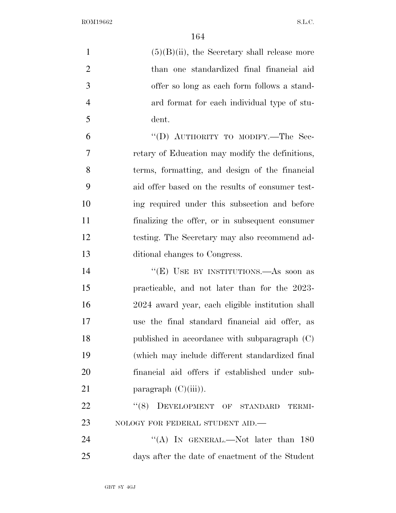| $\mathbf{1}$   | $(5)(B)(ii)$ , the Secretary shall release more  |
|----------------|--------------------------------------------------|
| $\overline{2}$ | than one standardized final financial aid        |
| 3              | offer so long as each form follows a stand-      |
| $\overline{4}$ | ard format for each individual type of stu-      |
| 5              | dent.                                            |
| 6              | "(D) AUTHORITY TO MODIFY.—The Sec-               |
| 7              | retary of Education may modify the definitions,  |
| $8\,$          | terms, formatting, and design of the financial   |
| 9              | aid offer based on the results of consumer test- |
| 10             | ing required under this subsection and before    |
| 11             | finalizing the offer, or in subsequent consumer  |
| 12             | testing. The Secretary may also recommend ad-    |
| 13             | ditional changes to Congress.                    |
| 14             | "(E) USE BY INSTITUTIONS.—As soon as             |
| 15             | practicable, and not later than for the 2023-    |
| 16             | 2024 award year, each eligible institution shall |
| 17             | use the final standard financial aid offer, as   |
| 18             | published in accordance with subparagraph (C)    |
| 19             | (which may include different standardized final) |
| 20             | financial aid offers if established under sub-   |
| 21             | paragraph $(C)(iii)$ .                           |
| 22             | DEVELOPMENT OF STANDARD<br>(8)<br>TERMI-         |
| 23             | NOLOGY FOR FEDERAL STUDENT AID.-                 |
| 24             | "(A) IN GENERAL.—Not later than $180$            |
| 25             | days after the date of enactment of the Student  |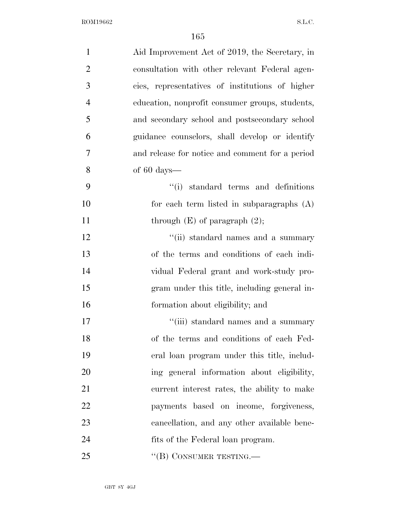| $\mathbf{1}$   | Aid Improvement Act of 2019, the Secretary, in  |
|----------------|-------------------------------------------------|
| $\overline{2}$ | consultation with other relevant Federal agen-  |
| 3              | cies, representatives of institutions of higher |
| $\overline{4}$ | education, nonprofit consumer groups, students, |
| 5              | and secondary school and postsecondary school   |
| 6              | guidance counselors, shall develop or identify  |
| 7              | and release for notice and comment for a period |
| 8              | of $60 \text{ days}$ —                          |
| 9              | "(i) standard terms and definitions"            |
| 10             | for each term listed in subparagraphs (A)       |
| 11             | through $(E)$ of paragraph $(2)$ ;              |
| 12             | "(ii) standard names and a summary              |
| 13             | of the terms and conditions of each indi-       |
| 14             | vidual Federal grant and work-study pro-        |
| 15             | gram under this title, including general in-    |
| 16             | formation about eligibility; and                |
| 17             | "(iii) standard names and a summary             |
| 18             | of the terms and conditions of each Fed-        |
| 19             | eral loan program under this title, includ-     |
| 20             | ing general information about eligibility,      |
| 21             | current interest rates, the ability to make     |
| 22             | payments based on income, forgiveness,          |
| 23             | cancellation, and any other available bene-     |
| 24             | fits of the Federal loan program.               |
| 25             | "(B) CONSUMER TESTING.—                         |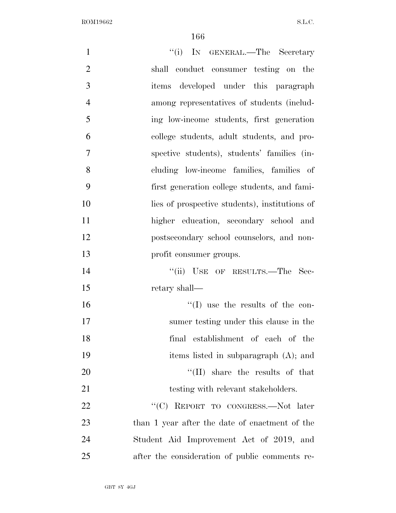| $\mathbf{1}$   | "(i) IN GENERAL.—The Secretary                 |
|----------------|------------------------------------------------|
| $\mathbf{2}$   | shall conduct consumer testing on the          |
| 3              | items developed under this paragraph           |
| $\overline{4}$ | among representatives of students (includ-     |
| 5              | ing low-income students, first generation      |
| 6              | college students, adult students, and pro-     |
| 7              | spective students), students' families (in-    |
| 8              | cluding low-income families, families of       |
| 9              | first generation college students, and fami-   |
| 10             | lies of prospective students), institutions of |
| 11             | higher education, secondary school and         |
| 12             | postsecondary school counselors, and non-      |
| 13             | profit consumer groups.                        |
| 14             | "(ii) USE OF RESULTS.—The Sec-                 |
| 15             | retary shall—                                  |
| 16             | $\lq\lq$ (I) use the results of the con-       |
| 17             | sumer testing under this clause in the         |
| 18             | final establishment of each of the             |
| 19             | items listed in subparagraph (A); and          |
| 20             | $``(II)$ share the results of that             |
| 21             | testing with relevant stakeholders.            |
| 22             | "(C) REPORT TO CONGRESS.—Not later             |
| 23             | than 1 year after the date of enactment of the |
| 24             | Student Aid Improvement Act of 2019, and       |
| 25             | after the consideration of public comments re- |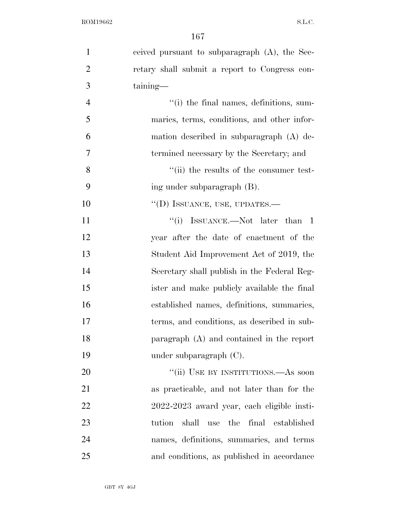| $\mathbf{1}$   | ceived pursuant to subparagraph (A), the Sec-      |
|----------------|----------------------------------------------------|
| $\overline{2}$ | retary shall submit a report to Congress con-      |
| 3              | taining—                                           |
| $\overline{4}$ | "(i) the final names, definitions, sum-            |
| 5              | maries, terms, conditions, and other infor-        |
| 6              | mation described in subparagraph (A) de-           |
| 7              | termined necessary by the Secretary; and           |
| 8              | "(ii) the results of the consumer test-            |
| 9              | ing under subparagraph (B).                        |
| 10             | "(D) ISSUANCE, USE, UPDATES.-                      |
| 11             | ``(i)<br>ISSUANCE.—Not later than 1                |
| 12             | year after the date of enactment of the            |
| 13             | Student Aid Improvement Act of 2019, the           |
| 14             | Secretary shall publish in the Federal Reg-        |
| 15             | ister and make publicly available the final        |
| 16             | established names, definitions, summaries,         |
| 17             | terms, and conditions, as described in sub-        |
| 18             | paragraph $(A)$ and contained in the report        |
| 19             | under subparagraph $(C)$ .                         |
| 20             | "(ii) USE BY INSTITUTIONS.—As soon                 |
| 21             | as practicable, and not later than for the         |
| 22             | 2022-2023 award year, each eligible insti-         |
| 23             | final established<br>shall<br>the<br>tution<br>use |
| 24             | names, definitions, summaries, and terms           |
| 25             | and conditions, as published in accordance         |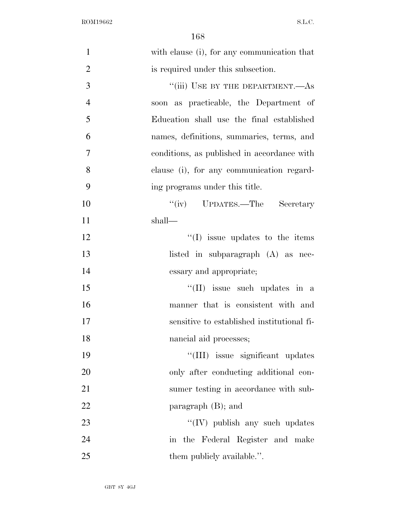| $\mathbf{1}$   | with clause (i), for any communication that |
|----------------|---------------------------------------------|
| $\overline{2}$ | is required under this subsection.          |
| 3              | "(iii) USE BY THE DEPARTMENT.—AS            |
| $\overline{4}$ | soon as practicable, the Department of      |
| 5              | Education shall use the final established   |
| 6              | names, definitions, summaries, terms, and   |
| 7              | conditions, as published in accordance with |
| 8              | clause (i), for any communication regard-   |
| 9              | ing programs under this title.              |
| 10             | "(iv) UPDATES.—The Secretary                |
| 11             | shall—                                      |
| 12             | $\lq\lq$ (I) issue updates to the items     |
| 13             | listed in subparagraph (A) as nec-          |
| 14             | essary and appropriate;                     |
| 15             | $\lq\lq$ (II) issue such updates in a       |
| 16             | manner that is consistent with and          |
| 17             | sensitive to established institutional fi-  |
| 18             | nancial aid processes;                      |
| 19             | "(III) issue significant updates            |
| 20             | only after conducting additional con-       |
| 21             | sumer testing in accordance with sub-       |
| 22             | paragraph $(B)$ ; and                       |
| 23             | $\lq\lq$ (IV) publish any such updates      |
| 24             | in the Federal Register and make            |
| 25             | them publicly available.".                  |